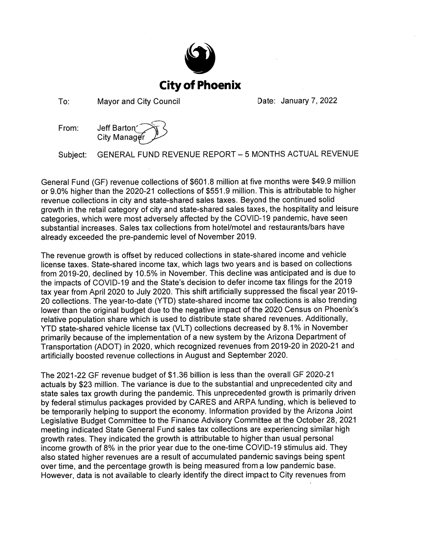

To: **Mayor and City Council**  Date: January 7, 2022

From: Jeff Barton City Manage

GENERAL FUND REVENUE REPORT - 5 MONTHS ACTUAL REVENUE Subject:

General Fund (GF) revenue collections of \$601.8 million at five months were \$49.9 million or 9.0% higher than the 2020-21 collections of \$551.9 million. This is attributable to higher revenue collections in city and state-shared sales taxes. Beyond the continued solid growth in the retail category of city and state-shared sales taxes, the hospitality and leisure categories, which were most adversely affected by the COVID-19 pandemic, have seen substantial increases. Sales tax collections from hotel/motel and restaurants/bars have already exceeded the pre-pandemic level of November 2019.

The revenue growth is offset by reduced collections in state-shared income and vehicle license taxes. State-shared income tax, which lags two years and is based on collections from 2019-20, declined by 10.5% in November. This decline was anticipated and is due to the impacts of COVID-19 and the State's decision to defer income tax filings for the 2019 tax year from April 2020 to July 2020. This shift artificially suppressed the fiscal year 2019-20 collections. The year-to-date (YTD) state-shared income tax collections is also trending lower than the original budget due to the negative impact of the 2020 Census on Phoenix's relative population share which is used to distribute state shared revenues. Additionally, YTD state-shared vehicle license tax (VLT) collections decreased by 8.1% in November primarily because of the implementation of a new system by the Arizona Department of Transportation (ADOT) in 2020, which recognized revenues from 2019-20 in 2020-21 and artificially boosted revenue collections in August and September 2020.

The 2021-22 GF revenue budget of \$1.36 billion is less than the overall GF 2020-21 actuals by \$23 million. The variance is due to the substantial and unprecedented city and state sales tax growth during the pandemic. This unprecedented growth is primarily driven by federal stimulus packages provided by CARES and ARPA funding, which is believed to be temporarily helping to support the economy. Information provided by the Arizona Joint Legislative Budget Committee to the Finance Advisory Committee at the October 28, 2021 meeting indicated State General Fund sales tax collections are experiencing similar high growth rates. They indicated the growth is attributable to higher than usual personal income growth of 8% in the prior year due to the one-time COVID-19 stimulus aid. They also stated higher revenues are a result of accumulated pandemic savings being spent over time, and the percentage growth is being measured from a low pandemic base. However, data is not available to clearly identify the direct impact to City revenues from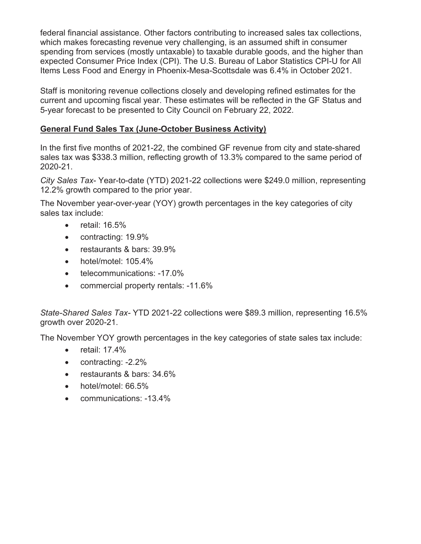federal financial assistance. Other factors contributing to increased sales tax collections, which makes forecasting revenue very challenging, is an assumed shift in consumer spending from services (mostly untaxable) to taxable durable goods, and the higher than expected Consumer Price Index (CPI). The U.S. Bureau of Labor Statistics CPI-U for All Items Less Food and Energy in Phoenix-Mesa-Scottsdale was 6.4% in October 2021.

Staff is monitoring revenue collections closely and developing refined estimates for the current and upcoming fiscal year. These estimates will be reflected in the GF Status and 5-year forecast to be presented to City Council on February 22, 2022.

# **General Fund Sales Tax (June-October Business Activity)**

In the first five months of 2021-22, the combined GF revenue from city and state-shared sales tax was \$338.3 million, reflecting growth of 13.3% compared to the same period of 2020-21.

*City Sales Tax*- Year-to-date (YTD) 2021-22 collections were \$249.0 million, representing 12.2% growth compared to the prior year.

The November year-over-year (YOY) growth percentages in the key categories of city sales tax include:

- x retail: 16.5%
- $\bullet$  contracting: 19.9%
- restaurants & bars: 39.9%
- hotel/motel: 105.4%
- telecommunications: -17.0%
- commercial property rentals: -11.6%

*State-Shared Sales Tax-* YTD 2021-22 collections were \$89.3 million, representing 16.5% growth over 2020-21.

The November YOY growth percentages in the key categories of state sales tax include:

- $\bullet$  retail: 17.4%
- $\bullet$  contracting:  $-2.2\%$
- restaurants & bars: 34.6%
- hotel/motel: 66.5%
- communications: -13.4%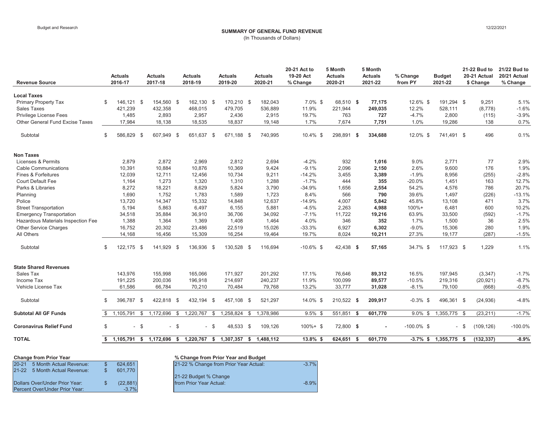# Budget and Research **12/22/2021 SUMMARY OF GENERAL FUND REVENUE SUMMARY OF GENERAL FUND REVENUE**

(In Thousands of Dollars)

| <b>Revenue Source</b>                                            | <b>Actuals</b><br>2016-17   |                | <b>Actuals</b><br>2017-18                                        |        | <b>Actuals</b><br>2018-19 |        | <b>Actuals</b><br>2019-20 |              | <b>Actuals</b><br>2020-21 | 20-21 Act to<br>19-20 Act<br>% Change | 5 Month<br><b>Actuals</b><br>2020-21 |      | 5 Month<br><b>Actuals</b><br>2021-22 | % Change<br>from PY  | <b>Budget</b><br>2021-22 |      | 21-22 Bud to<br>20-21 Actual<br>\$ Change | 21/22 Bud to<br>20/21 Actual<br>% Change |
|------------------------------------------------------------------|-----------------------------|----------------|------------------------------------------------------------------|--------|---------------------------|--------|---------------------------|--------------|---------------------------|---------------------------------------|--------------------------------------|------|--------------------------------------|----------------------|--------------------------|------|-------------------------------------------|------------------------------------------|
|                                                                  |                             |                |                                                                  |        |                           |        |                           |              |                           |                                       |                                      |      |                                      |                      |                          |      |                                           |                                          |
| <b>Local Taxes</b>                                               |                             |                |                                                                  |        |                           |        |                           |              |                           |                                       |                                      |      |                                      |                      |                          |      |                                           |                                          |
| Primary Property Tax                                             | \$<br>146.121 \$<br>421.239 |                | 154,560 \$<br>432.358                                            |        | 162,130 \$<br>468.015     |        | 170.210 \$<br>479.705     |              | 182,043                   | $7.0\%$ \$<br>11.9%                   | 68.510 \$                            |      | 77.175<br>249.035                    | $12.6\%$ \$<br>12.2% | 191.294 \$<br>528.111    |      | 9,251                                     | 5.1%<br>$-1.6%$                          |
| <b>Sales Taxes</b>                                               |                             |                |                                                                  |        |                           |        |                           |              | 536,889                   |                                       | 221,944                              |      |                                      |                      |                          |      | (8,778)                                   |                                          |
| <b>Privilege License Fees</b><br>Other General Fund Excise Taxes | 1,485                       |                | 2,893                                                            |        | 2,957                     |        | 2,436                     |              | 2,915                     | 19.7%<br>1.7%                         | 763                                  |      | 727                                  | $-4.7%$              | 2,800                    |      | (115)                                     | $-3.9%$                                  |
|                                                                  | 17,984                      |                | 18,138                                                           |        | 18,535                    |        | 18,837                    |              | 19,148                    |                                       | 7,674                                |      | 7,751                                | 1.0%                 | 19,286                   |      | 138                                       | 0.7%                                     |
| Subtotal                                                         | \$<br>586,829 \$            |                | 607,949 \$                                                       |        | 651,637 \$                |        | 671,188 \$                |              | 740,995                   | 10.4% \$                              | 298,891 \$                           |      | 334,688                              | 12.0% \$             | 741,491 \$               |      | 496                                       | 0.1%                                     |
| <b>Non Taxes</b>                                                 |                             |                |                                                                  |        |                           |        |                           |              |                           |                                       |                                      |      |                                      |                      |                          |      |                                           |                                          |
| Licenses & Permits                                               | 2,879                       |                | 2,872                                                            |        | 2,969                     |        | 2,812                     |              | 2,694                     | $-4.2%$                               | 932                                  |      | 1,016                                | 9.0%                 | 2,771                    |      | 77                                        | 2.9%                                     |
| <b>Cable Communications</b>                                      | 10,391                      |                | 10,884                                                           |        | 10,876                    |        | 10,369                    |              | 9,424                     | $-9.1%$                               | 2,096                                |      | 2,150                                | 2.6%                 | 9,600                    |      | 176                                       | 1.9%                                     |
| <b>Fines &amp; Forfeitures</b>                                   | 12,039                      |                | 12,711                                                           |        | 12,456                    |        | 10,734                    |              | 9,211                     | $-14.2%$                              | 3,455                                |      | 3,389                                | $-1.9%$              | 8,956                    |      | (255)                                     | $-2.8%$                                  |
| <b>Court Default Fee</b>                                         | 1,164                       |                | 1,273                                                            |        | 1,320                     |        | 1,310                     |              | 1,288                     | $-1.7%$                               | 444                                  |      | 355                                  | $-20.0%$             | 1,451                    |      | 163                                       | 12.7%                                    |
| Parks & Libraries                                                | 8,272                       |                | 18,221                                                           |        | 8,629                     |        | 5,824                     |              | 3,790                     | $-34.9%$                              | 1,656                                |      | 2,554                                | 54.2%                | 4,576                    |      | 786                                       | 20.7%                                    |
| Planning                                                         | 1,690                       |                | 1,752                                                            |        | 1,783                     |        | 1,589                     |              | 1,723                     | 8.4%                                  | 566                                  |      | 790                                  | 39.6%                | 1,497                    |      | (226)                                     | $-13.1%$                                 |
| Police                                                           | 13,720                      |                | 14,347                                                           |        | 15,332                    |        | 14,848                    |              | 12,637                    | $-14.9%$                              | 4,007                                |      | 5,842                                | 45.8%                | 13,108                   |      | 471                                       | 3.7%                                     |
| <b>Street Transportation</b>                                     | 5,194                       |                | 5,863                                                            |        | 6,497                     |        | 6,155                     |              | 5,881                     | $-4.5%$                               | 2,263                                |      | 4,988                                | $100% +$             | 6,481                    |      | 600                                       | 10.2%                                    |
| <b>Emergency Transportation</b>                                  | 34,518                      |                | 35,884                                                           |        | 36,910                    |        | 36,706                    |              | 34,092                    | $-7.1%$                               | 11,722                               |      | 19,216                               | 63.9%                | 33,500                   |      | (592)                                     | $-1.7%$                                  |
| Hazardous Materials Inspection Fee                               | 1,388                       |                | 1,364                                                            |        | 1,369                     |        | 1,408                     |              | 1,464                     | 4.0%                                  | 346                                  |      | 352                                  | 1.7%                 | 1,500                    |      | 36                                        | 2.5%                                     |
| <b>Other Service Charges</b>                                     | 16,752                      |                | 20,302                                                           |        | 23,486                    |        | 22,519                    |              | 15,026                    | $-33.3%$                              | 6,927                                |      | 6,302                                | $-9.0%$              | 15,306                   |      | 280                                       | 1.9%                                     |
| All Others                                                       | 14,168                      |                | 16,456                                                           |        | 15,309                    |        | 16,254                    |              | 19,464                    | 19.7%                                 | 8,024                                |      | 10,211                               | 27.3%                | 19,177                   |      | (287)                                     | $-1.5%$                                  |
| Subtotal                                                         | \$<br>122.175 \$            |                | 141.929 \$                                                       |        | 136.936 \$                |        | 130,528 \$                |              | 116.694                   | $-10.6\%$ \$                          | 42.438 \$                            |      | 57.165                               | 34.7% \$             | 117.923 \$               |      | 1.229                                     | 1.1%                                     |
| <b>State Shared Revenues</b>                                     |                             |                |                                                                  |        |                           |        |                           |              |                           |                                       |                                      |      |                                      |                      |                          |      |                                           |                                          |
| Sales Tax                                                        | 143,976                     |                | 155,998                                                          |        | 165,066                   |        | 171,927                   |              | 201,292                   | 17.1%                                 | 76,646                               |      | 89,312                               | 16.5%                | 197,945                  |      | (3, 347)                                  | $-1.7%$                                  |
| Income Tax                                                       | 191,225                     |                | 200,036                                                          |        | 196,918                   |        | 214,697                   |              | 240,237                   | 11.9%                                 | 100,099                              |      | 89,577                               | $-10.5%$             | 219,316                  |      | (20, 921)                                 | $-8.7%$                                  |
| Vehicle License Tax                                              | 61,586                      |                | 66,784                                                           |        | 70,210                    |        | 70,484                    |              | 79,768                    | 13.2%                                 | 33,777                               |      | 31,028                               | $-8.1%$              | 79,100                   |      | (668)                                     | $-0.8%$                                  |
| Subtotal                                                         | \$<br>396.787 \$            |                | 422.818 \$                                                       |        | 432.194 \$                |        | 457.108 \$                |              | 521,297                   | 14.0% \$                              | 210,522 \$                           |      | 209,917                              | $-0.3\%$ \$          | 496,361 \$               |      | (24, 936)                                 | $-4.8%$                                  |
| <b>Subtotal All GF Funds</b>                                     | \$<br>1,105,791             | $\mathfrak{S}$ | 1,172,696                                                        | \$     | 1,220,767                 | \$     | 1,258,824                 | $\mathbb{S}$ | 1,378,986                 | $9.5\%$ \$                            | 551,851                              | - \$ | 601,770                              | $9.0\%$ \$           | $1,355,775$ \$           |      | (23, 211)                                 | $-1.7%$                                  |
| <b>Coronavirus Relief Fund</b>                                   | \$                          | $-$ \$         |                                                                  | $-$ \$ |                           | $-$ \$ | 48,533 \$                 |              | 109,126                   | $100\% + $$                           | 72,800 \$                            |      |                                      | $-100.0\%$ \$        |                          | - \$ | (109, 126)                                | $-100.0%$                                |
| <b>TOTAL</b>                                                     |                             |                | \$ 1,105,791 \$ 1,172,696 \$ 1,220,767 \$ 1,307,357 \$ 1,488,112 |        |                           |        |                           |              |                           | 13.8% \$                              | 624,651 \$                           |      | 601,770                              |                      | $-3.7\%$ \$ 1,355,775 \$ |      | (132, 337)                                | $-8.9%$                                  |

| <b>Change from Prior Year</b>        |           | % Change from Prior Year and Budget    |
|--------------------------------------|-----------|----------------------------------------|
| $20 - 21$<br>5 Month Actual Revenue: | 624.651   | 21-22 % Change from Prior Year Actual: |
| 21-22 5 Month Actual Revenue:        | 601.770   |                                        |
|                                      |           | 21-22 Budget % Change                  |
| Dollars Over/Under Prior Year:       | (22, 881) | from Prior Year Actual:                |
| Percent Over/Under Prior Year:       | $-3.7%$   |                                        |

| Change from Prior Year         |          | % Change from Prior Year and Budget               |
|--------------------------------|----------|---------------------------------------------------|
| 20-21 5 Month Actual Revenue:  | 624.651  | 21-22 % Change from Prior Year Actual:<br>$-3.7%$ |
| 21-22 5 Month Actual Revenue:  | 601.770  |                                                   |
|                                |          | 21-22 Budget % Change                             |
| Dollars Over/Under Prior Year: | (22.881) | from Prior Year Actual:<br>$-8.9%$                |
| Percent Over/Under Prior Year: | $-37%$   |                                                   |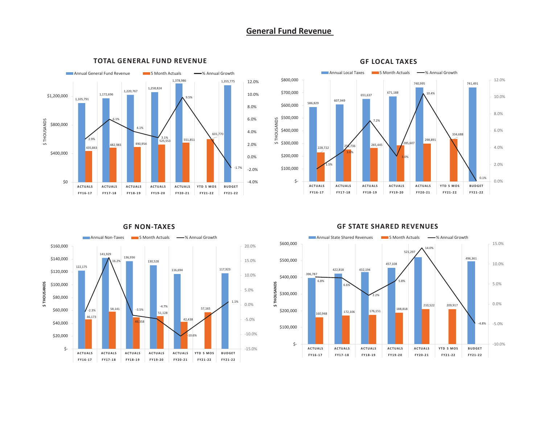# **General Fund Revenue**



#### **TOTAL GENERAL FUND REVENUE**



#### **GF LOCAL TAXES**



#### **GF STATE SHARED REVENUES**

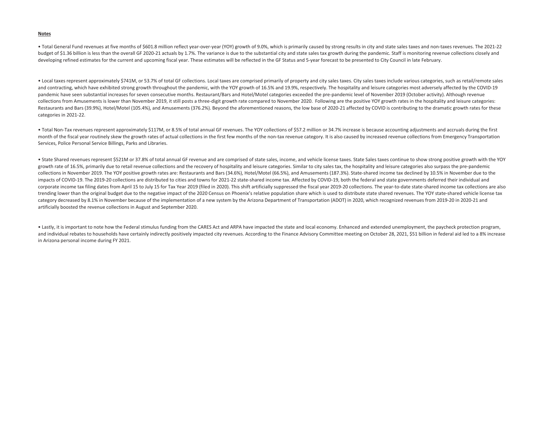#### **Notes**

• Total General Fund revenues at five months of \$601.8 million reflect year-over-year (YOY) growth of 9.0%, which is primarily caused by strong results in city and state sales taxes and non-taxes revenues. The 2021-22 budget of \$1.36 billion is less than the overall GF 2020-21 actuals by 1.7%. The variance is due to the substantial city and state sales tax growth during the pandemic. Staff is monitoring revenue collections closely and developing refined estimates for the current and upcoming fiscal year. These estimates will be reflected in the GF Status and 5-year forecast to be presented to City Council in late February.

• Local taxes represent approximately \$741M, or 53.7% of total GF collections. Local taxes are comprised primarily of property and city sales taxes. City sales taxes include various categories, such as retail/remote sales and contracting, which have exhibited strong growth throughout the pandemic, with the YOY growth of 16.5% and 19.9%, respectively. The hospitality and leisure categories most adversely affected by the COVID-19 pandemic have seen substantial increases for seven consecutive months. Restaurant/Bars and Hotel/Motel categories exceeded the pre-pandemic level of November 2019 (October activity). Although revenue collections from Amusements is lower than November 2019, it still posts a three-digit growth rate compared to November 2020. Following are the positive YOY growth rates in the hospitality and leisure categories: Restaurants and Bars (39.9%), Hotel/Motel (105.4%), and Amusements (376.2%). Beyond the aforementioned reasons, the low base of 2020-21 affected by COVID is contributing to the dramatic growth rates for these categories in 2021-22.

• Total Non-Tax revenues represent approximately \$117M, or 8.5% of total annual GF revenues. The YOY collections of \$57.2 million or 34.7% increase is because accounting adjustments and accruals during the first month of the fiscal year routinely skew the growth rates of actual collections in the first few months of the non-tax revenue category. It is also caused by increased revenue collections from Emergency Transportation Services, Police Personal Service Billings, Parks and Libraries.

• State Shared revenues represent \$521M or 37.8% of total annual GF revenue and are comprised of state sales, income, and vehicle license taxes. State Sales taxes continue to show strong positive growth with the YOY growth rate of 16.5%, primarily due to retail revenue collections and the recovery of hospitality and leisure categories as the proto the preductions and the recovery of hospitality and leisure categories also surpass the collections in November 2019. The YOY positive growth rates are: Restaurants and Bars (34.6%), Hotel/Motel (66.5%), and Amusements (187.3%). State-shared income tax declined by 10.5% in November due to the impacts of COVID-19. The 2019-20 collections are distributed to cities and towns for 2021-22 state-shared income tax. Affected by COVID-19, both the federal and state governments deferred their individual and corporate income tax filing dates from April 15 to July 15 for Tax Year 2019 (filed in 2020). This shift artificially suppressed the fiscal year 2019-20 collections. The year-to-date state-shared income tax collections are trending lower than the original budget due to the negative impact of the 2020 Census on Phoenix's relative population share which is used to distribute state shared revenues. The YOY state-shared vehicle license tax category decreased by 8.1% in November because of the implementation of a new system by the Arizona Department of Transportation (ADOT) in 2020, which recognized revenues from 2019-20 in 2020-21 and artificially boosted the revenue collections in August and September 2020.

• Lastly, it is important to note how the Federal stimulus funding from the CARES Act and ARPA have impacted the state and local economy. Enhanced and extended unemployment, the paycheck protection program, and individual rebates to households have certainly indirectly positively impacted city revenues. According to the Finance Advisory Committee meeting on October 28, 2021, \$51 billion in federal aid led to a 8% increase in Arizona personal income during FY 2021.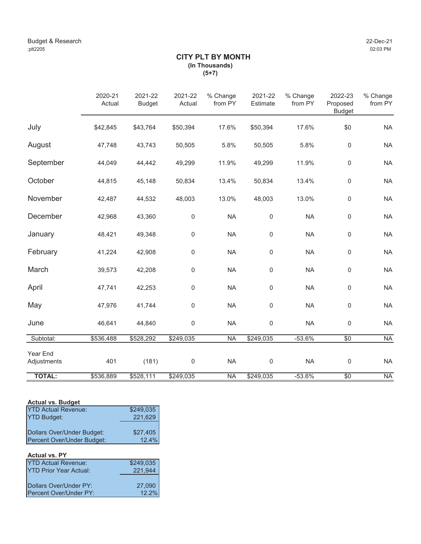# **CITY PLT BY MONTH (In Thousands) (5+7)**

|                         | 2020-21<br>Actual | 2021-22<br><b>Budget</b> | 2021-22<br>Actual | % Change<br>from PY | 2021-22<br>Estimate | % Change<br>from PY | 2022-23<br>Proposed<br><b>Budget</b> | % Change<br>from PY |
|-------------------------|-------------------|--------------------------|-------------------|---------------------|---------------------|---------------------|--------------------------------------|---------------------|
| July                    | \$42,845          | \$43,764                 | \$50,394          | 17.6%               | \$50,394            | 17.6%               | \$0                                  | <b>NA</b>           |
| August                  | 47,748            | 43,743                   | 50,505            | 5.8%                | 50,505              | 5.8%                | 0                                    | <b>NA</b>           |
| September               | 44,049            | 44,442                   | 49,299            | 11.9%               | 49,299              | 11.9%               | 0                                    | <b>NA</b>           |
| October                 | 44,815            | 45,148                   | 50,834            | 13.4%               | 50,834              | 13.4%               | $\mathbf 0$                          | <b>NA</b>           |
| November                | 42,487            | 44,532                   | 48,003            | 13.0%               | 48,003              | 13.0%               | $\mathbf 0$                          | <b>NA</b>           |
| December                | 42,968            | 43,360                   | $\mathbf 0$       | <b>NA</b>           | $\mathsf{0}$        | <b>NA</b>           | $\mathbf 0$                          | <b>NA</b>           |
| January                 | 48,421            | 49,348                   | 0                 | <b>NA</b>           | 0                   | <b>NA</b>           | $\mathsf 0$                          | <b>NA</b>           |
| February                | 41,224            | 42,908                   | 0                 | <b>NA</b>           | $\mathbf 0$         | <b>NA</b>           | $\mathbf 0$                          | <b>NA</b>           |
| March                   | 39,573            | 42,208                   | 0                 | <b>NA</b>           | $\mathbf 0$         | <b>NA</b>           | $\mathbf 0$                          | <b>NA</b>           |
| April                   | 47,741            | 42,253                   | 0                 | <b>NA</b>           | 0                   | <b>NA</b>           | $\mathbf 0$                          | <b>NA</b>           |
| May                     | 47,976            | 41,744                   | 0                 | <b>NA</b>           | $\mathbf 0$         | <b>NA</b>           | $\mathbf 0$                          | <b>NA</b>           |
| June                    | 46,641            | 44,840                   | $\mathbf 0$       | <b>NA</b>           | $\mathbf 0$         | <b>NA</b>           | $\mathsf 0$                          | <b>NA</b>           |
| Subtotal:               | \$536,488         | \$528,292                | \$249,035         | <b>NA</b>           | \$249,035           | $-53.6%$            | $\overline{50}$                      | <b>NA</b>           |
| Year End<br>Adjustments | 401               | (181)                    | $\mathbf 0$       | <b>NA</b>           | $\mathbf 0$         | <b>NA</b>           | $\mathsf 0$                          | <b>NA</b>           |
| <b>TOTAL:</b>           | \$536,889         | \$528,111                | \$249,035         | <b>NA</b>           | \$249,035           | $-53.6%$            | $\overline{50}$                      | <b>NA</b>           |

# **Actual vs. Budget**

| <b>YTD Actual Revenue:</b> | \$249,035 |
|----------------------------|-----------|
| <b>YTD Budget:</b>         | 221,629   |
|                            |           |
| Dollars Over/Under Budget: | \$27,405  |
| Percent Over/Under Budget: | 12.4%     |

#### **Actual vs. PY**

| <b>YTD Actual Revenue:</b>     | \$249,035       |
|--------------------------------|-----------------|
| <b>IYTD Prior Year Actual:</b> | 221,944         |
|                                |                 |
| Dollars Over/Under PY:         | 27,090<br>12.2% |
| Percent Over/Under PY:         |                 |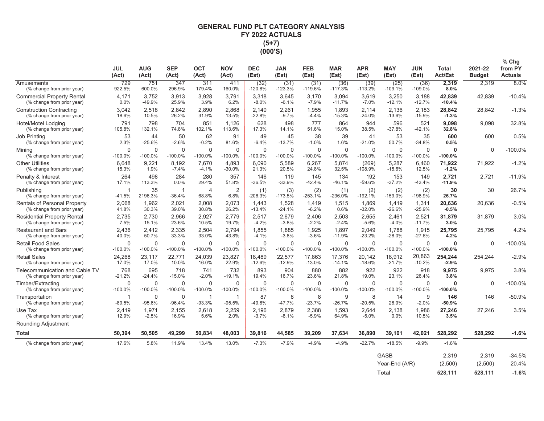# **GENERAL FUND PLT CATEGORY ANALYSIS** FY 2022 ACTUALS  $(5+7)$ (000'S)

|                                                                   | JUL<br>(Act)               | <b>AUG</b><br>(Act)      | <b>SEP</b><br>(Act)      | <b>OCT</b><br>(Act)       | <b>NOV</b><br>(Act)       | <b>DEC</b><br>(Est)      | JAN<br>(Est)           | FEB<br>(Est)              | <b>MAR</b><br>(Est)      | <b>APR</b><br>(Est)   | <b>MAY</b><br>(Est)           | <b>JUN</b><br>(Est)      | <b>Total</b><br><b>Act/Est</b> | 2021-22<br><b>Budget</b> | % Chg<br>from PY<br><b>Actuals</b> |
|-------------------------------------------------------------------|----------------------------|--------------------------|--------------------------|---------------------------|---------------------------|--------------------------|------------------------|---------------------------|--------------------------|-----------------------|-------------------------------|--------------------------|--------------------------------|--------------------------|------------------------------------|
| Amusements<br>(% change from prior year)                          | 729<br>922.5%              | 751<br>600.0%            | 347<br>296.9%            | 311<br>179.4%             | 411<br>160.0%             | (32)<br>$-120.8%$        | (31)<br>$-123.3%$      | (31)<br>$-119.6%$         | (36)<br>$-117.3%$        | (39)<br>$-113.2%$     | (25)<br>$-109.1%$             | (36)<br>$-109.0%$        | 2,319<br>8.0%                  | 2,319                    | 8.0%                               |
| <b>Commercial Property Rental</b><br>(% change from prior year)   | 4,171<br>0.0%              | 3,752<br>-49.9%          | 3,913<br>25.9%           | 3,928<br>3.9%             | 3,791<br>6.2%             | 3,318<br>$-8.0%$         | 3,645<br>$-6.1%$       | 3,170<br>$-7.9%$          | 3,094<br>$-11.7%$        | 3,619<br>$-7.0%$      | 3,250<br>$-12.1%$             | 3,188<br>$-12.7%$        | 42,839<br>$-10.4%$             | 42,839                   | $-10.4%$                           |
| <b>Construction Contracting</b><br>(% change from prior year)     | 3,042<br>18.6%             | 2,518<br>10.5%           | 2.842<br>26.2%           | 2,890<br>31.9%            | 2,868<br>13.5%            | 2.140<br>$-22.8%$        | 2,261<br>$-9.7%$       | 1,955<br>$-4.4%$          | 1.893<br>$-15.3%$        | 2,114<br>$-24.0%$     | 2,136<br>$-13.6%$             | 2,183<br>$-15.9%$        | 28,842<br>$-1.3%$              | 28,842                   | $-1.3%$                            |
| Hotel/Motel Lodging<br>(% change from prior year)                 | 791<br>105.8%              | 798<br>132.1%            | 704<br>74.8%             | 851<br>102.1%             | 1.126<br>113.6%           | 628<br>17.3%             | 498<br>14.1%           | 777<br>51.6%              | 864<br>15.0%             | 944<br>38.5%          | 596<br>$-37.8%$               | 521<br>$-42.1%$          | 9.098<br>32.8%                 | 9.098                    | 32.8%                              |
| <b>Job Printing</b><br>(% change from prior year)                 | 53<br>2.3%                 | 44<br>$-25.6%$           | 50<br>$-2.6%$            | 62<br>$-0.2%$             | 91<br>81.6%               | 49<br>$-6.4%$            | 45<br>$-13.7%$         | 38<br>$-1.0%$             | 39<br>1.6%               | 41<br>$-21.0%$        | 53<br>50.7%                   | 35<br>$-34.8%$           | 600<br>0.5%                    | 600                      | 0.5%                               |
| Mining<br>(% change from prior year)                              | $\mathbf 0$<br>$-100.0%$   | $\mathbf 0$<br>$-100.0%$ | $\mathbf 0$<br>$-100.0%$ | $\mathbf 0$<br>$-100.0\%$ | $\mathbf 0$<br>$-100.0\%$ | $\mathbf 0$<br>$-100.0%$ | $\mathbf 0$<br>-100.0% | $\mathbf 0$<br>$-100.0\%$ | $\mathbf 0$<br>$-100.0%$ | 0<br>$-100.0%$        | $\mathbf 0$<br>$-100.0%$      | $\mathbf 0$<br>$-100.0%$ | 0<br>$-100.0%$                 | $\Omega$                 | $-100.0%$                          |
| <b>Other Utilities</b><br>(% change from prior year)              | 6.648<br>15.3%             | 9.221<br>1.9%            | 8.192<br>$-7.4%$         | 7.670<br>$-4.1%$          | 4.893<br>$-30.0%$         | 6.090<br>21.3%           | 5.589<br>20.5%         | 6.267<br>24.8%            | 5,874<br>32.5%           | (269)<br>$-108.9%$    | 5,287<br>$-15.6%$             | 6.460<br>12.5%           | 71,922<br>$-1.2%$              | 71.922                   | $-1.2%$                            |
| Penalty & Interest<br>(% change from prior year)                  | 264<br>17.1%               | 498<br>113.3%            | 284<br>0.0%              | 280<br>29.4%              | 357<br>51.8%              | 146<br>$-36.5%$          | 119<br>-33.9%          | 145<br>$-42.4%$           | 134<br>$-46.1%$          | 192<br>$-59.6%$       | 153<br>$-37.2%$               | 149<br>$-43.4%$          | 2,721<br>$-11.9%$              | 2,721                    | $-11.9%$                           |
| Publishing<br>(% change from prior year)                          | $\overline{1}$<br>$-41.5%$ | 35<br>2196.3%            | $\mathbf{1}$<br>$-36.4%$ | $\overline{4}$<br>68.8%   | $\overline{2}$<br>6.8%    | (1)<br>$-206.3%$         | (3)<br>$-173.5%$       | (2)<br>$-253.1%$          | (1)<br>-236.0%           | (2)<br>$-192.1%$      | (2)<br>-159.0%                | (2)<br>-198.9%           | 30<br>26.7%                    | 30                       | 26.7%                              |
| <b>Rentals of Personal Property</b><br>(% change from prior year) | 2.068<br>41.8%             | 1.962<br>30.3%           | 2.021<br>39.0%           | 2.008<br>30.8%            | 2,073<br>26.2%            | 1.443<br>$-13.4%$        | 1,528<br>$-24.1%$      | 1.419<br>$-6.2%$          | 1,515<br>0.6%            | 1,869<br>$-32.0%$     | 1,419<br>$-26.6%$             | 1,311<br>$-25.9%$        | 20,636<br>$-0.5%$              | 20.636                   | $-0.5%$                            |
| <b>Residential Property Rental</b><br>(% change from prior year)  | 2,735<br>7.5%              | 2,730<br>15.1%           | 2,966<br>23.6%           | 2,927<br>10.5%            | 2,779<br>19.7%            | 2,517<br>$-4.2%$         | 2,679<br>$-3.8%$       | 2,406<br>$-2.2%$          | 2,503<br>$-2.4%$         | 2,655<br>$-5.6%$      | 2,461<br>$-4.0%$              | 2,521<br>$-11.7%$        | 31,879<br>3.0%                 | 31,879                   | 3.0%                               |
| <b>Restaurant and Bars</b><br>(% change from prior year)          | 2.436<br>40.0%             | 2.412<br>50.7%           | 2.335<br>33.3%           | 2.504<br>33.0%            | 2.794<br>43.8%            | 1.855<br>$-4.1%$         | 1.885<br>$-3.8%$       | 1.925<br>$-3.6%$          | 1.897<br>$-11.9%$        | 2.049<br>$-23.2%$     | 1.788<br>$-28.0%$             | 1,915<br>$-27.6%$        | 25,795<br>4.2%                 | 25.795                   | 4.2%                               |
| <b>Retail Food Sales</b><br>(% change from prior year)            | $\Omega$<br>$-100.0%$      | $\Omega$<br>$-100.0%$    | $\Omega$<br>$-100.0%$    | $\Omega$<br>$-100.0%$     | $\Omega$<br>$-100.0%$     | $\Omega$<br>$-100.0%$    | $\Omega$<br>$-100.0%$  | $\Omega$<br>$-100.0%$     | $\Omega$<br>$-100.0%$    | $\Omega$<br>$-100.0%$ | $\Omega$<br>$-100.0%$         | $\Omega$<br>$-100.0%$    | $\mathbf{0}$<br>$-100.0%$      | $\Omega$                 | $-100.0\%$                         |
| <b>Retail Sales</b><br>(% change from prior year)                 | 24,268<br>17.0%            | 23,117<br>17.0%          | 22,771<br>10.0%          | 24,039<br>16.0%           | 23,827<br>22.9%           | 18,489<br>$-12.6%$       | 22,577<br>$-12.9%$     | 17,863<br>$-13.0%$        | 17,376<br>$-14.1%$       | 20,142<br>$-18.6%$    | 18,912<br>$-21.7%$            | 20,863<br>$-10.2%$       | 254,244<br>$-2.9%$             | 254,244                  | $-2.9%$                            |
| Telecommunication and Cable TV<br>(% change from prior year)      | 768<br>$-21.2%$            | 695<br>$-24.4%$          | 718<br>$-15.0%$          | 741<br>$-2.0%$            | 732<br>$-19.1%$           | 893<br>19.4%             | 904<br>16.7%           | 880<br>23.6%              | 882<br>21.8%             | 922<br>19.0%          | 922<br>23.1%                  | 918<br>26.4%             | 9,975<br>3.8%                  | 9.975                    | 3.8%                               |
| Timber/Extracting<br>(% change from prior year)                   | $\Omega$<br>$-100.0%$      | $\Omega$<br>$-100.0%$    | $\Omega$<br>$-100.0%$    | $\Omega$<br>$-100.0%$     | $\Omega$<br>$-100.0%$     | $\Omega$<br>$-100.0%$    | $\Omega$<br>$-100.0%$  | $\Omega$<br>$-100.0%$     | $\Omega$<br>$-100.0%$    | $\Omega$<br>$-100.0%$ | $\Omega$<br>$-100.0%$         | $\Omega$<br>$-100.0%$    | $\Omega$<br>$-100.0%$          | $\Omega$                 | $-100.0%$                          |
| Transportation<br>(% change from prior year)                      | -1<br>$-89.5%$             | $\Omega$<br>$-95.6%$     | $\mathbf 0$<br>$-96.4%$  | -1<br>$-93.3%$            | 1<br>$-95.5%$             | 87<br>-49.8%             | 8<br>$-47.7%$          | 8<br>$-23.7%$             | 9<br>$-26.7%$            | 8<br>$-20.5%$         | 14<br>28.9%                   | 9<br>$-2.0%$             | 146<br>$-50.9%$                | 146                      | $-50.9%$                           |
| Use Tax<br>(% change from prior year)                             | 2,419<br>12.9%             | 1,971<br>$-2.5%$         | 2,155<br>16.9%           | 2,618<br>5.6%             | 2,259<br>2.0%             | 2,196<br>$-3.7%$         | 2,879<br>$-8.1%$       | 2,388<br>$-5.9%$          | 1,593<br>64.9%           | 2,644<br>$-5.0%$      | 2,138<br>0.0%                 | 1,986<br>10.5%           | 27,246<br>3.5%                 | 27,246                   | 3.5%                               |
| Rounding Adjustment                                               |                            |                          |                          |                           |                           |                          |                        |                           |                          |                       |                               |                          |                                |                          |                                    |
| <b>Total</b>                                                      | 50,394                     | 50,505                   | 49,299                   | 50,834                    | 48,003                    | 39,816                   | 44,585                 | 39,209                    | 37,634                   | 36,890                | 39,101                        | 42,021                   | 528,292                        | 528,292                  | $-1.6%$                            |
| (% change from prior year)                                        | 17.6%                      | 5.8%                     | 11.9%                    | 13.4%                     | 13.0%                     | $-7.3%$                  | $-7.9%$                | $-4.9%$                   | $-4.9%$                  | $-22.7%$              | $-18.5%$                      | $-9.9%$                  | $-1.6%$                        |                          |                                    |
|                                                                   |                            |                          |                          |                           |                           |                          |                        |                           |                          |                       | <b>GASB</b><br>Year-End (A/R) |                          | 2,319<br>(2,500)               | 2,319<br>(2,500)         | $-34.5%$<br>20.4%                  |

**Total**  $\overline{528,111}$   $\overline{528,111}$   $\overline{-1.6\%}$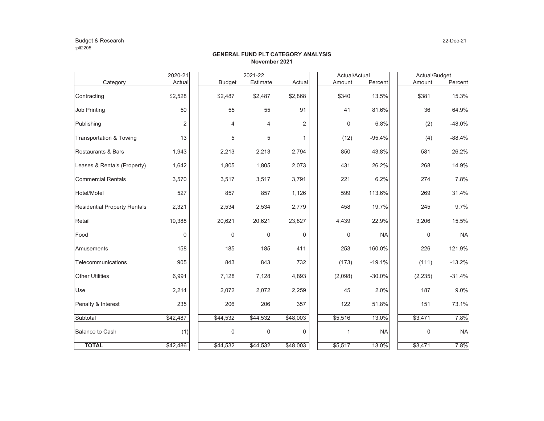#### Budget & Research 22-Dec-21 :plt2205

#### **GENERAL FUND PLT CATEGORY ANALYSISNovember 2021**

|                                     | 2020-21        |               | $2021 - 22$ |              | Actual/Actual    |           |          |       | Actual/Budget |
|-------------------------------------|----------------|---------------|-------------|--------------|------------------|-----------|----------|-------|---------------|
| Category                            | Actual         | <b>Budget</b> | Estimate    | Actual       | Amount           | Percent   | Amount   |       | Percent       |
| Contracting                         | \$2,528        | \$2,487       | \$2,487     | \$2,868      | \$340            | 13.5%     | \$381    |       | 15.3%         |
| <b>Job Printing</b>                 | 50             | 55            | 55          | 91           | 41               | 81.6%     |          | 36    | 64.9%         |
| Publishing                          | $\overline{2}$ | 4             | 4           | 2            | $\boldsymbol{0}$ | 6.8%      |          | (2)   | -48.0%        |
| Transportation & Towing             | 13             | 5             | 5           | $\mathbf{1}$ | (12)             | $-95.4%$  |          | (4)   | $-88.4%$      |
| Restaurants & Bars                  | 1,943          | 2,213         | 2,213       | 2,794        | 850              | 43.8%     |          | 581   | 26.2%         |
| Leases & Rentals (Property)         | 1,642          | 1,805         | 1,805       | 2,073        | 431              | 26.2%     |          | 268   | 14.9%         |
| <b>Commercial Rentals</b>           | 3,570          | 3,517         | 3,517       | 3,791        | 221              | 6.2%      |          | 274   | 7.8%          |
| Hotel/Motel                         | 527            | 857           | 857         | 1,126        | 599              | 113.6%    |          | 269   | 31.4%         |
| <b>Residential Property Rentals</b> | 2,321          | 2,534         | 2,534       | 2,779        | 458              | 19.7%     |          | 245   | 9.7%          |
| Retail                              | 19,388         | 20,621        | 20,621      | 23,827       | 4,439            | 22.9%     | 3,206    |       | 15.5%         |
| Food                                | 0              | 0             | 0           | 0            | 0                | <b>NA</b> |          | 0     | <b>NA</b>     |
| Amusements                          | 158            | 185           | 185         | 411          | 253              | 160.0%    |          | 226   | 121.9%        |
| Telecommunications                  | 905            | 843           | 843         | 732          | (173)            | $-19.1%$  |          | (111) | $-13.2%$      |
| <b>Other Utilities</b>              | 6,991          | 7,128         | 7,128       | 4,893        | (2,098)          | $-30.0%$  | (2, 235) |       | $-31.4%$      |
| Use                                 | 2,214          | 2,072         | 2,072       | 2,259        | 45               | 2.0%      |          | 187   | 9.0%          |
| Penalty & Interest                  | 235            | 206           | 206         | 357          | 122              | 51.8%     |          | 151   | 73.1%         |
| Subtotal                            | \$42,487       | \$44,532      | \$44,532    | \$48,003     | \$5,516          | 13.0%     | \$3,471  |       | 7.8%          |
| <b>Balance to Cash</b>              | (1)            | 0             | $\mathbf 0$ | 0            | 1                | <b>NA</b> |          | 0     | <b>NA</b>     |
| <b>TOTAL</b>                        | \$42,486       | \$44,532      | \$44,532    | \$48,003     | \$5,517          | 13.0%     | \$3,471  |       | 7.8%          |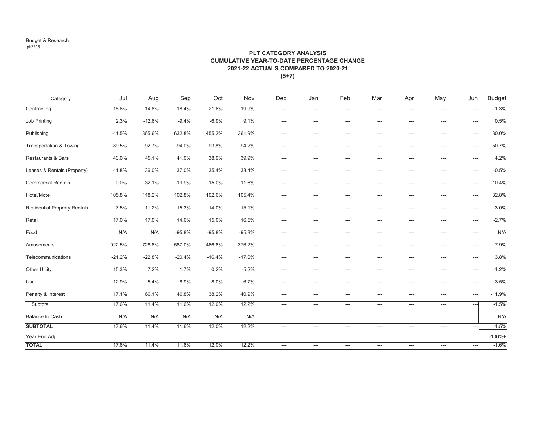#### Budget & Research :plt2205

#### **PLT CATEGORY ANALYSIS CUMULATIVE YEAR-TO-DATE PERCENTAGE CHANGE2021-22 ACTUALS COMPARED TO 2020-21 (5+7)**

| Category                            | Jul      | Aug      | Sep      | Oct      | Nov      | Dec                      | Jan            | Feb                      | Mar                       | Apr                      | May                           | Jun                           | <b>Budget</b> |
|-------------------------------------|----------|----------|----------|----------|----------|--------------------------|----------------|--------------------------|---------------------------|--------------------------|-------------------------------|-------------------------------|---------------|
| Contracting                         | 18.6%    | 14.8%    | 18.4%    | 21.6%    | 19.9%    | ---                      | $\overline{a}$ | ---                      | ---                       | ---                      | $---$                         | $\overline{a}$                | $-1.3%$       |
| Job Printing                        | 2.3%     | $-12.6%$ | $-9.4%$  | $-6.9%$  | 9.1%     | ---                      | ---            | ---                      | ---                       | ---                      | ---                           | $\overline{\phantom{a}}$      | 0.5%          |
| Publishing                          | $-41.5%$ | 865.6%   | 632.8%   | 455.2%   | 361.9%   | $---$                    | $---$          | ---                      | $---$                     | ---                      | $\qquad \qquad \cdots$        | $\hspace{1.5cm} \textbf{---}$ | 30.0%         |
| Transportation & Towing             | $-89.5%$ | $-92.7%$ | $-94.0%$ | $-93.8%$ | $-94.2%$ | ---                      | ---            | ---                      | ---                       | ---                      | $\hspace{1.5cm} \textbf{---}$ | $\overline{\phantom{a}}$      | $-50.7%$      |
| Restaurants & Bars                  | 40.0%    | 45.1%    | 41.0%    | 38.9%    | 39.9%    | ---                      | ---            | ---                      | ---                       | ---                      | $---$                         | $---$                         | 4.2%          |
| Leases & Rentals (Property)         | 41.8%    | 36.0%    | 37.0%    | 35.4%    | 33.4%    | $---$                    | ---            | ---                      | $---$                     | ---                      | $\hspace{1.5cm} \dots$        | $\overline{\phantom{a}}$      | $-0.5%$       |
| <b>Commercial Rentals</b>           | 0.0%     | $-32.1%$ | $-19.9%$ | $-15.0%$ | $-11.6%$ | ---                      | ---            | ---                      | ---                       | ---                      | ---                           | $---$                         | $-10.4%$      |
| Hotel/Motel                         | 105.8%   | 118.2%   | 102.8%   | 102.6%   | 105.4%   | ---                      | ---            | ---                      | ---                       | ---                      | ---                           | $\overline{\phantom{a}}$      | 32.8%         |
| <b>Residential Property Rentals</b> | 7.5%     | 11.2%    | 15.3%    | 14.0%    | 15.1%    | ---                      | ---            | ---                      | ---                       | ---                      | ---                           | $---$                         | 3.0%          |
| Retail                              | 17.0%    | 17.0%    | 14.6%    | 15.0%    | 16.5%    | $---$                    | ---            | ---                      | $---$                     | ---                      | $\hspace{1.5cm} \dots$        | $---$                         | $-2.7%$       |
| Food                                | N/A      | N/A      | $-95.8%$ | $-95.8%$ | $-95.8%$ | ---                      | ---            | ---                      | ---                       | ---                      | ---                           | $\qquad \qquad \cdots$        | N/A           |
| Amusements                          | 922.5%   | 728.8%   | 587.0%   | 466.8%   | 376.2%   | $---$                    | ---            | ---                      | ---                       | ---                      | ---                           | $\hspace{1.5cm} \textbf{---}$ | 7.9%          |
| Telecommunications                  | $-21.2%$ | $-22.8%$ | $-20.4%$ | $-16.4%$ | $-17.0%$ | $---$                    | ---            | ---                      | ---                       | ---                      | ---                           | $\overline{\phantom{a}}$      | 3.8%          |
| <b>Other Utility</b>                | 15.3%    | 7.2%     | 1.7%     | 0.2%     | $-5.2%$  | ---                      | ---            | ---                      | $---$                     | ---                      | $---$                         | $---$                         | $-1.2%$       |
| Use                                 | 12.9%    | 5.4%     | 8.9%     | 8.0%     | 6.7%     | $---$                    | ---            | ---                      | ---                       | ---                      | ---                           | $\overline{\phantom{a}}$      | 3.5%          |
| Penalty & Interest                  | 17.1%    | 66.1%    | 40.8%    | 38.2%    | 40.9%    | ---                      | ---            | ---                      | ---                       | ---                      | ---                           | $\qquad \qquad \cdots$        | $-11.9%$      |
| Subtotal                            | 17.6%    | 11.4%    | 11.6%    | 12.0%    | 12.2%    | ---                      | $---$          | $---$                    | $\qquad \qquad -\qquad -$ | ---                      | $\qquad \qquad -$             | $\overline{a}$                | $-1.5%$       |
| Balance to Cash                     | N/A      | N/A      | N/A      | N/A      | N/A      |                          |                |                          |                           |                          |                               |                               | N/A           |
| <b>SUBTOTAL</b>                     | 17.6%    | 11.4%    | 11.6%    | 12.0%    | 12.2%    | $\qquad \qquad - \qquad$ | ---            | $\hspace{0.05cm} \ldots$ | $\hspace{0.05cm} \ldots$  | $\hspace{0.05cm} \ldots$ | $\hspace{0.05cm} \ldots$      | $\overline{\phantom{a}}$      | $-1.5%$       |
| Year End Adj.                       |          |          |          |          |          |                          |                |                          |                           |                          |                               |                               | $-100% +$     |
| <b>TOTAL</b>                        | 17.6%    | 11.4%    | 11.6%    | 12.0%    | 12.2%    | ---                      | ---            | ---                      | $\hspace{0.05cm} \ldots$  | ---                      | $\hspace{0.05cm} \ldots$      | $\hspace{0.05cm} \ldots$      | $-1.6%$       |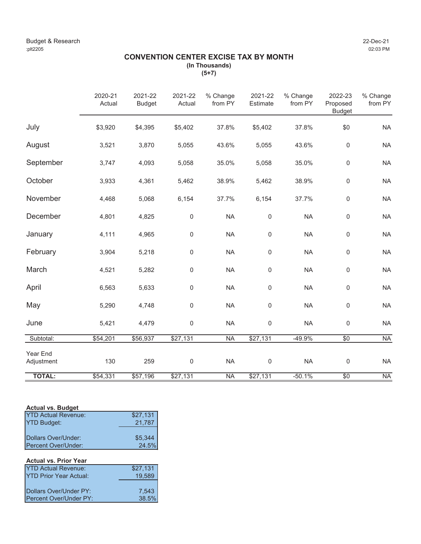# **CONVENTION CENTER EXCISE TAX BY MONTH (In Thousands)**

**(5+7)**

|                        | 2020-21<br>Actual | 2021-22<br><b>Budget</b> | 2021-22<br>Actual | % Change<br>from PY | 2021-22<br>Estimate | % Change<br>from PY | 2022-23<br>Proposed<br><b>Budget</b> | % Change<br>from PY |
|------------------------|-------------------|--------------------------|-------------------|---------------------|---------------------|---------------------|--------------------------------------|---------------------|
| July                   | \$3,920           | \$4,395                  | \$5,402           | 37.8%               | \$5,402             | 37.8%               | \$0                                  | <b>NA</b>           |
| August                 | 3,521             | 3,870                    | 5,055             | 43.6%               | 5,055               | 43.6%               | $\mathsf 0$                          | <b>NA</b>           |
| September              | 3,747             | 4,093                    | 5,058             | 35.0%               | 5,058               | 35.0%               | $\mathsf 0$                          | <b>NA</b>           |
| October                | 3,933             | 4,361                    | 5,462             | 38.9%               | 5,462               | 38.9%               | $\mathsf 0$                          | <b>NA</b>           |
| November               | 4,468             | 5,068                    | 6,154             | 37.7%               | 6,154               | 37.7%               | $\mathsf 0$                          | <b>NA</b>           |
| December               | 4,801             | 4,825                    | $\mathsf 0$       | <b>NA</b>           | $\mathsf{0}$        | <b>NA</b>           | 0                                    | <b>NA</b>           |
| January                | 4,111             | 4,965                    | $\mathbf 0$       | <b>NA</b>           | $\mathsf{O}\xspace$ | <b>NA</b>           | 0                                    | <b>NA</b>           |
| February               | 3,904             | 5,218                    | $\mathbf 0$       | <b>NA</b>           | $\mathsf{0}$        | <b>NA</b>           | $\boldsymbol{0}$                     | <b>NA</b>           |
| March                  | 4,521             | 5,282                    | $\mathbf 0$       | <b>NA</b>           | $\mathsf{O}\xspace$ | <b>NA</b>           | 0                                    | <b>NA</b>           |
| April                  | 6,563             | 5,633                    | $\mathbf 0$       | <b>NA</b>           | $\mathsf{O}\xspace$ | <b>NA</b>           | 0                                    | <b>NA</b>           |
| May                    | 5,290             | 4,748                    | $\mathbf 0$       | <b>NA</b>           | $\mathsf{O}\xspace$ | <b>NA</b>           | 0                                    | <b>NA</b>           |
| June                   | 5,421             | 4,479                    | $\mathbf 0$       | <b>NA</b>           | $\mathbf 0$         | <b>NA</b>           | $\pmb{0}$                            | <b>NA</b>           |
| Subtotal:              | \$54,201          | \$56,937                 | \$27,131          | <b>NA</b>           | \$27,131            | $-49.9%$            | $\overline{50}$                      | <b>NA</b>           |
| Year End<br>Adjustment | 130               | 259                      | $\mathbf 0$       | <b>NA</b>           | $\mathsf{O}\xspace$ | <b>NA</b>           | $\mathsf 0$                          | <b>NA</b>           |
| <b>TOTAL:</b>          | \$54,331          | \$57,196                 | \$27,131          | <b>NA</b>           | \$27,131            | $-50.1%$            | $\overline{50}$                      | <b>NA</b>           |

### **Actual vs. Budget**

| <b>YTD Actual Revenue:</b> | \$27,131 |
|----------------------------|----------|
| <b>YTD Budget:</b>         | 21,787   |
|                            |          |
| Dollars Over/Under:        | \$5,344  |
| Percent Over/Under:        | 24.5%    |

# **Actual vs. Prior Year** YTD Actual Revenue: \$27,131<br>YTD Prior Year Actual: 19,589 YTD Prior Year Actual: Dollars Over/Under PY: 7,543<br>Percent Over/Under PY: 38.5% Percent Over/Under PY: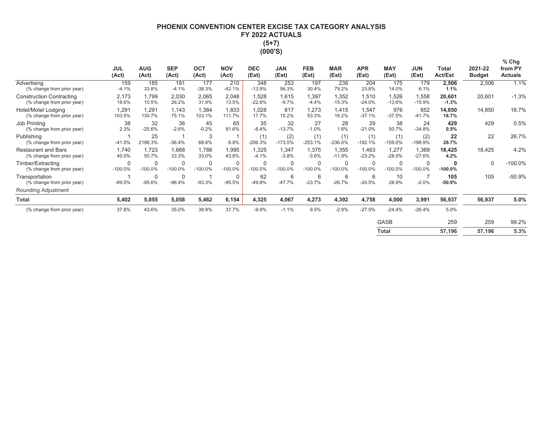# **PHOENIX CONVENTION CENTER EXCISE TAX CATEGORY ANALYSIS** FY 2022 ACTUALS  $(5+7)$ (000'S)

|                                                               | <b>JUL</b><br>(Act) | <b>AUG</b><br>(Act) | <b>SEP</b><br>(Act)      | <b>OCT</b><br>(Act)      | <b>NOV</b><br>(Act)      | <b>DEC</b><br>(Est) | <b>JAN</b><br>(Est)   | <b>FEB</b><br>(Est)   | <b>MAR</b><br>(Est)      | <b>APR</b><br>(Est) | <b>MAY</b><br>(Est) | <b>JUN</b><br>(Est)      | Total<br><b>Act/Est</b> | 2021-22<br><b>Budget</b> | $%$ Chg<br>from PY<br><b>Actuals</b> |
|---------------------------------------------------------------|---------------------|---------------------|--------------------------|--------------------------|--------------------------|---------------------|-----------------------|-----------------------|--------------------------|---------------------|---------------------|--------------------------|-------------------------|--------------------------|--------------------------------------|
| Advertising<br>(% change from prior year)                     | 159<br>$-4.1%$      | 185<br>33.8%        | 181<br>$-4.1%$           | 177<br>$-38.3%$          | 210<br>$-42.1%$          | 348<br>$-13.9%$     | 253<br>56.3%          | 197<br>30.4%          | 238<br>79.2%             | 204<br>23.8%        | 175<br>14.0%        | 179<br>6.1%              | 2,506<br>1.1%           | 2,506                    | 1.1%                                 |
| <b>Construction Contracting</b><br>(% change from prior year) | 2,173<br>18.6%      | 1,799<br>10.5%      | 2,030<br>26.2%           | 2,065<br>31.9%           | 2,048<br>13.5%           | 1,528<br>$-22.8%$   | 1,615<br>$-9.7%$      | 1,397<br>$-4.4%$      | 1,352<br>$-15.3%$        | 1,510<br>$-24.0%$   | 1,526<br>$-13.6%$   | 1,558<br>$-15.9%$        | 20,601<br>$-1.3%$       | 20,601                   | $-1.3%$                              |
| Hotel/Motel Lodging<br>(% change from prior year)             | 1,291<br>103.5%     | 1,291<br>130.7%     | 1,143<br>75.1%           | 1,384<br>103.1%          | 1,833<br>111.7%          | 1,028<br>17.7%      | 817<br>15.2%          | 1,273<br>53.3%        | 1,415<br>16.2%           | 1,547<br>$-37.1%$   | 976<br>$-37.5%$     | 852<br>$-41.7%$          | 14,850<br>18.7%         | 14,850                   | 18.7%                                |
| Job Printing<br>(% change from prior year)                    | 38<br>2.3%          | 32<br>$-25.6%$      | 36<br>$-2.6%$            | 45<br>$-0.2%$            | 65<br>81.6%              | 35<br>$-6.4%$       | 32<br>$-13.7%$        | 27<br>$-1.0%$         | 28<br>1.6%               | 29<br>$-21.0%$      | 38<br>50.7%         | 24<br>$-34.8%$           | 429<br>0.5%             | 429                      | 0.5%                                 |
| Publishing<br>(% change from prior year)                      | 1<br>$-41.5%$       | 25<br>2196.3%       | $-36.4%$                 | 3<br>68.8%               | 6.8%                     | (1)<br>$-206.3%$    | (2)<br>$-173.5%$      | (1)<br>$-253.1%$      | (1)<br>$-236.0%$         | (1)<br>$-192.1%$    | (1)<br>$-159.0%$    | (2)<br>$-198.9%$         | 22<br>26.7%             | 22                       | 26.7%                                |
| <b>Restaurant and Bars</b><br>(% change from prior year)      | 1,740<br>40.0%      | 1,723<br>50.7%      | 1,668<br>33.3%           | 1,788<br>33.0%           | 1,995<br>43.8%           | 1,325<br>$-4.1%$    | 1,347<br>$-3.8%$      | 1,375<br>$-3.6%$      | 1,355<br>$-11.9%$        | 1,463<br>$-23.2%$   | 1,277<br>$-28.0%$   | 1,369<br>$-27.6%$        | 18,425<br>4.2%          | 18,425                   | 4.2%                                 |
| Timber/Extracting<br>(% change from prior year)               | 0<br>$-100.0\%$     | 0<br>$-100.0\%$     | $\mathbf 0$<br>$-100.0%$ | $\mathbf 0$<br>$-100.0%$ | $\mathbf 0$<br>$-100.0%$ | 0<br>$-100.0%$      | $\Omega$<br>$-100.0%$ | $\Omega$<br>$-100.0%$ | $\mathbf 0$<br>$-100.0%$ | 0<br>$-100.0%$      | 0<br>$-100.0%$      | $\mathbf 0$<br>$-100.0%$ | 0<br>$-100.0%$          | $\Omega$                 | $-100.0%$                            |
| Transportation<br>(% change from prior year)                  | $-89.5%$            | 0<br>$-95.6%$       | $\mathbf 0$<br>$-96.4%$  | $-93.3%$                 | $\mathbf 0$<br>$-95.5%$  | 62<br>$-49.8%$      | 6<br>$-47.7%$         | 6<br>$-23.7%$         | 6<br>$-26.7%$            | 6<br>$-20.5%$       | 10<br>28.9%         | $-2.0%$                  | 105<br>$-50.9%$         | 105                      | $-50.9%$                             |
| Rounding Adjustment                                           |                     |                     |                          |                          |                          |                     |                       |                       |                          |                     |                     |                          |                         |                          |                                      |
| <b>Total</b>                                                  | 5,402               | 5,055               | 5,058                    | 5,462                    | 6,154                    | 4,325               | 4,067                 | 4,273                 | 4,392                    | 4,758               | 4,000               | 3,991                    | 56,937                  | 56,937                   | 5.0%                                 |
| (% change from prior year)                                    | 37.8%               | 43.6%               | 35.0%                    | 38.9%                    | 37.7%                    | $-9.9%$             | $-1.1%$               | 9.5%                  | $-2.9%$                  | $-27.5%$            | $-24.4%$            | $-26.4%$                 | 5.0%                    |                          |                                      |
|                                                               |                     |                     |                          |                          |                          |                     |                       |                       |                          |                     | <b>GASB</b>         |                          | 259                     | 259                      | 99.2%                                |
|                                                               |                     |                     |                          |                          |                          |                     |                       |                       |                          |                     | <b>Total</b>        |                          | 57,196                  | 57,196                   | 5.3%                                 |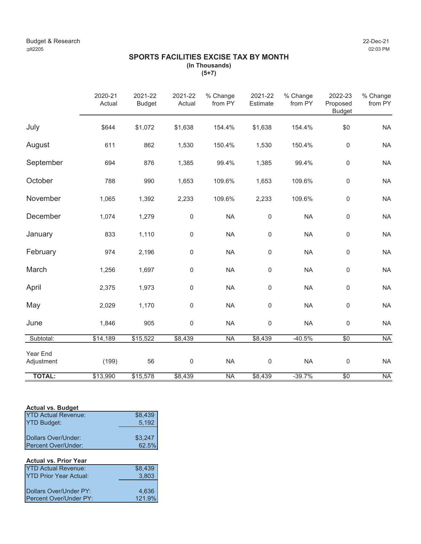# **SPORTS FACILITIES EXCISE TAX BY MONTH (In Thousands)**

**(5+7)**

|                        | 2020-21<br>Actual | 2021-22<br><b>Budget</b> | 2021-22<br>Actual | % Change<br>from PY | 2021-22<br>Estimate | % Change<br>from PY | 2022-23<br>Proposed<br><b>Budget</b> | % Change<br>from PY |
|------------------------|-------------------|--------------------------|-------------------|---------------------|---------------------|---------------------|--------------------------------------|---------------------|
| July                   | \$644             | \$1,072                  | \$1,638           | 154.4%              | \$1,638             | 154.4%              | \$0                                  | <b>NA</b>           |
| August                 | 611               | 862                      | 1,530             | 150.4%              | 1,530               | 150.4%              | $\mathsf 0$                          | <b>NA</b>           |
| September              | 694               | 876                      | 1,385             | 99.4%               | 1,385               | 99.4%               | $\mathsf 0$                          | <b>NA</b>           |
| October                | 788               | 990                      | 1,653             | 109.6%              | 1,653               | 109.6%              | 0                                    | <b>NA</b>           |
| November               | 1,065             | 1,392                    | 2,233             | 109.6%              | 2,233               | 109.6%              | $\mathsf 0$                          | <b>NA</b>           |
| December               | 1,074             | 1,279                    | 0                 | <b>NA</b>           | $\mathsf 0$         | <b>NA</b>           | 0                                    | <b>NA</b>           |
| January                | 833               | 1,110                    | 0                 | <b>NA</b>           | $\mathsf 0$         | <b>NA</b>           | 0                                    | <b>NA</b>           |
| February               | 974               | 2,196                    | 0                 | <b>NA</b>           | $\mathsf 0$         | <b>NA</b>           | $\mathsf 0$                          | <b>NA</b>           |
| March                  | 1,256             | 1,697                    | 0                 | <b>NA</b>           | 0                   | <b>NA</b>           | 0                                    | <b>NA</b>           |
| April                  | 2,375             | 1,973                    | 0                 | <b>NA</b>           | $\mathsf 0$         | <b>NA</b>           | 0                                    | <b>NA</b>           |
| May                    | 2,029             | 1,170                    | 0                 | <b>NA</b>           | 0                   | <b>NA</b>           | 0                                    | <b>NA</b>           |
| June                   | 1,846             | 905                      | $\mathbf 0$       | <b>NA</b>           | $\mathsf 0$         | <b>NA</b>           | 0                                    | <b>NA</b>           |
| Subtotal:              | \$14,189          | \$15,522                 | \$8,439           | <b>NA</b>           | \$8,439             | $-40.5%$            | $\overline{50}$                      | <b>NA</b>           |
| Year End<br>Adjustment | (199)             | 56                       | $\mathbf 0$       | <b>NA</b>           | $\mathsf 0$         | <b>NA</b>           | $\mathsf 0$                          | <b>NA</b>           |
| <b>TOTAL:</b>          | \$13,990          | \$15,578                 | \$8,439           | <b>NA</b>           | \$8,439             | $-39.7%$            | $\overline{50}$                      | NA                  |

### **Actual vs. Budget**

| <b>YTD Actual Revenue:</b> | \$8,439 |
|----------------------------|---------|
| <b>YTD Budget:</b>         | 5.192   |
|                            |         |
| Dollars Over/Under:        | \$3,247 |
| Percent Over/Under:        | 62.5%   |

# **Actual vs. Prior Year**

| <b>YTD Actual Revenue:</b>    | \$8.439 |
|-------------------------------|---------|
| <b>YTD Prior Year Actual:</b> | 3.803   |
|                               |         |
| Dollars Over/Under PY:        | 4.636   |
| Percent Over/Under PY:        | 121.9%  |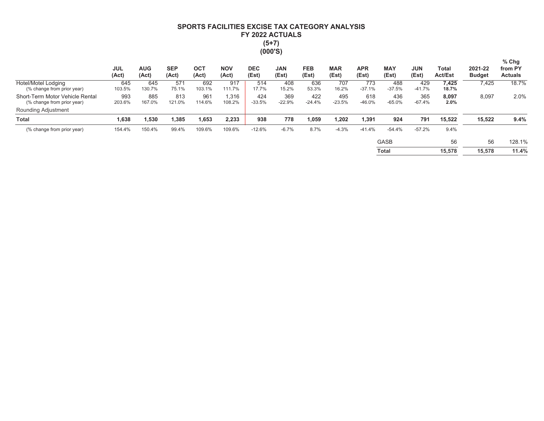# SPORTS FACILITIES EXCISE TAX CATEGORY ANALYSIS FY 2022 ACTUALS  $(5+7)$  $(000'S)$

|                                                               | <b>JUL</b><br>(Act) | <b>AUG</b><br>(Act) | <b>SEP</b><br>(Act) | OCT<br>(Act)  | <b>NOV</b><br>(Act) | <b>DEC</b><br>(Est) | <b>JAN</b><br>(Est) | <b>FEB</b><br>(Est) | <b>MAR</b><br>(Est) | <b>APR</b><br>(Est) | <b>MAY</b><br>(Est) | <b>JUN</b><br>(Est) | Total<br><b>Act/Est</b> | 2021-22<br><b>Budget</b> | $%$ Chg<br>from PY<br><b>Actuals</b> |
|---------------------------------------------------------------|---------------------|---------------------|---------------------|---------------|---------------------|---------------------|---------------------|---------------------|---------------------|---------------------|---------------------|---------------------|-------------------------|--------------------------|--------------------------------------|
| Hotel/Motel Lodging<br>(% change from prior year)             | 645<br>103.5%       | 645<br>130.7%       | 571<br>75.1%        | 692<br>103.1% | 917<br>111.7%       | 514<br>17.7%        | 408<br>15.2%        | 636<br>53.3%        | 707<br>16.2%        | 773<br>$-37.1%$     | 488<br>$-37.5%$     | 429<br>$-41.7%$     | 7,425<br>18.7%          | 7,425                    | 18.7%                                |
| Short-Term Motor Vehicle Rental<br>(% change from prior year) | 993<br>203.6%       | 885<br>167.0%       | 813<br>121.0%       | 961<br>114.6% | 1.316<br>108.2%     | 424<br>$-33.5%$     | 369<br>$-22.9%$     | 422<br>$-24.4%$     | 495<br>$-23.5%$     | 618<br>$-46.0%$     | 436<br>$-65.0%$     | 365<br>$-67.4%$     | 8,097<br>2.0%           | 8,097                    | 2.0%                                 |
| <b>Rounding Adjustment</b>                                    |                     |                     |                     |               |                     |                     |                     |                     |                     |                     |                     |                     |                         |                          |                                      |
| <b>Total</b>                                                  | 1,638               | 530ء ت              | 1,385               | 1,653         | 2,233               | 938                 | 778                 | 1,059               | 1,202               | 1,391               | 924                 | 791                 | 15,522                  | 15,522                   | 9.4%                                 |
| (% change from prior year)                                    | 154.4%              | 150.4%              | 99.4%               | 109.6%        | 109.6%              | $-12.6%$            | $-6.7%$             | 8.7%                | $-4.3%$             | $-41.4%$            | $-54.4%$            | $-57.2%$            | 9.4%                    |                          |                                      |
|                                                               |                     |                     |                     |               |                     |                     |                     |                     |                     |                     | <b>GASB</b>         |                     | 56                      | 56                       | 128.1%                               |
|                                                               |                     |                     |                     |               |                     |                     |                     |                     |                     |                     | <b>Total</b>        |                     | 15,578                  | 15,578                   | 11.4%                                |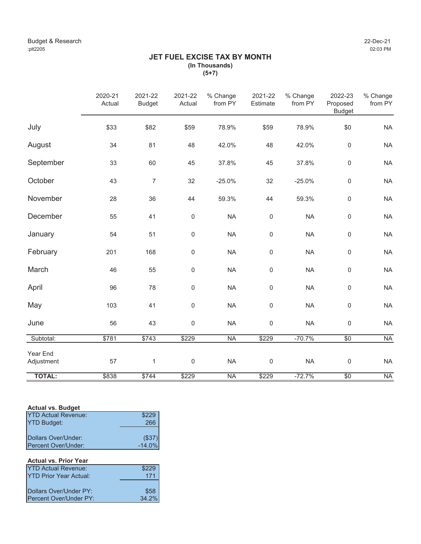# **JET FUEL EXCISE TAX BY MONTH (In Thousands) (5+7)**

|                        | 2020-21<br>Actual | 2021-22<br><b>Budget</b> | 2021-22<br>Actual   | % Change<br>from PY | 2021-22<br>Estimate | % Change<br>from PY | 2022-23<br>Proposed<br><b>Budget</b> | % Change<br>from PY |
|------------------------|-------------------|--------------------------|---------------------|---------------------|---------------------|---------------------|--------------------------------------|---------------------|
| July                   | \$33              | \$82                     | \$59                | 78.9%               | \$59                | 78.9%               | \$0                                  | <b>NA</b>           |
| August                 | 34                | 81                       | 48                  | 42.0%               | 48                  | 42.0%               | $\mathsf 0$                          | <b>NA</b>           |
| September              | 33                | 60                       | 45                  | 37.8%               | 45                  | 37.8%               | $\mathsf 0$                          | <b>NA</b>           |
| October                | 43                | $\overline{7}$           | 32                  | $-25.0%$            | 32                  | $-25.0%$            | $\mathsf 0$                          | <b>NA</b>           |
| November               | 28                | 36                       | 44                  | 59.3%               | 44                  | 59.3%               | $\mathsf 0$                          | <b>NA</b>           |
| December               | 55                | 41                       | $\mathbf 0$         | <b>NA</b>           | $\mathbf 0$         | <b>NA</b>           | $\mathsf 0$                          | <b>NA</b>           |
| January                | 54                | 51                       | 0                   | <b>NA</b>           | $\mathbf 0$         | <b>NA</b>           | $\mathsf 0$                          | <b>NA</b>           |
| February               | 201               | 168                      | 0                   | <b>NA</b>           | $\mathsf{O}\xspace$ | <b>NA</b>           | $\mathsf{O}\xspace$                  | <b>NA</b>           |
| March                  | 46                | 55                       | $\mathbf 0$         | <b>NA</b>           | $\mathsf 0$         | <b>NA</b>           | $\mathsf 0$                          | <b>NA</b>           |
| April                  | 96                | 78                       | $\mathsf{O}\xspace$ | <b>NA</b>           | $\mathbf 0$         | <b>NA</b>           | $\mathsf 0$                          | <b>NA</b>           |
| May                    | 103               | 41                       | 0                   | <b>NA</b>           | $\mathbf 0$         | <b>NA</b>           | $\mathsf 0$                          | <b>NA</b>           |
| June                   | 56                | 43                       | 0                   | <b>NA</b>           | $\mathbf 0$         | <b>NA</b>           | $\mathsf 0$                          | <b>NA</b>           |
| Subtotal:              | \$781             | \$743                    | \$229               | <b>NA</b>           | \$229               | $-70.7%$            | \$0                                  | <b>NA</b>           |
| Year End<br>Adjustment | 57                | $\mathbf{1}$             | $\mathbf 0$         | <b>NA</b>           | $\mathbf 0$         | <b>NA</b>           | $\mathsf 0$                          | <b>NA</b>           |
| <b>TOTAL:</b>          | \$838             | \$744                    | \$229               | <b>NA</b>           | \$229               | $-72.7%$            | $\overline{50}$                      | <b>NA</b>           |

# **Actual vs. Budget**

| <b>YTD Actual Revenue:</b> | \$229    |
|----------------------------|----------|
| <b>YTD Budget:</b>         | 266      |
|                            |          |
| Dollars Over/Under:        | (\$37)   |
| Percent Over/Under:        | $-14.0%$ |

# **Actual vs. Prior Year**

| <b>YTD Actual Revenue:</b>    | \$229 |
|-------------------------------|-------|
| <b>YTD Prior Year Actual:</b> | 171   |
|                               |       |
| Dollars Over/Under PY:        | \$58  |
| Percent Over/Under PY:        | 34.2% |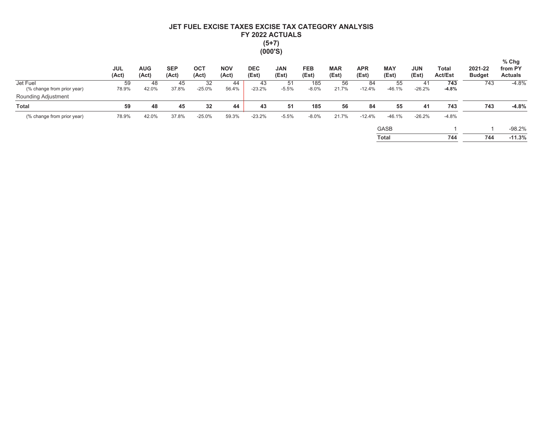# JET FUEL EXCISE TAXES EXCISE TAX CATEGORY ANALYSIS FY 2022 ACTUALS  $(5+7)$  $(000'S)$

|                                        | <b>JUL</b><br>(Act) | <b>AUG</b><br>(Act) | <b>SEP</b><br>(Act) | <b>OCT</b><br>(Act) | <b>NOV</b><br>(Act) | <b>DEC</b><br>(Est) | <b>JAN</b><br>(Est) | <b>FEB</b><br>(Est) | <b>MAR</b><br>(Est) | <b>APR</b><br>(Est) | <b>MAY</b><br>(Est) | <b>JUN</b><br>(Est) | Total<br><b>Act/Est</b> | 2021-22<br><b>Budget</b> | $%$ Chg<br>from PY<br><b>Actuals</b> |
|----------------------------------------|---------------------|---------------------|---------------------|---------------------|---------------------|---------------------|---------------------|---------------------|---------------------|---------------------|---------------------|---------------------|-------------------------|--------------------------|--------------------------------------|
| Jet Fuel<br>(% change from prior year) | 59<br>78.9%         | 48<br>42.0%         | 45<br>37.8%         | 32<br>$-25.0%$      | 44<br>56.4%         | 43<br>$-23.2%$      | 51<br>$-5.5%$       | 185<br>$-8.0%$      | 56<br>21.7%         | 84<br>$-12.4%$      | 55<br>$-46.1%$      | 41<br>$-26.2%$      | 743<br>$-4.8%$          | 743                      | $-4.8%$                              |
| Rounding Adjustment                    |                     |                     |                     |                     |                     |                     |                     |                     |                     |                     |                     |                     |                         |                          |                                      |
| <b>Total</b>                           | 59                  | 48                  | 45                  | 32                  | 44                  | 43                  | 51                  | 185                 | 56                  | 84                  | 55                  | 41                  | 743                     | 743                      | $-4.8%$                              |
| (% change from prior year)             | 78.9%               | 42.0%               | 37.8%               | $-25.0%$            | 59.3%               | $-23.2%$            | $-5.5%$             | $-8.0%$             | 21.7%               | $-12.4%$            | $-46.1%$            | $-26.2%$            | $-4.8%$                 |                          |                                      |
|                                        |                     |                     |                     |                     |                     |                     |                     |                     |                     |                     | <b>GASB</b>         |                     |                         |                          | $-98.2%$                             |
|                                        |                     |                     |                     |                     |                     |                     |                     |                     |                     |                     | <b>Total</b>        |                     | 744                     | 744                      | $-11.3%$                             |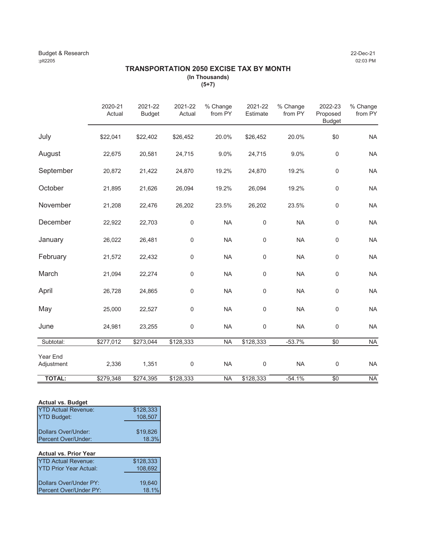# **TRANSPORTATION 2050 EXCISE TAX BY MONTH (In Thousands)**

**(5+7)**

|                        | 2020-21<br>Actual | 2021-22<br><b>Budget</b> | 2021-22<br>Actual | % Change<br>from PY | 2021-22<br>Estimate | % Change<br>from PY | 2022-23<br>Proposed<br><b>Budget</b> | % Change<br>from PY |
|------------------------|-------------------|--------------------------|-------------------|---------------------|---------------------|---------------------|--------------------------------------|---------------------|
| July                   | \$22,041          | \$22,402                 | \$26,452          | 20.0%               | \$26,452            | 20.0%               | \$0                                  | <b>NA</b>           |
| August                 | 22,675            | 20,581                   | 24,715            | 9.0%                | 24,715              | 9.0%                | $\boldsymbol{0}$                     | <b>NA</b>           |
| September              | 20,872            | 21,422                   | 24,870            | 19.2%               | 24,870              | 19.2%               | $\boldsymbol{0}$                     | <b>NA</b>           |
| October                | 21,895            | 21,626                   | 26,094            | 19.2%               | 26,094              | 19.2%               | $\mathsf 0$                          | <b>NA</b>           |
| November               | 21,208            | 22,476                   | 26,202            | 23.5%               | 26,202              | 23.5%               | $\mathsf 0$                          | <b>NA</b>           |
| December               | 22,922            | 22,703                   | $\boldsymbol{0}$  | <b>NA</b>           | $\boldsymbol{0}$    | <b>NA</b>           | $\mathbf 0$                          | <b>NA</b>           |
| January                | 26,022            | 26,481                   | $\boldsymbol{0}$  | <b>NA</b>           | $\boldsymbol{0}$    | <b>NA</b>           | $\mathbf 0$                          | <b>NA</b>           |
| February               | 21,572            | 22,432                   | 0                 | <b>NA</b>           | $\mathbf 0$         | <b>NA</b>           | $\mathbf 0$                          | <b>NA</b>           |
| March                  | 21,094            | 22,274                   | 0                 | <b>NA</b>           | $\mathbf 0$         | <b>NA</b>           | $\boldsymbol{0}$                     | <b>NA</b>           |
| April                  | 26,728            | 24,865                   | 0                 | NA                  | $\mathbf 0$         | <b>NA</b>           | $\mathbf 0$                          | <b>NA</b>           |
| May                    | 25,000            | 22,527                   | $\boldsymbol{0}$  | <b>NA</b>           | 0                   | <b>NA</b>           | $\mathbf 0$                          | <b>NA</b>           |
| June                   | 24,981            | 23,255                   | 0                 | <b>NA</b>           | $\boldsymbol{0}$    | <b>NA</b>           | $\mathbf 0$                          | <b>NA</b>           |
| Subtotal:              | \$277,012         | \$273,044                | \$128,333         | <b>NA</b>           | \$128,333           | $-53.7%$            | \$0                                  | $\sf NA$            |
| Year End<br>Adjustment | 2,336             | 1,351                    | $\boldsymbol{0}$  | <b>NA</b>           | $\boldsymbol{0}$    | <b>NA</b>           | $\boldsymbol{0}$                     | <b>NA</b>           |
| <b>TOTAL:</b>          | \$279,348         | \$274,395                | \$128,333         | <b>NA</b>           | \$128,333           | $-54.1%$            | $\overline{50}$                      | <b>NA</b>           |

# **Actual vs. Budget**

| <b>YTD Actual Revenue:</b> | \$128,333 |
|----------------------------|-----------|
| <b>YTD Budget:</b>         | 108,507   |
|                            |           |
| Dollars Over/Under:        | \$19,826  |
| Percent Over/Under:        | 18.3%     |

| <b>Actual vs. Prior Year</b>  |           |
|-------------------------------|-----------|
| <b>YTD Actual Revenue:</b>    | \$128,333 |
| <b>YTD Prior Year Actual:</b> | 108,692   |
|                               |           |
| Dollars Over/Under PY:        | 19,640    |
| Percent Over/Under PY:        | 18.1%     |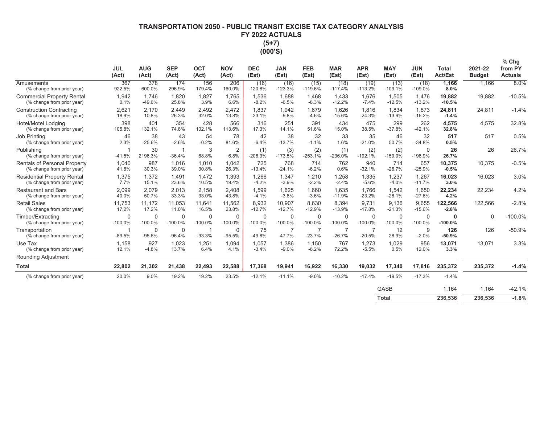# **7FRANSPORTATION 2050 - PUBLIC TRANSIT EXCISE TAX CATEGORY ANALYSIS** FY 2022 ACTUALS  $(5+7)$ (000'S)

|                                                                  | <b>JUL</b><br>(Act)        | <b>AUG</b><br>(Act)   | <b>SEP</b><br>(Act)        | <b>OCT</b><br>(Act)      | <b>NOV</b><br>(Act)    | <b>DEC</b><br>(Est)      | <b>JAN</b><br>(Est) | <b>FEB</b><br>(Est)   | <b>MAR</b><br>(Est)      | <b>APR</b><br>(Est) | <b>MAY</b><br>(Est)      | <b>JUN</b><br>(Est)      | <b>Total</b><br><b>Act/Est</b> | 2021-22<br><b>Budget</b> | $%$ Chg<br>from PY<br><b>Actuals</b> |
|------------------------------------------------------------------|----------------------------|-----------------------|----------------------------|--------------------------|------------------------|--------------------------|---------------------|-----------------------|--------------------------|---------------------|--------------------------|--------------------------|--------------------------------|--------------------------|--------------------------------------|
| Amusements<br>(% change from prior year)                         | 367<br>922.5%              | 378<br>600.0%         | 174<br>296.9%              | 156<br>179.4%            | 206<br>160.0%          | (16)<br>$-120.8%$        | (16)<br>$-123.3%$   | (15)<br>$-119.6%$     | (18)<br>$-117.4%$        | (19)<br>$-113.2%$   | (13)<br>$-109.1%$        | (18)<br>$-109.0%$        | 1,166<br>8.0%                  | 1,166                    | 8.0%                                 |
| <b>Commercial Property Rental</b><br>(% change from prior year)  | 1,942<br>0.1%              | 1,746<br>$-49.6%$     | 1,820<br>25.8%             | 1,827<br>3.9%            | 1,765<br>6.6%          | 1,536<br>$-8.2%$         | 1,688<br>$-6.5%$    | 1,468<br>$-8.3%$      | 1,433<br>$-12.2%$        | 1,676<br>$-7.4%$    | 1,505<br>$-12.5%$        | 1,476<br>$-13.2%$        | 19,882<br>$-10.5%$             | 19,882                   | $-10.5%$                             |
| <b>Construction Contracting</b><br>(% change from prior year)    | 2,621<br>18.9%             | 2,170<br>10.8%        | 2,449<br>26.3%             | 2,492<br>32.0%           | 2,472<br>13.8%         | 1,837<br>$-23.1%$        | 1,942<br>$-9.8%$    | 1,679<br>$-4.6%$      | 1,626<br>$-15.6%$        | 1.816<br>$-24.3%$   | 1,834<br>$-13.9%$        | 1,873<br>$-16.2%$        | 24,811<br>$-1.4%$              | 24,811                   | $-1.4%$                              |
| Hotel/Motel Lodging<br>(% change from prior year)                | 398<br>105.8%              | 401<br>132.1%         | 354<br>74.8%               | 428<br>102.1%            | 566<br>113.6%          | 316<br>17.3%             | 251<br>14.1%        | 391<br>51.6%          | 434<br>15.0%             | 475<br>38.5%        | 299<br>$-37.8%$          | 262<br>$-42.1%$          | 4,575<br>32.8%                 | 4,575                    | 32.8%                                |
| Job Printing<br>(% change from prior year)                       | 46<br>2.3%                 | 38<br>$-25.6%$        | 43<br>$-2.6%$              | 54<br>$-0.2%$            | 78<br>81.6%            | 42<br>$-6.4%$            | 38<br>$-13.7%$      | 32<br>$-1.1%$         | 33<br>1.6%               | 35<br>$-21.0%$      | 46<br>50.7%              | 32<br>$-34.8%$           | 517<br>0.5%                    | 517                      | 0.5%                                 |
| Publishing<br>(% change from prior year)                         | $\overline{1}$<br>$-41.5%$ | 30<br>2196.3%         | $\overline{1}$<br>$-36.4%$ | 3<br>68.8%               | $\overline{2}$<br>6.8% | (1)<br>$-206.3%$         | (3)<br>$-173.5%$    | (2)<br>$-253.1%$      | (1)<br>$-236.0%$         | (2)<br>$-192.1%$    | (2)<br>$-159.0%$         | $\mathbf 0$<br>$-198.9%$ | 26<br>26.7%                    | 26                       | 26.7%                                |
| Rentals of Personal Property<br>(% change from prior year)       | 1,040<br>41.8%             | 987<br>30.3%          | 1,016<br>39.0%             | 1,010<br>30.8%           | 1,042<br>26.3%         | 725<br>$-13.4%$          | 768<br>$-24.1%$     | 714<br>$-6.2%$        | 762<br>0.6%              | 940<br>$-32.1%$     | 714<br>$-26.7%$          | 657<br>$-25.9%$          | 10,375<br>$-0.5%$              | 10,375                   | $-0.5%$                              |
| <b>Residential Property Rental</b><br>(% change from prior year) | 1,375<br>7.7%              | 1,372<br>15.1%        | 1,491<br>23.6%             | 1.472<br>10.5%           | 1,393<br>19.4%         | 1,266<br>$-4.2%$         | 1,347<br>$-3.9%$    | 1,210<br>$-2.2%$      | 1,258<br>$-2.4%$         | 1,335<br>$-5.6%$    | 1,237<br>$-4.0%$         | 1,267<br>$-11.7%$        | 16,023<br>3.0%                 | 16,023                   | 3.0%                                 |
| <b>Restaurant and Bars</b><br>(% change from prior year)         | 2,099<br>40.0%             | 2.079<br>50.7%        | 2.013<br>33.3%             | 2.158<br>33.0%           | 2.408<br>43.8%         | 1.599<br>$-4.1%$         | 1.625<br>$-3.8%$    | 1.660<br>$-3.6%$      | 1.635<br>$-11.9%$        | 1.766<br>$-23.2%$   | 1,542<br>$-28.1%$        | 1,650<br>$-27.6%$        | 22,234<br>4.2%                 | 22,234                   | 4.2%                                 |
| <b>Retail Sales</b><br>(% change from prior year)                | 11,753<br>17.2%            | 11,172<br>17.2%       | 11,053<br>11.0%            | 11,641<br>16.5%          | 11,562<br>23.8%        | 8,932<br>$-12.7%$        | 10,907<br>$-12.7%$  | 8,630<br>$-12.9%$     | 8,394<br>$-13.9%$        | 9.731<br>$-17.8%$   | 9,136<br>$-21.3%$        | 9,655<br>$-15.6%$        | 122,566<br>$-2.8%$             | 122,566                  | $-2.8%$                              |
| Timber/Extracting<br>(% change from prior year)                  | $\Omega$<br>$-100.0%$      | $\Omega$<br>$-100.0%$ | $\Omega$<br>$-100.0%$      | $\mathbf 0$<br>$-100.0%$ | 0<br>$-100.0%$         | $\mathbf 0$<br>$-100.0%$ | 0<br>$-100.0%$      | $\Omega$<br>$-100.0%$ | $\mathbf 0$<br>$-100.0%$ | 0<br>$-100.0%$      | $\mathbf 0$<br>$-100.0%$ | $\mathbf 0$<br>$-100.0%$ | $\Omega$<br>$-100.0%$          | $\Omega$                 | $-100.0%$                            |
| Transportation<br>(% change from prior year)                     | -1<br>$-89.5%$             | $\Omega$<br>$-95.6%$  | 0<br>$-96.4%$              | -1<br>$-93.3%$           | 0<br>$-95.5%$          | 75<br>$-49.8%$           | 7<br>$-47.7%$       | 7<br>$-23.7%$         | 7<br>$-26.7%$            | 7<br>$-20.5%$       | 12<br>28.9%              | 9<br>$-2.0%$             | 126<br>$-50.9%$                | 126                      | $-50.9%$                             |
| Use Tax<br>(% change from prior year)                            | 1,158<br>12.1%             | 927<br>$-4.8%$        | 1,023<br>13.7%             | 1,251<br>6.4%            | 1,094<br>4.1%          | 1,057<br>$-3.4%$         | 1,386<br>$-9.0%$    | 1,150<br>$-6.2%$      | 767<br>72.2%             | 1,273<br>$-5.5%$    | 1,029<br>0.5%            | 956<br>12.0%             | 13,071<br>3.3%                 | 13,071                   | 3.3%                                 |
| <b>Rounding Adjustment</b>                                       |                            |                       |                            |                          |                        |                          |                     |                       |                          |                     |                          |                          |                                |                          |                                      |
| <b>Total</b>                                                     | 22,802                     | 21,302                | 21,438                     | 22,493                   | 22,588                 | 17,368                   | 19,941              | 16,922                | 16,330                   | 19,032              | 17,340                   | 17,816                   | 235,372                        | 235,372                  | $-1.4%$                              |
| (% change from prior year)                                       | 20.0%                      | 9.0%                  | 19.2%                      | 19.2%                    | 23.5%                  | $-12.1%$                 | $-11.1%$            | $-9.0%$               | $-10.2%$                 | $-17.4%$            | $-19.5%$                 | $-17.3%$                 | $-1.4%$                        |                          |                                      |
|                                                                  |                            |                       |                            |                          |                        |                          |                     |                       |                          |                     | <b>GASB</b>              |                          | 1,164                          | 1,164                    | $-42.1%$                             |

**Total** 236,536 236,536  $-1.8%$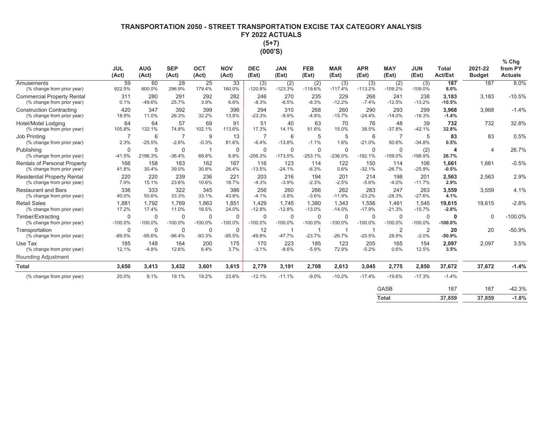# **7FRANSPORTATION 2050 - STREET TRANSPORTATION EXCISE TAX CATEGORY ANALYSIS** FY 2022 ACTUALS  $(5+7)$ (000'S)

|                                                                   | <b>JUL</b><br>(Act)       | <b>AUG</b><br>(Act) | <b>SEP</b><br>(Act)     | <b>OCT</b><br>(Act) | <b>NOV</b><br>(Act)      | <b>DEC</b><br>(Est)       | <b>JAN</b><br>(Est)      | <b>FEB</b><br>(Est) | <b>MAR</b><br>(Est)      | <b>APR</b><br>(Est)      | <b>MAY</b><br>(Est)      | <b>JUN</b><br>(Est)       | <b>Total</b><br><b>Act/Est</b> | 2021-22<br><b>Budget</b> | $%$ Chg<br>from PY<br><b>Actuals</b> |
|-------------------------------------------------------------------|---------------------------|---------------------|-------------------------|---------------------|--------------------------|---------------------------|--------------------------|---------------------|--------------------------|--------------------------|--------------------------|---------------------------|--------------------------------|--------------------------|--------------------------------------|
| Amusements<br>(% change from prior year)                          | 59<br>922.5%              | 60<br>600.0%        | 28<br>296.9%            | 25<br>179.4%        | 33<br>160.0%             | (3)<br>$-120.8%$          | (2)<br>$-123.3%$         | (2)<br>$-119.6%$    | (3)<br>$-117.4%$         | (3)<br>$-113.2%$         | (2)<br>$-109.2%$         | (3)<br>$-109.0%$          | 187<br>8.0%                    | 187                      | 8.0%                                 |
| <b>Commercial Property Rental</b><br>(% change from prior year)   | 311<br>0.1%               | 280<br>-49.6%       | 291<br>25.7%            | 292<br>3.9%         | 282<br>6.6%              | 246<br>$-8.3%$            | 270<br>$-6.5%$           | 235<br>$-8.3%$      | 229<br>$-12.2%$          | 268<br>$-7.4%$           | 241<br>$-12.5%$          | 238<br>$-13.2%$           | 3,183<br>$-10.5%$              | 3,183                    | $-10.5%$                             |
| <b>Construction Contracting</b><br>(% change from prior year)     | 420<br>18.9%              | 347<br>11.0%        | 392<br>26.3%            | 399<br>32.2%        | 396<br>13.8%             | 294<br>$-23.3%$           | 310<br>$-9.9%$           | 268<br>$-4.8%$      | 260<br>$-15.7%$          | 290<br>$-24.4%$          | 293<br>$-14.0%$          | 299<br>$-16.3%$           | 3,968<br>$-1.4%$               | 3,968                    | $-1.4%$                              |
| Hotel/Motel Lodging<br>(% change from prior year)                 | 64<br>105.8%              | 64<br>132.1%        | 57<br>74.8%             | 69<br>102.1%        | 91<br>113.6%             | 51<br>17.3%               | 40<br>14.1%              | 63<br>51.6%         | 70<br>15.0%              | 76<br>38.5%              | 48<br>$-37.8%$           | 39<br>$-42.1%$            | 732<br>32.8%                   | 732                      | 32.8%                                |
| Job Printing<br>(% change from prior year)                        | $\overline{7}$<br>2.3%    | 6<br>$-25.5%$       | 7<br>$-2.6%$            | 9<br>$-0.3%$        | 13<br>81.6%              | $\overline{7}$<br>$-6.4%$ | 6<br>$-13.8%$            | 5<br>$-1.1%$        | 5<br>1.6%                | 6<br>$-21.0%$            | $\overline{7}$<br>50.6%  | 5<br>$-34.8%$             | 83<br>0.5%                     | 83                       | 0.5%                                 |
| Publishing<br>(% change from prior year)                          | $\mathbf 0$<br>$-41.5%$   | 5<br>2196.3%        | $\mathbf 0$<br>$-36.4%$ | 68.8%               | $\mathbf 0$<br>6.8%      | $\mathbf 0$<br>$-206.3%$  | $\mathbf 0$<br>$-173.5%$ | 0<br>$-253.1%$      | $\mathbf 0$<br>$-236.0%$ | $\mathbf 0$<br>$-192.1%$ | $\mathbf 0$<br>$-159.0%$ | (2)<br>$-198.9%$          | 4<br>26.7%                     | 4                        | 26.7%                                |
| <b>Rentals of Personal Property</b><br>(% change from prior year) | 166<br>41.8%              | 158<br>30.4%        | 163<br>39.0%            | 162<br>30.8%        | 167<br>26.4%             | 116<br>$-13.5%$           | 123<br>$-24.1%$          | 114<br>$-6.3%$      | 122<br>0.6%              | 150<br>$-32.1%$          | 114<br>$-26.7%$          | 106<br>$-25.9%$           | 1,661<br>$-0.5%$               | 1,661                    | $-0.5%$                              |
| <b>Residential Property Rental</b><br>(% change from prior year)  | 220<br>7.9%               | 220<br>15.1%        | 239<br>23.6%            | 236<br>10.6%        | 221<br>18.7%             | 203<br>$-4.3%$            | 216<br>$-3.9%$           | 194<br>$-2.3%$      | 201<br>$-2.5%$           | 214<br>$-5.6%$           | 198<br>$-4.0%$           | 201<br>$-11.7%$           | 2,563<br>2.9%                  | 2,563                    | 2.9%                                 |
| <b>Restaurant and Bars</b><br>(% change from prior year)          | 336<br>40.0%              | 333<br>50.6%        | 322<br>33.3%            | 345<br>33.1%        | 386<br>43.8%             | 256<br>$-4.1%$            | 260<br>$-3.8%$           | 266<br>$-3.6%$      | 262<br>$-11.9%$          | 283<br>$-23.2%$          | 247<br>$-28.3%$          | 263<br>$-27.6%$           | 3,559<br>4.1%                  | 3,559                    | 4.1%                                 |
| <b>Retail Sales</b><br>(% change from prior year)                 | 1,881<br>17.2%            | 1.792<br>17.4%      | 1.769<br>11.0%          | 1,863<br>16.5%      | 1,851<br>24.0%           | 1,429<br>$-12.8%$         | 1.745<br>$-12.8%$        | 1,380<br>$-13.0%$   | 1,343<br>$-14.0%$        | 1,556<br>$-17.9%$        | 1.461<br>$-21.3%$        | 1,545<br>$-15.7%$         | 19,615<br>$-2.8%$              | 19,615                   | $-2.8%$                              |
| Timber/Extracting<br>(% change from prior year)                   | $\mathbf 0$<br>$-100.0\%$ | 0<br>$-100.0%$      | 0<br>$-100.0%$          | 0<br>$-100.0%$      | $\mathbf 0$<br>$-100.0%$ | $\mathbf 0$<br>$-100.0%$  | 0<br>$-100.0%$           | 0<br>$-100.0%$      | 0<br>$-100.0%$           | $\mathbf 0$<br>$-100.0%$ | 0<br>$-100.0%$           | $\mathbf 0$<br>$-100.0%$  | $\mathbf{0}$<br>$-100.0%$      | $\mathbf 0$              | $-100.0%$                            |
| Transportation<br>(% change from prior year)                      | $\mathbf 0$<br>$-89.5%$   | 0<br>$-95.6%$       | 0<br>$-96.4%$           | 0<br>$-93.3%$       | $\mathbf 0$<br>$-95.5%$  | 12<br>$-49.8%$            | -1<br>$-47.7%$           | 1<br>$-23.7%$       | -1<br>$-26.7%$           | -1<br>$-20.5%$           | 2<br>28.9%               | $\overline{2}$<br>$-2.0%$ | 20<br>$-50.9%$                 | 20                       | $-50.9%$                             |
| Use Tax<br>(% change from prior year)                             | 185<br>12.1%              | 148<br>$-4.8%$      | 164<br>12.6%            | 200<br>6.4%         | 175<br>3.7%              | 170<br>$-3.1%$            | 223<br>$-8.6%$           | 185<br>$-5.9%$      | 123<br>72.9%             | 205<br>$-5.2%$           | 165<br>0.6%              | 154<br>12.5%              | 2,097<br>3.5%                  | 2,097                    | 3.5%                                 |
| Rounding Adjustment                                               |                           |                     |                         |                     |                          |                           |                          |                     |                          |                          |                          |                           |                                |                          |                                      |
| <b>Total</b>                                                      | 3.650                     | 3,413               | 3,432                   | 3,601               | 3,615                    | 2,779                     | 3,191                    | 2,708               | 2,613                    | 3,045                    | 2,775                    | 2,850                     | 37,672                         | 37,672                   | $-1.4%$                              |
| (% change from prior year)                                        | 20.0%                     | 9.1%                | 19.1%                   | 19.2%               | 23.6%                    | $-12.1%$                  | $-11.1%$                 | $-9.0%$             | $-10.2%$                 | $-17.4%$                 | $-19.6%$                 | $-17.3%$                  | $-1.4%$                        |                          |                                      |
|                                                                   |                           |                     |                         |                     |                          |                           |                          |                     |                          |                          | <b>GASB</b>              |                           | 187                            | 187                      | $-42.3%$                             |
|                                                                   |                           |                     |                         |                     |                          |                           |                          |                     |                          |                          | <b>Total</b>             |                           | 37.859                         | 37.859                   | $-1.8%$                              |

| Total | 37,859 | 37,859 | .8 |
|-------|--------|--------|----|
|       |        |        |    |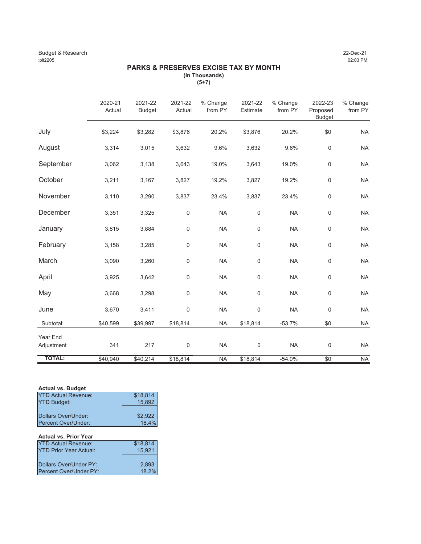#### Budget & Research 22-Dec-21 :plt2205 02:03 PM

#### **PARKS & PRESERVES EXCISE TAX BY MONTH (In Thousands)**

**(5+7)**

|                        | 2020-21<br>Actual | 2021-22<br><b>Budget</b> | 2021-22<br>Actual   | % Change<br>from PY | 2021-22<br>Estimate | % Change<br>from PY | 2022-23<br>Proposed<br><b>Budget</b> | % Change<br>from PY |
|------------------------|-------------------|--------------------------|---------------------|---------------------|---------------------|---------------------|--------------------------------------|---------------------|
| July                   | \$3,224           | \$3,282                  | \$3,876             | 20.2%               | \$3,876             | 20.2%               | \$0                                  | <b>NA</b>           |
| August                 | 3,314             | 3,015                    | 3,632               | 9.6%                | 3,632               | 9.6%                | $\mathsf{O}\xspace$                  | <b>NA</b>           |
| September              | 3,062             | 3,138                    | 3,643               | 19.0%               | 3,643               | 19.0%               | $\mathbf 0$                          | <b>NA</b>           |
| October                | 3,211             | 3,167                    | 3,827               | 19.2%               | 3,827               | 19.2%               | $\mathsf{O}\xspace$                  | <b>NA</b>           |
| November               | 3,110             | 3,290                    | 3,837               | 23.4%               | 3,837               | 23.4%               | $\mathsf{O}\xspace$                  | <b>NA</b>           |
| December               | 3,351             | 3,325                    | $\mathbf 0$         | <b>NA</b>           | 0                   | <b>NA</b>           | $\mathsf{O}\xspace$                  | <b>NA</b>           |
| January                | 3,815             | 3,884                    | $\mathbf 0$         | <b>NA</b>           | 0                   | <b>NA</b>           | $\mathsf{O}\xspace$                  | <b>NA</b>           |
| February               | 3,158             | 3,285                    | $\mathbf 0$         | <b>NA</b>           | 0                   | <b>NA</b>           | $\mathsf{O}\xspace$                  | <b>NA</b>           |
| March                  | 3,090             | 3,260                    | $\mathbf 0$         | <b>NA</b>           | 0                   | <b>NA</b>           | $\mathsf{O}\xspace$                  | <b>NA</b>           |
| April                  | 3,925             | 3,642                    | $\mathbf 0$         | <b>NA</b>           | 0                   | <b>NA</b>           | $\mathsf{O}\xspace$                  | <b>NA</b>           |
| May                    | 3,668             | 3,298                    | $\mathbf 0$         | <b>NA</b>           | 0                   | <b>NA</b>           | $\mathbf 0$                          | <b>NA</b>           |
| June                   | 3,670             | 3,411                    | $\mathsf 0$         | <b>NA</b>           | 0                   | <b>NA</b>           | $\mathbf 0$                          | <b>NA</b>           |
| Subtotal:              | \$40,599          | \$39,997                 | \$18,814            | <b>NA</b>           | \$18,814            | $-53.7%$            | \$0                                  | <b>NA</b>           |
| Year End<br>Adjustment | 341               | 217                      | $\mathsf{O}\xspace$ | <b>NA</b>           | 0                   | <b>NA</b>           | $\boldsymbol{0}$                     | <b>NA</b>           |
| <b>TOTAL:</b>          | \$40,940          | \$40,214                 | \$18,814            | <b>NA</b>           | \$18,814            | $-54.0%$            | \$0                                  | <b>NA</b>           |

#### **Actual vs. Budget**

| <b>IYTD Actual Revenue:</b> | \$18.814 |
|-----------------------------|----------|
| <b>YTD Budget:</b>          | 15.892   |
|                             |          |
| Dollars Over/Under:         | \$2.922  |
| Percent Over/Under:         | 18.4%    |

## **Actual vs. Prior Year**

| <b>IYTD Actual Revenue:</b>    | \$18.814 |
|--------------------------------|----------|
| <b>IYTD Prior Year Actual:</b> | 15.921   |
|                                |          |
| Dollars Over/Under PY:         | 2.893    |
| Percent Over/Under PY:         | 18.2%    |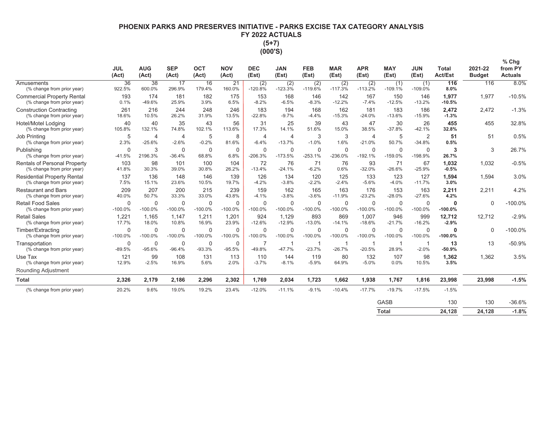# **PHOENIX PARKS AND PRESERVES INITIATIVE - PARKS EXCISE TAX CATEGORY ANALYSIS FY 2022 ACTUALS**  $(5+7)$

| п | n |
|---|---|
| П | L |

|                                                                   | <b>JUL</b><br>(Act)      | <b>AUG</b><br>(Act)       | <b>SEP</b><br>(Act)       | <b>OCT</b><br>(Act)      | <b>NOV</b><br>(Act)      | <b>DEC</b><br>(Est)       | <b>JAN</b><br>(Est)      | <b>FEB</b><br>(Est)      | <b>MAR</b><br>(Est)      | <b>APR</b><br>(Est)        | <b>MAY</b><br>(Est)      | <b>JUN</b><br>(Est)        | <b>Total</b><br><b>Act/Est</b> | 2021-22<br><b>Budget</b> | % Chg<br>from PY<br><b>Actuals</b> |
|-------------------------------------------------------------------|--------------------------|---------------------------|---------------------------|--------------------------|--------------------------|---------------------------|--------------------------|--------------------------|--------------------------|----------------------------|--------------------------|----------------------------|--------------------------------|--------------------------|------------------------------------|
| Amusements<br>(% change from prior year)                          | 36<br>922.5%             | $\overline{38}$<br>600.0% | 17<br>296.9%              | 16<br>179.4%             | 21<br>160.0%             | (2)<br>$-120.8%$          | (2)<br>$-123.3%$         | (2)<br>$-119.6%$         | (2)<br>$-117.3%$         | (2)<br>$-113.2%$           | (1)<br>$-109.1%$         | (1)<br>$-109.0%$           | 116<br>8.0%                    | 116                      | 8.0%                               |
| <b>Commercial Property Rental</b><br>(% change from prior year)   | 193<br>0.1%              | 174<br>$-49.6%$           | 181<br>25.9%              | 182<br>3.9%              | 175<br>6.5%              | 153<br>$-8.2%$            | 168<br>$-6.5%$           | 146<br>$-8.3%$           | 142<br>$-12.2%$          | 167<br>$-7.4%$             | 150<br>$-12.5%$          | 146<br>$-13.2%$            | 1,977<br>$-10.5%$              | 1,977                    | $-10.5%$                           |
| <b>Construction Contracting</b><br>(% change from prior year)     | 261<br>18.6%             | 216<br>10.5%              | 244<br>26.2%              | 248<br>31.9%             | 246<br>13.5%             | 183<br>$-22.8%$           | 194<br>$-9.7%$           | 168<br>$-4.4%$           | 162<br>$-15.3%$          | 181<br>$-24.0%$            | 183<br>$-13.6%$          | 186<br>$-15.9%$            | 2,472<br>$-1.3%$               | 2.472                    | $-1.3%$                            |
| Hotel/Motel Lodging<br>(% change from prior year)                 | 40<br>105.8%             | 40<br>132.1%              | 35<br>74.8%               | 43<br>102.1%             | 56<br>113.6%             | 31<br>17.3%               | 25<br>14.1%              | 39<br>51.6%              | 43<br>15.0%              | 47<br>38.5%                | 30<br>$-37.8%$           | 26<br>$-42.1%$             | 455<br>32.8%                   | 455                      | 32.8%                              |
| Job Printing<br>(% change from prior year)                        | 5<br>2.3%                | 4<br>$-25.6%$             | $\overline{4}$<br>$-2.6%$ | 5<br>$-0.2%$             | 8<br>81.6%               | $\overline{4}$<br>$-6.4%$ | 4<br>$-13.7%$            | 3<br>$-1.0%$             | 3<br>1.6%                | $\overline{4}$<br>$-21.0%$ | 5<br>50.7%               | $\overline{2}$<br>$-34.8%$ | 51<br>0.5%                     | 51                       | 0.5%                               |
| Publishing<br>(% change from prior year)                          | $\mathbf 0$<br>$-41.5%$  | 3<br>2196.3%              | $\mathbf 0$<br>$-36.4%$   | $\Omega$<br>68.8%        | $\mathbf 0$<br>6.8%      | $\mathbf 0$<br>$-206.3%$  | $\mathbf 0$<br>$-173.5%$ | $\mathbf 0$<br>$-253.1%$ | $\mathbf 0$<br>$-236.0%$ | $\mathbf 0$<br>$-192.1%$   | $\mathbf 0$<br>$-159.0%$ | $\mathbf 0$<br>$-198.9%$   | 3<br>26.7%                     | 3                        | 26.7%                              |
| <b>Rentals of Personal Property</b><br>(% change from prior year) | 103<br>41.8%             | 98<br>30.3%               | 101<br>39.0%              | 100<br>30.8%             | 104<br>26.2%             | 72<br>$-13.4%$            | 76<br>$-24.1%$           | 71<br>$-6.2%$            | 76<br>0.6%               | 93<br>$-32.0%$             | 71<br>$-26.6%$           | 67<br>$-25.9%$             | 1.032<br>$-0.5%$               | 1.032                    | $-0.5%$                            |
| <b>Residential Property Rental</b><br>(% change from prior year)  | 137<br>7.5%              | 136<br>15.1%              | 148<br>23.6%              | 146<br>10.5%             | 139<br>19.7%             | 126<br>$-4.2%$            | 134<br>$-3.8%$           | 120<br>$-2.2%$           | 125<br>$-2.4%$           | 133<br>$-5.6%$             | 123<br>$-4.0%$           | 127<br>$-11.7%$            | 1.594<br>3.0%                  | 1.594                    | 3.0%                               |
| <b>Restaurant and Bars</b><br>(% change from prior year)          | 209<br>40.0%             | 207<br>50.7%              | 200<br>33.3%              | 215<br>33.0%             | 239<br>43.8%             | 159<br>$-4.1%$            | 162<br>$-3.8%$           | 165<br>$-3.6%$           | 163<br>$-11.9%$          | 176<br>$-23.2%$            | 153<br>$-28.0%$          | 163<br>$-27.6%$            | 2.211<br>4.2%                  | 2.211                    | 4.2%                               |
| <b>Retail Food Sales</b><br>(% change from prior year)            | $\mathbf 0$<br>$-100.0%$ | $\Omega$<br>$-100.0%$     | $\Omega$<br>$-100.0%$     | $\mathbf 0$<br>$-100.0%$ | $\mathbf 0$<br>$-100.0%$ | $\Omega$<br>$-100.0%$     | $\Omega$<br>$-100.0%$    | $\mathbf 0$<br>$-100.0%$ | $\mathbf 0$<br>$-100.0%$ | 0<br>$-100.0%$             | $\mathbf 0$<br>$-100.0%$ | $\mathbf 0$<br>$-100.0%$   | $\mathbf 0$<br>$-100.0%$       | $\mathbf 0$              | $-100.0%$                          |
| <b>Retail Sales</b><br>(% change from prior year)                 | 1.221<br>17.7%           | 1.165<br>18.0%            | 1.147<br>10.8%            | 1.211<br>16.9%           | 1.201<br>23.9%           | 924<br>$-12.6%$           | 1.129<br>$-12.9%$        | 893<br>$-13.0%$          | 869<br>$-14.1%$          | 1.007<br>$-18.6%$          | 946<br>$-21.7%$          | 999<br>$-16.2%$            | 12,712<br>$-2.9%$              | 12.712                   | $-2.9%$                            |
| Timber/Extracting<br>(% change from prior year)                   | $\Omega$<br>$-100.0%$    | $\Omega$<br>$-100.0%$     | $\mathbf 0$<br>$-100.0%$  | $\mathbf 0$<br>$-100.0%$ | $\Omega$<br>$-100.0%$    | $\Omega$<br>$-100.0%$     | $\Omega$<br>$-100.0%$    | $\mathbf 0$<br>$-100.0%$ | $\mathbf 0$<br>$-100.0%$ | 0<br>$-100.0%$             | $\Omega$<br>$-100.0%$    | $\mathbf 0$<br>$-100.0%$   | $\mathbf 0$<br>$-100.0%$       | $\Omega$                 | $-100.0%$                          |
| Transportation<br>(% change from prior year)                      | $\mathbf 0$<br>$-89.5%$  | 0<br>$-95.6%$             | 0<br>$-96.4%$             | 0<br>$-93.3%$            | $\mathbf 0$<br>$-95.5%$  | 7<br>$-49.8%$             | -1<br>$-47.7%$           | -1<br>$-23.7%$           | -1<br>$-26.7%$           | -1<br>$-20.5%$             | -1<br>28.9%              | $-2.0%$                    | 13<br>$-50.9%$                 | 13                       | $-50.9%$                           |
| Use Tax<br>(% change from prior year)                             | 121<br>12.9%             | 99<br>$-2.5%$             | 108<br>16.9%              | 131<br>5.6%              | 113<br>2.0%              | 110<br>$-3.7%$            | 144<br>$-8.1%$           | 119<br>$-5.9%$           | 80<br>64.9%              | 132<br>$-5.0%$             | 107<br>0.0%              | 98<br>10.5%                | 1,362<br>3.5%                  | 1,362                    | 3.5%                               |
| Rounding Adjustment                                               |                          |                           |                           |                          |                          |                           |                          |                          |                          |                            |                          |                            |                                |                          |                                    |
| <b>Total</b>                                                      | 2,326                    | 2,179                     | 2,186                     | 2,296                    | 2,302                    | 1,769                     | 2,034                    | 1,723                    | 1,662                    | 1,938                      | 1,767                    | 1,816                      | 23,998                         | 23,998                   | $-1.5%$                            |
| (% change from prior year)                                        | 20.2%                    | 9.6%                      | 19.0%                     | 19.2%                    | 23.4%                    | $-12.0%$                  | $-11.1%$                 | $-9.1%$                  | $-10.4%$                 | $-17.7%$                   | $-19.7%$                 | $-17.5%$                   | $-1.5%$                        |                          |                                    |
|                                                                   |                          |                           |                           |                          |                          |                           |                          |                          |                          |                            | <b>GASB</b>              |                            | 130                            | 130                      | $-36.6%$                           |
|                                                                   |                          |                           |                           |                          |                          |                           |                          |                          |                          |                            | <b>Total</b>             |                            | 24.128                         | 24.128                   | $-1.8%$                            |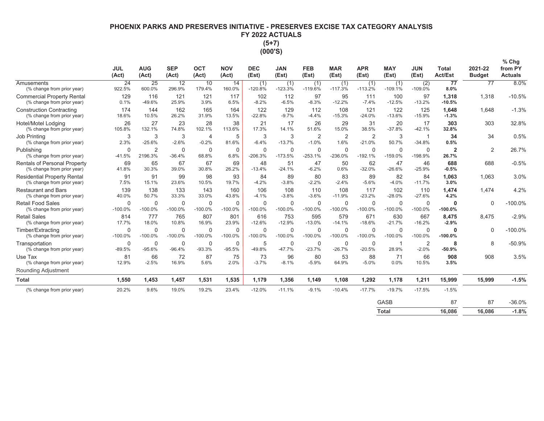# **PHOENIX PARKS AND PRESERVES INITIATIVE - PRESERVES EXCISE TAX CATEGORY ANALYSIS** FY 2022 ACTUALS  $(5+7)$

|                                                                     | <b>JUL</b><br>(Act)      | <b>AUG</b><br>(Act)       | <b>SEP</b><br>(Act)      | OCT<br>(Act)              | <b>NOV</b><br>(Act)   | <b>DEC</b><br>(Est)      | <b>JAN</b><br>(Est) | <b>FEB</b><br>(Est)       | <b>MAR</b><br>(Est)    | <b>APR</b><br>(Est)        | <b>MAY</b><br>(Est)      | <b>JUN</b><br>(Est) | Total<br><b>Act/Est</b>  | 2021-22<br><b>Budget</b> | % Chg<br>from PY<br><b>Actuals</b> |
|---------------------------------------------------------------------|--------------------------|---------------------------|--------------------------|---------------------------|-----------------------|--------------------------|---------------------|---------------------------|------------------------|----------------------------|--------------------------|---------------------|--------------------------|--------------------------|------------------------------------|
| Amusements<br>(% change from prior year)                            | 24<br>922.5%             | 25<br>600.0%              | 12<br>296.9%             | 10<br>179.4%              | 14<br>160.0%          | (1)<br>$-120.8%$         | (1)<br>$-123.3%$    | (1)<br>$-119.6%$          | (1)<br>$-117.3%$       | (1)<br>$-113.2%$           | (1)<br>$-109.1%$         | (2)<br>$-109.0%$    | 77<br>8.0%               | 77                       | 8.0%                               |
| <b>Commercial Property Rental</b><br>(% change from prior year)     | 129<br>0.1%              | 116<br>$-49.6%$           | 121<br>25.9%             | 121<br>3.9%               | 117<br>6.5%           | 102<br>$-8.2%$           | 112<br>$-6.5%$      | 97<br>$-8.3%$             | 95<br>$-12.2%$         | 111<br>$-7.4%$             | 100<br>$-12.5%$          | 97<br>$-13.2%$      | 1,318<br>$-10.5%$        | 1,318                    | $-10.5%$                           |
| <b>Construction Contracting</b><br>(% change from prior year)       | 174<br>18.6%             | 144<br>10.5%              | 162<br>26.2%             | 165<br>31.9%              | 164<br>13.5%          | 122<br>$-22.8%$          | 129<br>$-9.7%$      | 112<br>$-4.4%$            | 108<br>$-15.3%$        | 121<br>$-24.0%$            | 122<br>$-13.6%$          | 125<br>$-15.9%$     | 1,648<br>$-1.3%$         | 1.648                    | $-1.3%$                            |
| Hotel/Motel Lodging<br>(% change from prior year)                   | 26<br>105.8%             | 27<br>132.1%              | 23<br>74.8%              | 28<br>102.1%              | 38<br>113.6%          | 21<br>17.3%              | 17<br>14.1%         | 26<br>51.6%               | 29<br>15.0%            | 31<br>38.5%                | 20<br>$-37.8%$           | 17<br>$-42.1%$      | 303<br>32.8%             | 303                      | 32.8%                              |
| Job Printing<br>(% change from prior year)                          | 3<br>2.3%                | 3<br>$-25.6%$             | 3<br>$-2.6%$             | $\overline{4}$<br>$-0.2%$ | 5<br>81.6%            | 3<br>$-6.4%$             | 3<br>$-13.7%$       | $\overline{2}$<br>$-1.0%$ | $\overline{2}$<br>1.6% | $\overline{2}$<br>$-21.0%$ | 3<br>50.7%               | $-34.8%$            | 34<br>0.5%               | 34                       | 0.5%                               |
| Publishing<br>(% change from prior year)                            | $\Omega$<br>$-41.5%$     | $\overline{2}$<br>2196.3% | $\mathbf 0$<br>$-36.4%$  | $\mathbf 0$<br>68.8%      | 0<br>6.8%             | 0<br>$-206.3%$           | 0<br>$-173.5%$      | $\mathbf 0$<br>$-253.1%$  | 0<br>$-236.0%$         | 0<br>$-192.1%$             | $\mathbf 0$<br>$-159.0%$ | 0<br>$-198.9%$      | $\overline{2}$<br>26.7%  | $\overline{2}$           | 26.7%                              |
| <b>Rentals of Personal Property</b><br>(% change from prior year)   | 69<br>41.8%              | 65<br>30.3%               | 67<br>39.0%              | 67<br>30.8%               | 69<br>26.2%           | 48<br>$-13.4%$           | 51<br>$-24.1%$      | 47<br>$-6.2%$             | 50<br>0.6%             | 62<br>$-32.0%$             | 47<br>$-26.6%$           | 46<br>$-25.9%$      | 688<br>$-0.5%$           | 688                      | $-0.5%$                            |
| <b>Residential Property Rental</b><br>(% change from prior year)    | 91<br>7.5%               | 91<br>15.1%               | 99<br>23.6%              | 98<br>10.5%               | 93<br>19.7%           | 84<br>$-4.2%$            | 89<br>$-3.8%$       | 80<br>$-2.2%$             | 83<br>$-2.4%$          | 89<br>$-5.6%$              | 82<br>$-4.0%$            | 84<br>$-11.7%$      | 1,063<br>3.0%            | 1,063                    | 3.0%                               |
| <b>Restaurant and Bars</b><br>(% change from prior year)            | 139<br>40.0%             | 138<br>50.7%              | 133<br>33.3%             | 143<br>33.0%              | 160<br>43.8%          | 106<br>$-4.1%$           | 108<br>$-3.8%$      | 110<br>$-3.6%$            | 108<br>$-11.9%$        | 117<br>$-23.2%$            | 102<br>$-28.0%$          | 110<br>$-27.6%$     | 1,474<br>4.2%            | 1.474                    | 4.2%                               |
| <b>Retail Food Sales</b><br>(% change from prior year)              | $\Omega$<br>$-100.0%$    | $\Omega$<br>$-100.0%$     | $\mathbf 0$<br>$-100.0%$ | $\mathbf 0$<br>$-100.0%$  | $\Omega$<br>$-100.0%$ | $\mathbf 0$<br>$-100.0%$ | 0<br>$-100.0%$      | $\mathbf 0$<br>$-100.0%$  | 0<br>$-100.0%$         | $\Omega$<br>$-100.0%$      | $\Omega$<br>$-100.0%$    | 0<br>$-100.0%$      | $\Omega$<br>$-100.0\%$   | $\Omega$                 | $-100.0%$                          |
| <b>Retail Sales</b><br>(% change from prior year)                   | 814<br>17.7%             | 777<br>18.0%              | 765<br>10.8%             | 807<br>16.9%              | 801<br>23.9%          | 616<br>$-12.6%$          | 753<br>$-12.9%$     | 595<br>$-13.0%$           | 579<br>$-14.1%$        | 671<br>$-18.6%$            | 630<br>$-21.7%$          | 667<br>$-16.2%$     | 8,475<br>$-2.9%$         | 8.475                    | $-2.9%$                            |
| Timber/Extracting<br>(% change from prior year)                     | $\mathbf 0$<br>$-100.0%$ | $\mathbf 0$<br>$-100.0%$  | $\mathbf 0$<br>$-100.0%$ | $\mathbf 0$<br>$-100.0%$  | 0<br>$-100.0%$        | $\mathbf 0$<br>$-100.0%$ | 0<br>$-100.0%$      | $\mathbf 0$<br>$-100.0%$  | 0<br>$-100.0%$         | 0<br>$-100.0%$             | $\mathbf 0$<br>$-100.0%$ | 0<br>$-100.0%$      | $\mathbf 0$<br>$-100.0%$ | $\mathbf 0$              | $-100.0%$                          |
| Transportation<br>(% change from prior year)                        | $\Omega$<br>$-89.5%$     | $\mathbf 0$<br>$-95.6%$   | $\mathbf 0$<br>$-96.4%$  | $\mathbf 0$<br>$-93.3%$   | 0<br>$-95.5%$         | 5<br>-49.8%              | 0<br>$-47.7%$       | 0<br>$-23.7%$             | 0<br>$-26.7%$          | $\Omega$<br>$-20.5%$       | 28.9%                    | 2<br>$-2.0%$        | 8<br>$-50.9%$            | 8                        | $-50.9%$                           |
| Use Tax<br>(% change from prior year)<br><b>Rounding Adjustment</b> | 81<br>12.9%              | 66<br>$-2.5%$             | 72<br>16.9%              | 87<br>5.6%                | 75<br>2.0%            | 73<br>$-3.7%$            | 96<br>$-8.1%$       | 80<br>$-5.9%$             | 53<br>64.9%            | 88<br>$-5.0%$              | 71<br>0.0%               | 66<br>10.5%         | 908<br>3.5%              | 908                      | 3.5%                               |
| <b>Total</b>                                                        | 1,550                    | 1,453                     | 1,457                    | 1,531                     | 1,535                 | 1,179                    | 1,356               | 1,149                     | 1,108                  | 1,292                      | 1,178                    | 1,211               | 15,999                   | 15,999                   | $-1.5%$                            |
| (% change from prior year)                                          | 20.2%                    | 9.6%                      | 19.0%                    | 19.2%                     | 23.4%                 | $-12.0%$                 | $-11.1%$            | $-9.1%$                   | $-10.4%$               | $-17.7%$                   | $-19.7%$                 | $-17.5%$            | $-1.5%$                  |                          |                                    |
|                                                                     |                          |                           |                          |                           |                       |                          |                     |                           |                        |                            | GASB                     |                     | 87                       | 87                       | $-36.0%$                           |

| ----- | .      | .      | -----   |
|-------|--------|--------|---------|
| Total | 16,086 | 16,086 | $-1.8%$ |
|       |        |        |         |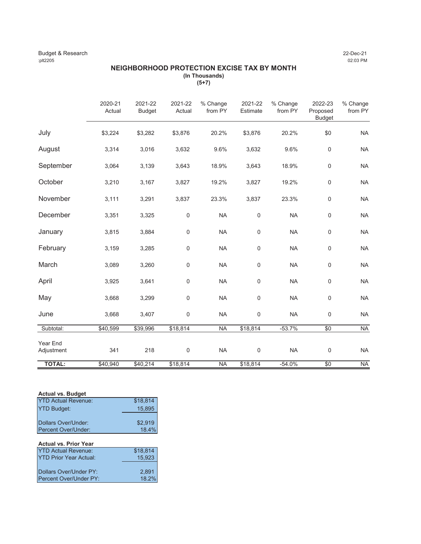#### Budget & Research 22-Dec-21<br>
22-Dec-21<br>
22:03 PM :plt2205 02:03 PM

#### **NEIGHBORHOOD PROTECTION EXCISE TAX BY MONTH (In Thousands) (5+7)**

|                        | 2020-21<br>Actual | 2021-22<br><b>Budget</b> | 2021-22<br>Actual | % Change<br>from PY | 2021-22<br>Estimate | % Change<br>from PY | 2022-23<br>Proposed<br><b>Budget</b> | % Change<br>from PY |
|------------------------|-------------------|--------------------------|-------------------|---------------------|---------------------|---------------------|--------------------------------------|---------------------|
| July                   | \$3,224           | \$3,282                  | \$3,876           | 20.2%               | \$3,876             | 20.2%               | \$0                                  | <b>NA</b>           |
| August                 | 3,314             | 3,016                    | 3,632             | 9.6%                | 3,632               | 9.6%                | $\mathsf 0$                          | <b>NA</b>           |
| September              | 3,064             | 3,139                    | 3,643             | 18.9%               | 3,643               | 18.9%               | $\mathbf 0$                          | <b>NA</b>           |
| October                | 3,210             | 3,167                    | 3,827             | 19.2%               | 3,827               | 19.2%               | $\mathsf 0$                          | <b>NA</b>           |
| November               | 3,111             | 3,291                    | 3,837             | 23.3%               | 3,837               | 23.3%               | $\mathsf 0$                          | <b>NA</b>           |
| December               | 3,351             | 3,325                    | $\mathsf{0}$      | <b>NA</b>           | $\mathsf 0$         | <b>NA</b>           | $\mathsf 0$                          | <b>NA</b>           |
| January                | 3,815             | 3,884                    | $\mathsf{0}$      | <b>NA</b>           | $\mathsf{O}\xspace$ | <b>NA</b>           | $\mathsf 0$                          | <b>NA</b>           |
| February               | 3,159             | 3,285                    | $\mathsf{0}$      | <b>NA</b>           | $\mathsf{O}\xspace$ | <b>NA</b>           | $\mathsf 0$                          | <b>NA</b>           |
| March                  | 3,089             | 3,260                    | $\mathbf 0$       | <b>NA</b>           | 0                   | <b>NA</b>           | $\mathbf 0$                          | <b>NA</b>           |
| April                  | 3,925             | 3,641                    | $\mathsf{0}$      | <b>NA</b>           | $\mathsf{O}\xspace$ | <b>NA</b>           | $\mathsf{O}\xspace$                  | <b>NA</b>           |
| May                    | 3,668             | 3,299                    | $\mathbf 0$       | <b>NA</b>           | $\mathbf 0$         | <b>NA</b>           | $\mathbf 0$                          | <b>NA</b>           |
| June                   | 3,668             | 3,407                    | $\mathsf{0}$      | <b>NA</b>           | $\mathsf{O}\xspace$ | <b>NA</b>           | $\mathsf 0$                          | <b>NA</b>           |
| Subtotal:              | \$40,599          | \$39,996                 | \$18,814          | <b>NA</b>           | \$18,814            | $-53.7%$            | $\overline{50}$                      | <b>NA</b>           |
| Year End<br>Adjustment | 341               | 218                      | $\mathsf{0}$      | <b>NA</b>           | $\mathbf 0$         | <b>NA</b>           | $\mathsf{O}\xspace$                  | <b>NA</b>           |
| <b>TOTAL:</b>          | \$40,940          | \$40,214                 | \$18,814          | <b>NA</b>           | \$18,814            | $-54.0%$            | \$0                                  | <b>NA</b>           |

#### **Actual vs. Budget**

| <b>YTD Actual Revenue:</b>    | \$18,814 |
|-------------------------------|----------|
| <b>YTD Budget:</b>            | 15,895   |
|                               |          |
| Dollars Over/Under:           | \$2,919  |
| Percent Over/Under:           | 18.4%    |
|                               |          |
| <b>Actual vs. Prior Year</b>  |          |
| <b>YTD Actual Revenue:</b>    | \$18,814 |
| <b>YTD Prior Year Actual:</b> | 15,923   |
|                               |          |
| Dollars Over/Under PY:        |          |
|                               | 2,891    |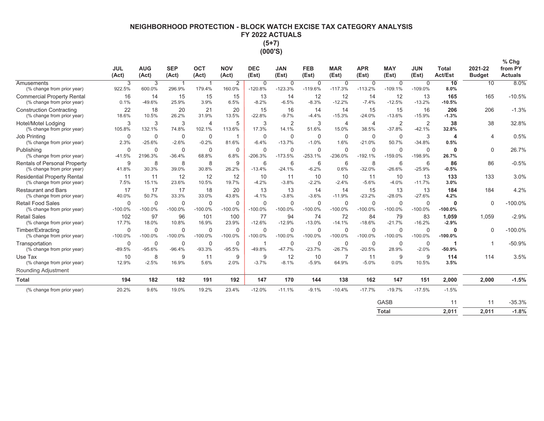# NEIGHBORHOOD PROTECTION - BLOCK WATCH EXCISE TAX CATEGORY ANALYSIS FY 2022 ACTUALS  $(5+7)$  $(000'S)$

|                                                                  | <b>JUL</b><br>(Act)      | <b>AUG</b><br>(Act)      | <b>SEP</b><br>(Act)      | <b>OCT</b><br>(Act)      | <b>NOV</b><br>(Act)      | <b>DEC</b><br>(Est)      | <b>JAN</b><br>(Est)      | <b>FEB</b><br>(Est)      | <b>MAR</b><br>(Est)       | <b>APR</b><br>(Est)      | <b>MAY</b><br>(Est)        | <b>JUN</b><br>(Est)        | <b>Total</b><br><b>Act/Est</b> | 2021-22<br><b>Budget</b> | % Chg<br>from PY<br><b>Actuals</b> |
|------------------------------------------------------------------|--------------------------|--------------------------|--------------------------|--------------------------|--------------------------|--------------------------|--------------------------|--------------------------|---------------------------|--------------------------|----------------------------|----------------------------|--------------------------------|--------------------------|------------------------------------|
| Amusements<br>(% change from prior year)                         | 3<br>922.5%              | 3<br>600.0%              | -1<br>296.9%             | $\overline{1}$<br>179.4% | 2<br>160.0%              | $\mathbf 0$<br>$-120.8%$ | $\mathbf 0$<br>$-123.3%$ | 0<br>$-119.6%$           | $\mathbf 0$<br>$-117.3%$  | $\mathbf 0$<br>$-113.2%$ | $\mathbf 0$<br>$-109.1%$   | $\mathbf 0$<br>$-109.0%$   | $\overline{10}$<br>8.0%        | 10                       | 8.0%                               |
| <b>Commercial Property Rental</b><br>(% change from prior year)  | 16<br>0.1%               | 14<br>-49.6%             | 15<br>25.9%              | 15<br>3.9%               | 15<br>6.5%               | 13<br>$-8.2%$            | 14<br>$-6.5%$            | 12<br>$-8.3%$            | 12<br>$-12.2%$            | 14<br>$-7.4%$            | 12<br>$-12.5%$             | 13<br>$-13.2%$             | 165<br>$-10.5%$                | 165                      | $-10.5%$                           |
| <b>Construction Contracting</b><br>(% change from prior year)    | 22<br>18.6%              | 18<br>10.5%              | 20<br>26.2%              | 21<br>31.9%              | 20<br>13.5%              | 15<br>$-22.8%$           | 16<br>$-9.7%$            | 14<br>$-4.4%$            | 14<br>$-15.3%$            | 15<br>$-24.0%$           | 15<br>$-13.6%$             | 16<br>$-15.9%$             | 206<br>$-1.3%$                 | 206                      | $-1.3%$                            |
| Hotel/Motel Lodging<br>(% change from prior year)                | 3<br>105.8%              | 3<br>132.1%              | 3<br>74.8%               | $\overline{4}$<br>102.1% | 5<br>113.6%              | 3<br>17.3%               | $\overline{2}$<br>14.1%  | 3<br>51.6%               | $\overline{4}$<br>15.0%   | $\overline{4}$<br>38.5%  | $\overline{2}$<br>$-37.8%$ | $\overline{2}$<br>$-42.1%$ | 38<br>32.8%                    | 38                       | 32.8%                              |
| <b>Job Printing</b><br>(% change from prior year)                | $\mathbf 0$<br>2.3%      | $\Omega$<br>$-25.6%$     | $\mathbf 0$<br>$-2.6%$   | $\Omega$<br>$-0.2%$      | 81.6%                    | 0<br>$-6.4%$             | $\mathbf 0$<br>$-13.7%$  | 0<br>$-1.0%$             | $\mathbf 0$<br>1.6%       | $\mathbf 0$<br>$-21.0%$  | $\mathbf 0$<br>50.7%       | 3<br>$-34.8%$              | Δ<br>0.5%                      | 4                        | 0.5%                               |
| Publishing<br>(% change from prior year)                         | $\Omega$<br>$-41.5%$     | $\Omega$<br>2196.3%      | $\Omega$<br>$-36.4%$     | $\Omega$<br>68.8%        | $\Omega$<br>6.8%         | $\Omega$<br>$-206.3%$    | $\Omega$<br>$-173.5%$    | $\Omega$<br>$-253.1%$    | $\mathbf{0}$<br>$-236.0%$ | $\Omega$<br>$-192.1%$    | $\Omega$<br>$-159.0%$      | $\mathbf 0$<br>$-198.9%$   | $\Omega$<br>26.7%              | $\Omega$                 | 26.7%                              |
| Rentals of Personal Property<br>(% change from prior year)       | 9<br>41.8%               | 8<br>30.3%               | 8<br>39.0%               | 8<br>30.8%               | 9<br>26.2%               | 6<br>$-13.4%$            | 6<br>$-24.1%$            | 6<br>$-6.2%$             | 6<br>0.6%                 | 8<br>$-32.0%$            | 6<br>$-26.6%$              | 6<br>$-25.9%$              | 86<br>$-0.5%$                  | 86                       | $-0.5%$                            |
| <b>Residential Property Rental</b><br>(% change from prior year) | 11<br>7.5%               | 11<br>15.1%              | 12<br>23.6%              | 12<br>10.5%              | 12<br>19.7%              | 10<br>$-4.2%$            | 11<br>$-3.8%$            | 10<br>$-2.2%$            | 10<br>$-2.4%$             | 11<br>$-5.6%$            | 10<br>$-4.0%$              | 13<br>$-11.7%$             | 133<br>3.0%                    | 133                      | 3.0%                               |
| <b>Restaurant and Bars</b><br>(% change from prior year)         | 17<br>40.0%              | 17<br>50.7%              | 17<br>33.3%              | 18<br>33.0%              | 20<br>43.8%              | 13<br>$-4.1%$            | 13<br>$-3.8%$            | 14<br>$-3.6%$            | 14<br>$-11.9%$            | 15<br>$-23.2%$           | 13<br>$-28.0%$             | 13<br>$-27.6%$             | 184<br>4.2%                    | 184                      | 4.2%                               |
| <b>Retail Food Sales</b><br>(% change from prior year)           | 0<br>$-100.0%$           | $\mathbf 0$<br>$-100.0%$ | $\mathbf 0$<br>$-100.0%$ | 0<br>$-100.0%$           | $\Omega$<br>$-100.0%$    | $\mathbf 0$<br>$-100.0%$ | 0<br>$-100.0%$           | $\mathbf 0$<br>$-100.0%$ | $\mathbf 0$<br>$-100.0%$  | $\Omega$<br>$-100.0%$    | $\mathbf 0$<br>$-100.0%$   | $\mathbf 0$<br>$-100.0%$   | $\Omega$<br>$-100.0%$          | $\mathbf 0$              | $-100.0%$                          |
| <b>Retail Sales</b><br>(% change from prior year)                | 102<br>17.7%             | 97<br>18.0%              | 96<br>10.8%              | 101<br>16.9%             | 100<br>23.9%             | 77<br>$-12.6%$           | 94<br>$-12.9%$           | 74<br>$-13.0%$           | 72<br>$-14.1%$            | 84<br>$-18.6%$           | 79<br>$-21.7%$             | 83<br>$-16.2%$             | 1,059<br>$-2.9%$               | 1,059                    | $-2.9%$                            |
| Timber/Extracting<br>(% change from prior year)                  | $\mathbf 0$<br>$-100.0%$ | $\mathbf 0$<br>$-100.0%$ | $\mathbf 0$<br>$-100.0%$ | $\mathbf 0$<br>$-100.0%$ | $\mathbf 0$<br>$-100.0%$ | $\mathbf 0$<br>$-100.0%$ | $\mathbf 0$<br>$-100.0%$ | 0<br>$-100.0%$           | $\mathbf 0$<br>$-100.0%$  | $\mathbf 0$<br>$-100.0%$ | $\mathbf 0$<br>$-100.0%$   | $\mathbf 0$<br>$-100.0%$   | $\Omega$<br>$-100.0%$          | $\mathbf 0$              | $-100.0\%$                         |
| Transportation<br>(% change from prior year)                     | $\mathbf 0$<br>$-89.5%$  | $\mathbf 0$<br>$-95.6%$  | $\mathbf 0$<br>$-96.4%$  | $\mathbf 0$<br>$-93.3%$  | 0<br>$-95.5%$            | $-49.8%$                 | $\mathbf 0$<br>$-47.7%$  | 0<br>$-23.7%$            | $\mathbf 0$<br>$-26.7%$   | $\mathbf 0$<br>$-20.5%$  | $\mathbf 0$<br>28.9%       | $\mathbf 0$<br>$-2.0%$     | $-50.9%$                       |                          | $-50.9%$                           |
| Use Tax<br>(% change from prior year)                            | 10<br>12.9%              | 8<br>$-2.5%$             | 9<br>16.9%               | 11<br>5.6%               | 9<br>2.0%                | 9<br>$-3.7%$             | 12<br>$-8.1%$            | 10<br>$-5.9%$            | 7<br>64.9%                | 11<br>$-5.0%$            | 9<br>0.0%                  | 9<br>10.5%                 | 114<br>3.5%                    | 114                      | 3.5%                               |
| Rounding Adjustment                                              |                          |                          |                          |                          |                          |                          |                          |                          |                           |                          |                            |                            |                                |                          |                                    |
| <b>Total</b>                                                     | 194                      | 182                      | 182                      | 191                      | 192                      | 147                      | 170                      | 144                      | 138                       | 162                      | 147                        | 151                        | 2,000                          | 2,000                    | $-1.5%$                            |
| (% change from prior year)                                       | 20.2%                    | 9.6%                     | 19.0%                    | 19.2%                    | 23.4%                    | $-12.0%$                 | $-11.1%$                 | $-9.1%$                  | $-10.4%$                  | $-17.7%$                 | $-19.7%$                   | $-17.5%$                   | $-1.5%$                        |                          |                                    |
|                                                                  |                          |                          |                          |                          |                          |                          |                          |                          |                           |                          | <b>GASB</b>                |                            | 11                             | 11                       | $-35.3%$                           |
|                                                                  |                          |                          |                          |                          |                          |                          |                          |                          |                           |                          | <b>Total</b>               |                            | 2.011                          | 2.011                    | $-1.8%$                            |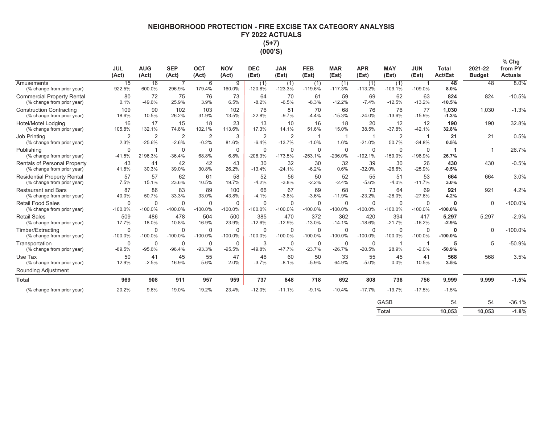# **NEIGHBORHOOD PROTECTION - FIRE EXCISE TAX CATEGORY ANALYSIS** FY 2022 ACTUALS  $(5+7)$ (000'S)

|                                                                  | <b>JUL</b><br>(Act)    | <b>AUG</b><br>(Act)        | <b>SEP</b><br>(Act)       | <b>OCT</b><br>(Act)       | <b>NOV</b><br>(Act) | <b>DEC</b><br>(Est)       | <b>JAN</b><br>(Est)        | <b>FEB</b><br>(Est)      | <b>MAR</b><br>(Est)      | <b>APR</b><br>(Est)      | <b>MAY</b><br>(Est)      | <b>JUN</b><br>(Est)      | <b>Total</b><br><b>Act/Est</b> | 2021-22<br><b>Budget</b> | $%$ Chg<br>from PY<br><b>Actuals</b> |
|------------------------------------------------------------------|------------------------|----------------------------|---------------------------|---------------------------|---------------------|---------------------------|----------------------------|--------------------------|--------------------------|--------------------------|--------------------------|--------------------------|--------------------------------|--------------------------|--------------------------------------|
| Amusements<br>(% change from prior year)                         | 15<br>922.5%           | 16<br>600.0%               | 7<br>296.9%               | 6<br>179.4%               | 9<br>160.0%         | (1)<br>$-120.8%$          | (1)<br>$-123.3%$           | (1)<br>$-119.6%$         | (1)<br>$-117.3%$         | (1)<br>$-113.2%$         | (1)<br>$-109.1%$         | $-109.0%$                | 48<br>8.0%                     | 48                       | 8.0%                                 |
| <b>Commercial Property Rental</b><br>(% change from prior year)  | 80<br>0.1%             | 72<br>$-49.6%$             | 75<br>25.9%               | 76<br>3.9%                | 73<br>6.5%          | 64<br>$-8.2%$             | 70<br>$-6.5%$              | 61<br>$-8.3%$            | 59<br>$-12.2%$           | 69<br>$-7.4%$            | 62<br>$-12.5%$           | 63<br>$-13.2%$           | 824<br>$-10.5%$                | 824                      | $-10.5%$                             |
| <b>Construction Contracting</b><br>(% change from prior year)    | 109<br>18.6%           | 90<br>10.5%                | 102<br>26.2%              | 103<br>31.9%              | 102<br>13.5%        | 76<br>$-22.8%$            | 81<br>$-9.7%$              | 70<br>$-4.4%$            | 68<br>$-15.3%$           | 76<br>$-24.0%$           | 76<br>$-13.6%$           | 77<br>$-15.9%$           | 1,030<br>$-1.3%$               | 1,030                    | $-1.3%$                              |
| Hotel/Motel Lodging<br>(% change from prior year)                | 16<br>105.8%           | 17<br>132.1%               | 15<br>74.8%               | 18<br>102.1%              | 23<br>113.6%        | 13<br>17.3%               | 10<br>14.1%                | 16<br>51.6%              | 18<br>15.0%              | 20<br>38.5%              | 12<br>$-37.8%$           | 12<br>$-42.1%$           | 190<br>32.8%                   | 190                      | 32.8%                                |
| Job Printing<br>(% change from prior year)                       | $\overline{2}$<br>2.3% | $\overline{2}$<br>$-25.6%$ | $\overline{2}$<br>$-2.6%$ | $\overline{2}$<br>$-0.2%$ | 3<br>81.6%          | $\overline{2}$<br>$-6.4%$ | $\overline{2}$<br>$-13.7%$ | -1<br>$-1.0%$            | -1<br>1.6%               | -1<br>$-21.0%$           | $\overline{2}$<br>50.7%  | $-34.8%$                 | 21<br>0.5%                     | 21                       | 0.5%                                 |
| Publishing<br>(% change from prior year)                         | 0<br>$-41.5%$          | -1<br>2196.3%              | $\mathbf 0$<br>$-36.4%$   | $\mathbf 0$<br>68.8%      | 0<br>6.8%           | $\mathbf 0$<br>$-206.3%$  | 0<br>$-173.5%$             | 0<br>$-253.1%$           | 0<br>$-236.0%$           | 0<br>$-192.1%$           | $\mathbf 0$<br>$-159.0%$ | $\mathbf 0$<br>-198.9%   | 26.7%                          |                          | 26.7%                                |
| Rentals of Personal Property<br>(% change from prior year)       | 43<br>41.8%            | 41<br>30.3%                | 42<br>39.0%               | 42<br>30.8%               | 43<br>26.2%         | 30<br>$-13.4%$            | 32<br>$-24.1%$             | 30<br>$-6.2%$            | 32<br>0.6%               | 39<br>$-32.0%$           | 30<br>$-26.6%$           | 26<br>$-25.9%$           | 430<br>$-0.5%$                 | 430                      | $-0.5%$                              |
| <b>Residential Property Rental</b><br>(% change from prior year) | 57<br>7.5%             | 57<br>15.1%                | 62<br>23.6%               | 61<br>10.5%               | 58<br>19.7%         | 52<br>$-4.2%$             | 56<br>$-3.8%$              | 50<br>$-2.2%$            | 52<br>$-2.4%$            | 55<br>$-5.6%$            | 51<br>$-4.0%$            | 53<br>$-11.7%$           | 664<br>3.0%                    | 664                      | 3.0%                                 |
| <b>Restaurant and Bars</b><br>(% change from prior year)         | 87<br>40.0%            | 86<br>50.7%                | 83<br>33.3%               | 89<br>33.0%               | 100<br>43.8%        | 66<br>$-4.1%$             | 67<br>$-3.8%$              | 69<br>$-3.6%$            | 68<br>$-11.9%$           | 73<br>$-23.2%$           | 64<br>$-28.0%$           | 69<br>$-27.6%$           | 921<br>4.2%                    | 921                      | 4.2%                                 |
| <b>Retail Food Sales</b><br>(% change from prior year)           | 0<br>$-100.0%$         | $\mathbf 0$<br>$-100.0%$   | $\mathbf 0$<br>$-100.0%$  | $\mathbf 0$<br>$-100.0%$  | 0<br>$-100.0%$      | $\Omega$<br>$-100.0%$     | $\mathbf 0$<br>$-100.0%$   | $\mathbf 0$<br>$-100.0%$ | $\mathbf 0$<br>$-100.0%$ | $\mathbf 0$<br>$-100.0%$ | $\Omega$<br>$-100.0%$    | $\mathbf 0$<br>$-100.0%$ | 0<br>$-100.0%$                 | $\mathbf 0$              | $-100.0%$                            |
| <b>Retail Sales</b><br>(% change from prior year)                | 509<br>17.7%           | 486<br>18.0%               | 478<br>10.8%              | 504<br>16.9%              | 500<br>23.9%        | 385<br>$-12.6%$           | 470<br>$-12.9%$            | 372<br>$-13.0%$          | 362<br>$-14.1%$          | 420<br>$-18.6%$          | 394<br>$-21.7%$          | 417<br>$-16.2%$          | 5,297<br>$-2.9%$               | 5,297                    | $-2.9%$                              |
| Timber/Extracting<br>(% change from prior year)                  | 0<br>$-100.0%$         | $\mathbf 0$<br>$-100.0%$   | $\mathbf 0$<br>$-100.0%$  | $\mathbf 0$<br>$-100.0%$  | 0<br>$-100.0%$      | $\Omega$<br>$-100.0%$     | 0<br>$-100.0%$             | 0<br>$-100.0%$           | 0<br>$-100.0%$           | 0<br>$-100.0%$           | 0<br>$-100.0%$           | $\mathbf 0$<br>$-100.0%$ | 0<br>$-100.0%$                 | $\mathbf 0$              | $-100.0%$                            |
| Transportation<br>(% change from prior year)                     | 0<br>$-89.5%$          | 0<br>$-95.6%$              | $\mathbf 0$<br>$-96.4%$   | $\mathbf 0$<br>$-93.3%$   | 0<br>$-95.5%$       | 3<br>$-49.8%$             | 0<br>$-47.7%$              | $\mathbf 0$<br>$-23.7%$  | $\Omega$<br>$-26.7%$     | 0<br>$-20.5%$            | 28.9%                    | $-2.0%$                  | 5<br>$-50.9%$                  | 5                        | $-50.9%$                             |
| Use Tax<br>(% change from prior year)<br>Rounding Adjustment     | 50<br>12.9%            | 41<br>$-2.5%$              | 45<br>16.9%               | 55<br>5.6%                | 47<br>2.0%          | 46<br>$-3.7%$             | 60<br>$-8.1%$              | 50<br>$-5.9%$            | 33<br>64.9%              | 55<br>$-5.0%$            | 45<br>0.0%               | 41<br>10.5%              | 568<br>3.5%                    | 568                      | 3.5%                                 |
| <b>Total</b>                                                     | 969                    | 908                        | 911                       | 957                       | 959                 | 737                       | 848                        | 718                      | 692                      | 808                      | 736                      | 756                      | 9,999                          | 9,999                    | $-1.5%$                              |
| (% change from prior year)                                       | 20.2%                  | 9.6%                       | 19.0%                     | 19.2%                     | 23.4%               | $-12.0%$                  | $-11.1%$                   | $-9.1%$                  | $-10.4%$                 | $-17.7%$                 | $-19.7%$                 | $-17.5%$                 | $-1.5%$                        |                          |                                      |
|                                                                  |                        |                            |                           |                           |                     |                           |                            |                          |                          |                          | GASB                     |                          | 54                             | 54                       | $-36.1%$                             |

| Total | 10,053 | 10,053 | $-1.8%$ |
|-------|--------|--------|---------|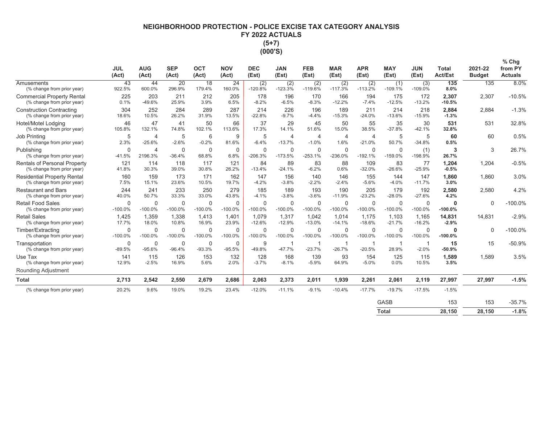# NEIGHBORHOOD PROTECTION - POLICE EXCISE TAX CATEGORY ANALYSIS FY 2022 ACTUALS  $(5+7)$ (000'S)

|                                                                  | <b>JUL</b>               | <b>AUG</b>                | <b>SEP</b>               | <b>OCT</b>               | <b>NOV</b>               | <b>DEC</b>            | <b>JAN</b>                 | <b>FEB</b>                | <b>MAR</b>               | <b>APR</b>                 | <b>MAY</b>               | <b>JUN</b>               | Total                 | 2021-22       | $%$ Chg<br>from PY |
|------------------------------------------------------------------|--------------------------|---------------------------|--------------------------|--------------------------|--------------------------|-----------------------|----------------------------|---------------------------|--------------------------|----------------------------|--------------------------|--------------------------|-----------------------|---------------|--------------------|
|                                                                  | (Act)                    | (Act)                     | (Act)                    | (Act)                    | (Act)                    | (Est)                 | (Est)                      | (Est)                     | (Est)                    | (Est)                      | (Est)                    | (Est)                    | Act/Est               | <b>Budget</b> | <b>Actuals</b>     |
| Amusements<br>(% change from prior year)                         | 43<br>922.5%             | 44<br>600.0%              | 20<br>296.9%             | 18<br>179.4%             | 24<br>160.0%             | (2)<br>$-120.8%$      | (2)<br>$-123.3%$           | (2)<br>$-119.6%$          | (2)<br>$-117.3%$         | (2)<br>$-113.2%$           | (1)<br>$-109.1%$         | (3)<br>$-109.0%$         | 135<br>8.0%           | 135           | 8.0%               |
| <b>Commercial Property Rental</b><br>(% change from prior year)  | 225<br>0.1%              | 203<br>$-49.6%$           | 211<br>25.9%             | 212<br>3.9%              | 205<br>6.5%              | 178<br>$-8.2%$        | 196<br>$-6.5%$             | 170<br>$-8.3%$            | 166<br>$-12.2%$          | 194<br>$-7.4%$             | 175<br>$-12.5%$          | 172<br>$-13.2%$          | 2,307<br>$-10.5%$     | 2,307         | $-10.5%$           |
| <b>Construction Contracting</b><br>(% change from prior year)    | 304<br>18.6%             | 252<br>10.5%              | 284<br>26.2%             | 289<br>31.9%             | 287<br>13.5%             | 214<br>$-22.8%$       | 226<br>$-9.7%$             | 196<br>$-4.4%$            | 189<br>$-15.3%$          | 211<br>$-24.0%$            | 214<br>$-13.6%$          | 218<br>$-15.9%$          | 2.884<br>$-1.3%$      | 2.884         | $-1.3%$            |
| Hotel/Motel Lodging<br>(% change from prior year)                | 46<br>105.8%             | 47<br>132.1%              | 41<br>74.8%              | 50<br>102.1%             | 66<br>113.6%             | 37<br>17.3%           | 29<br>14.1%                | 45<br>51.6%               | 50<br>15.0%              | 55<br>38.5%                | 35<br>$-37.8%$           | 30<br>$-42.1%$           | 531<br>32.8%          | 531           | 32.8%              |
| Job Printing<br>(% change from prior year)                       | 5<br>2.3%                | 4<br>$-25.6%$             | 5<br>$-2.6%$             | 6<br>$-0.2%$             | 9<br>81.6%               | 5<br>$-6.4%$          | $\overline{4}$<br>$-13.7%$ | $\overline{4}$<br>$-1.0%$ | $\overline{4}$<br>1.6%   | $\overline{4}$<br>$-21.0%$ | 5<br>50.7%               | 5<br>$-34.8%$            | 60<br>0.5%            | 60            | 0.5%               |
| Publishing<br>(% change from prior year)                         | $\Omega$<br>$-41.5%$     | $\overline{4}$<br>2196.3% | $\mathbf 0$<br>$-36.4%$  | $\Omega$<br>68.8%        | 0<br>6.8%                | $\Omega$<br>$-206.3%$ | $\Omega$<br>$-173.5%$      | $\Omega$<br>$-253.1%$     | $\Omega$<br>$-236.0%$    | $\Omega$<br>$-192.1%$      | $\Omega$<br>$-159.0%$    | (1)<br>$-198.9%$         | 3<br>26.7%            | 3             | 26.7%              |
| Rentals of Personal Property<br>(% change from prior year)       | 121<br>41.8%             | 114<br>30.3%              | 118<br>39.0%             | 117<br>30.8%             | 121<br>26.2%             | 84<br>$-13.4%$        | 89<br>$-24.1%$             | 83<br>$-6.2%$             | 88<br>0.6%               | 109<br>$-32.0%$            | 83<br>$-26.6%$           | 77<br>$-25.9%$           | 1,204<br>$-0.5%$      | 1,204         | $-0.5%$            |
| <b>Residential Property Rental</b><br>(% change from prior year) | 160<br>7.5%              | 159<br>15.1%              | 173<br>23.6%             | 171<br>10.5%             | 162<br>19.7%             | 147<br>$-4.2%$        | 156<br>$-3.8%$             | 140<br>$-2.2%$            | 146<br>$-2.4%$           | 155<br>$-5.6%$             | 144<br>$-4.0%$           | 147<br>$-11.7%$          | 1.860<br>3.0%         | 1.860         | 3.0%               |
| <b>Restaurant and Bars</b><br>(% change from prior year)         | 244<br>40.0%             | 241<br>50.7%              | 233<br>33.3%             | 250<br>33.0%             | 279<br>43.8%             | 185<br>$-4.1%$        | 189<br>$-3.8%$             | 193<br>$-3.6%$            | 190<br>$-11.9%$          | 205<br>$-23.2%$            | 179<br>$-28.0%$          | 192<br>$-27.6%$          | 2,580<br>4.2%         | 2,580         | 4.2%               |
| <b>Retail Food Sales</b><br>(% change from prior year)           | $\mathbf 0$<br>$-100.0%$ | 0<br>$-100.0%$            | $\mathbf 0$<br>$-100.0%$ | $\mathbf 0$<br>$-100.0%$ | 0<br>$-100.0%$           | 0<br>$-100.0%$        | 0<br>$-100.0%$             | $\mathbf 0$<br>$-100.0%$  | $\mathbf 0$<br>$-100.0%$ | $\mathbf 0$<br>$-100.0%$   | $\mathbf 0$<br>$-100.0%$ | $\mathbf 0$<br>$-100.0%$ | $\Omega$<br>$-100.0%$ | $\Omega$      | $-100.0%$          |
| <b>Retail Sales</b><br>(% change from prior year)                | 1,425<br>17.7%           | 1,359<br>18.0%            | 1,338<br>10.8%           | 1.413<br>16.9%           | 1.401<br>23.9%           | 1.079<br>$-12.6%$     | 1,317<br>$-12.9%$          | 1.042<br>$-13.0%$         | 1.014<br>$-14.1%$        | 1.175<br>$-18.6%$          | 1,103<br>$-21.7%$        | 1,165<br>$-16.2%$        | 14,831<br>$-2.9%$     | 14,831        | $-2.9%$            |
| Timber/Extracting<br>(% change from prior year)                  | $\mathbf 0$<br>$-100.0%$ | $\mathbf 0$<br>$-100.0%$  | $\mathbf 0$<br>$-100.0%$ | $\mathbf 0$<br>$-100.0%$ | $\mathbf 0$<br>$-100.0%$ | 0<br>$-100.0%$        | 0<br>$-100.0%$             | 0<br>$-100.0%$            | $\mathbf 0$<br>$-100.0%$ | $\mathbf 0$<br>$-100.0%$   | $\mathbf 0$<br>$-100.0%$ | $\mathbf 0$<br>$-100.0%$ | 0<br>$-100.0%$        | $\Omega$      | $-100.0%$          |
| Transportation<br>(% change from prior year)                     | $\Omega$<br>$-89.5%$     | $\mathbf 0$<br>$-95.6%$   | $\mathbf 0$<br>$-96.4%$  | $\pmb{0}$<br>$-93.3%$    | 0<br>$-95.5%$            | 9<br>$-49.8%$         | -1<br>$-47.7%$             | -1<br>$-23.7%$            | $-26.7%$                 | $-20.5%$                   | 28.9%                    | $-2.0%$                  | 15<br>$-50.9%$        | 15            | $-50.9%$           |
| Use Tax<br>(% change from prior year)                            | 141<br>12.9%             | 115<br>$-2.5%$            | 126<br>16.9%             | 153<br>5.6%              | 132<br>2.0%              | 128<br>$-3.7%$        | 168<br>$-8.1%$             | 139<br>$-5.9%$            | 93<br>64.9%              | 154<br>$-5.0%$             | 125<br>0.0%              | 115<br>10.5%             | 1,589<br>3.5%         | 1,589         | 3.5%               |
| Rounding Adjustment                                              |                          |                           |                          |                          |                          |                       |                            |                           |                          |                            |                          |                          |                       |               |                    |
| <b>Total</b>                                                     | 2,713                    | 2,542                     | 2,550                    | 2,679                    | 2,686                    | 2,063                 | 2,373                      | 2,011                     | 1,939                    | 2,261                      | 2,061                    | 2,119                    | 27,997                | 27,997        | $-1.5%$            |
| (% change from prior year)                                       | 20.2%                    | 9.6%                      | 19.0%                    | 19.2%                    | 23.4%                    | $-12.0%$              | $-11.1%$                   | $-9.1%$                   | $-10.4%$                 | $-17.7%$                   | $-19.7%$                 | $-17.5%$                 | $-1.5%$               |               |                    |
|                                                                  |                          |                           |                          |                          |                          |                       |                            |                           |                          |                            | <b>GASB</b>              |                          | 153                   | 153           | $-35.7%$           |

| ິ     | .      | .      | <b>00.179</b> |
|-------|--------|--------|---------------|
| Total | 28,150 | 28,150 | $-1.8%$       |
|       |        |        |               |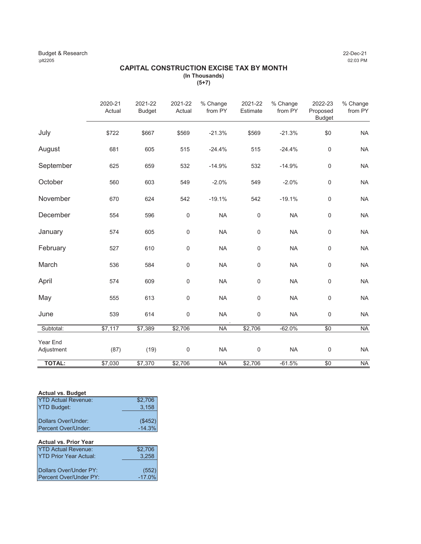#### Budget & Research 22-Dec-21<br>
22-Dec-21<br>
22:03 PM :plt2205 02:03 PM

#### **CAPITAL CONSTRUCTION EXCISE TAX BY MONTH (In Thousands) (5+7)**

|                        | 2020-21<br>Actual | 2021-22<br><b>Budget</b> | 2021-22<br>Actual | % Change<br>from PY | 2021-22<br>Estimate | % Change<br>from PY | 2022-23<br>Proposed<br><b>Budget</b> | % Change<br>from PY |
|------------------------|-------------------|--------------------------|-------------------|---------------------|---------------------|---------------------|--------------------------------------|---------------------|
| July                   | \$722             | \$667                    | \$569             | $-21.3%$            | \$569               | $-21.3%$            | \$0                                  | <b>NA</b>           |
| August                 | 681               | 605                      | 515               | $-24.4%$            | 515                 | $-24.4%$            | $\boldsymbol{0}$                     | <b>NA</b>           |
| September              | 625               | 659                      | 532               | $-14.9%$            | 532                 | $-14.9%$            | $\mathbf 0$                          | <b>NA</b>           |
| October                | 560               | 603                      | 549               | $-2.0%$             | 549                 | $-2.0%$             | $\mathbf 0$                          | <b>NA</b>           |
| November               | 670               | 624                      | 542               | $-19.1%$            | 542                 | $-19.1%$            | $\mathbf 0$                          | <b>NA</b>           |
| December               | 554               | 596                      | $\mathsf 0$       | <b>NA</b>           | $\mathsf 0$         | <b>NA</b>           | $\mathbf 0$                          | <b>NA</b>           |
| January                | 574               | 605                      | $\mathbf 0$       | <b>NA</b>           | $\mathbf 0$         | <b>NA</b>           | $\mathbf 0$                          | <b>NA</b>           |
| February               | 527               | 610                      | $\mathsf 0$       | <b>NA</b>           | $\mathsf{O}\xspace$ | <b>NA</b>           | $\boldsymbol{0}$                     | <b>NA</b>           |
| March                  | 536               | 584                      | $\mathsf 0$       | <b>NA</b>           | $\mathsf{O}\xspace$ | <b>NA</b>           | $\mathsf 0$                          | <b>NA</b>           |
| April                  | 574               | 609                      | $\mathbf 0$       | <b>NA</b>           | $\mathsf{O}\xspace$ | <b>NA</b>           | $\mathbf 0$                          | <b>NA</b>           |
| May                    | 555               | 613                      | $\mathsf 0$       | <b>NA</b>           | $\mathsf{O}\xspace$ | <b>NA</b>           | $\mathbf 0$                          | <b>NA</b>           |
| June                   | 539               | 614                      | $\mathsf 0$       | <b>NA</b>           | $\boldsymbol{0}$    | <b>NA</b>           | $\boldsymbol{0}$                     | <b>NA</b>           |
| Subtotal:              | \$7,117           | \$7,389                  | \$2,706           | <b>NA</b>           | \$2,706             | $-62.0%$            | \$0                                  | <b>NA</b>           |
| Year End<br>Adjustment | (87)              | (19)                     | $\mathbf 0$       | <b>NA</b>           | 0                   | <b>NA</b>           | $\mathbf 0$                          | <b>NA</b>           |
| <b>TOTAL:</b>          | \$7,030           | \$7,370                  | \$2,706           | <b>NA</b>           | \$2,706             | $-61.5%$            | $\overline{50}$                      | <b>NA</b>           |

#### **Actual vs. Budget**

| <b>IYTD Actual Revenue:</b>  | \$2,706            |
|------------------------------|--------------------|
| <b>YTD Budget:</b>           | 3,158              |
|                              |                    |
| <b>IDollars Over/Under:</b>  |                    |
| <b>IPercent Over/Under:</b>  | $(*452)$<br>-14.3% |
| <b>Actual vs. Prior Year</b> |                    |
|                              |                    |

| <b>IYTD Actual Revenue:</b>    | \$2,706  |
|--------------------------------|----------|
| <b>IYTD Prior Year Actual:</b> | 3.258    |
| <b>IDollars Over/Under PY:</b> | (552)    |
| <b>IPercent Over/Under PY:</b> | $-17.0%$ |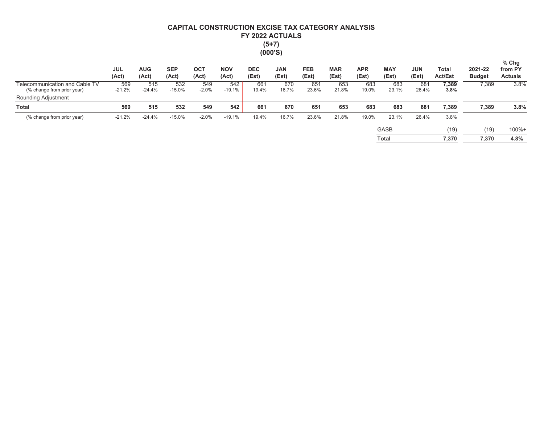# CAPITAL CONSTRUCTION EXCISE TAX CATEGORY ANALYSIS FY 2022 ACTUALS  $(5+7)$  $(000'S)$

|                                                              | <b>JUL</b><br>(Act) | <b>AUG</b><br>(Act) | <b>SEP</b><br>(Act) | ОСТ<br>(Act)   | <b>NOV</b><br>(Act) | <b>DEC</b><br>(Est) | <b>JAN</b><br>(Est) | <b>FEB</b><br>(Est) | <b>MAR</b><br>(Est) | <b>APR</b><br>(Est) | <b>MAY</b><br>(Est) | <b>JUN</b><br>(Est) | Total<br><b>Act/Est</b> | 2021-22<br><b>Budget</b> | $%$ Chg<br>from PY<br><b>Actuals</b> |
|--------------------------------------------------------------|---------------------|---------------------|---------------------|----------------|---------------------|---------------------|---------------------|---------------------|---------------------|---------------------|---------------------|---------------------|-------------------------|--------------------------|--------------------------------------|
| Telecommunication and Cable TV<br>(% change from prior year) | 569<br>$-21.2%$     | 515<br>$-24.4%$     | 532<br>$-15.0%$     | 549<br>$-2.0%$ | 542<br>$-19.1%$     | 661<br>19.4%        | 670<br>16.7%        | 651<br>23.6%        | 653<br>21.8%        | 683<br>19.0%        | 683<br>23.1%        | 681<br>26.4%        | 7,389<br>3.8%           | 7,389                    | 3.8%                                 |
| Rounding Adjustment                                          |                     |                     |                     |                |                     |                     |                     |                     |                     |                     |                     |                     |                         |                          |                                      |
| <b>Total</b>                                                 | 569                 | 515                 | 532                 | 549            | 542                 | 661                 | 670                 | 651                 | 653                 | 683                 | 683                 | 681                 | 7,389                   | 7,389                    | 3.8%                                 |
| (% change from prior year)                                   | $-21.2%$            | $-24.4%$            | $-15.0%$            | $-2.0%$        | $-19.1%$            | 19.4%               | 16.7%               | 23.6%               | 21.8%               | 19.0%               | 23.1%               | 26.4%               | 3.8%                    |                          |                                      |
|                                                              |                     |                     |                     |                |                     |                     |                     |                     |                     |                     | <b>GASB</b>         |                     | (19)                    | (19)                     | $100% +$                             |
|                                                              |                     |                     |                     |                |                     |                     |                     |                     |                     |                     | Total               |                     | 7.370                   | 7,370                    | 4.8%                                 |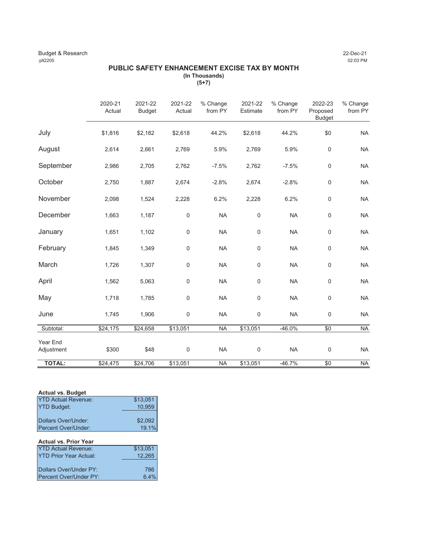#### Budget & Research 22-Dec-21<br>
22-Dec-21<br>
22:03 PM :plt2205 02:03 PM

#### **PUBLIC SAFETY ENHANCEMENT EXCISE TAX BY MONTH (In Thousands) (5+7)**

|                        | 2020-21<br>Actual | 2021-22<br><b>Budget</b> | 2021-22<br>Actual | % Change<br>from PY | 2021-22<br>Estimate | % Change<br>from PY | 2022-23<br>Proposed<br><b>Budget</b> | % Change<br>from PY |
|------------------------|-------------------|--------------------------|-------------------|---------------------|---------------------|---------------------|--------------------------------------|---------------------|
| July                   | \$1,816           | \$2,182                  | \$2,618           | 44.2%               | \$2,618             | 44.2%               | \$0                                  | <b>NA</b>           |
| August                 | 2,614             | 2,661                    | 2,769             | 5.9%                | 2,769               | 5.9%                | $\pmb{0}$                            | <b>NA</b>           |
| September              | 2,986             | 2,705                    | 2,762             | $-7.5%$             | 2,762               | $-7.5%$             | $\mathsf 0$                          | <b>NA</b>           |
| October                | 2,750             | 1,887                    | 2,674             | $-2.8%$             | 2,674               | $-2.8%$             | $\mathbf 0$                          | <b>NA</b>           |
| November               | 2,098             | 1,524                    | 2,228             | 6.2%                | 2,228               | 6.2%                | $\pmb{0}$                            | <b>NA</b>           |
| December               | 1,663             | 1,187                    | $\mathsf{0}$      | <b>NA</b>           | $\mathsf{O}\xspace$ | <b>NA</b>           | 0                                    | <b>NA</b>           |
| January                | 1,651             | 1,102                    | $\mathsf 0$       | <b>NA</b>           | $\mathbf 0$         | <b>NA</b>           | $\mathbf 0$                          | <b>NA</b>           |
| February               | 1,845             | 1,349                    | 0                 | <b>NA</b>           | $\mathbf 0$         | <b>NA</b>           | $\mathbf 0$                          | <b>NA</b>           |
| March                  | 1,726             | 1,307                    | 0                 | <b>NA</b>           | $\mathbf 0$         | <b>NA</b>           | $\pmb{0}$                            | <b>NA</b>           |
| April                  | 1,562             | 5,063                    | 0                 | <b>NA</b>           | $\mathsf{O}\xspace$ | <b>NA</b>           | 0                                    | <b>NA</b>           |
| May                    | 1,718             | 1,785                    | 0                 | <b>NA</b>           | $\mathsf{O}\xspace$ | <b>NA</b>           | $\mathsf 0$                          | <b>NA</b>           |
| June                   | 1,745             | 1,906                    | 0                 | <b>NA</b>           | $\mathsf{O}\xspace$ | <b>NA</b>           | $\pmb{0}$                            | <b>NA</b>           |
| Subtotal:              | \$24,175          | \$24,658                 | \$13,051          | <b>NA</b>           | \$13,051            | $-46.0%$            | \$0                                  | <b>NA</b>           |
| Year End<br>Adjustment | \$300             | \$48                     | 0                 | <b>NA</b>           | $\boldsymbol{0}$    | <b>NA</b>           | 0                                    | <b>NA</b>           |
| <b>TOTAL:</b>          | \$24,475          | \$24,706                 | \$13,051          | <b>NA</b>           | \$13,051            | $-46.7%$            | $\overline{60}$                      | <b>NA</b>           |

### **Actual vs. Budget**

| <b>YTD Actual Revenue:</b>    | \$13,051             |
|-------------------------------|----------------------|
| <b>YTD Budget:</b>            | 10,959               |
|                               |                      |
| Dollars Over/Under:           |                      |
| Percent Over/Under:           | $$2,092$<br>$19.1\%$ |
|                               |                      |
| <b>Actual vs. Prior Year</b>  |                      |
| <b>YTD Actual Revenue:</b>    | \$13,051             |
| <b>YTD Prior Year Actual:</b> | 12,265               |

| $11011$ cal $70001$ .  | 12.200 |
|------------------------|--------|
|                        |        |
| Dollars Over/Under PY: | 786    |
| Percent Over/Under PY: | 6.4%   |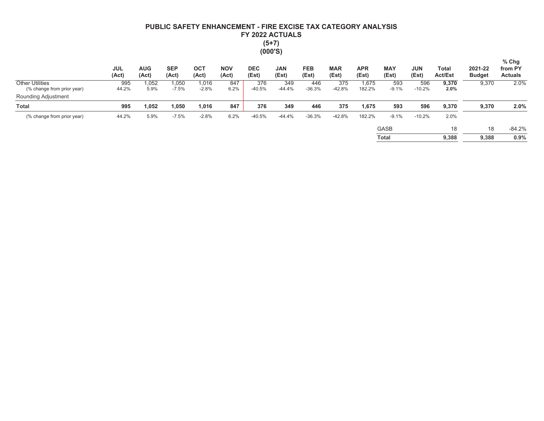# PUBLIC SAFETY ENHANCEMENT - FIRE EXCISE TAX CATEGORY ANALYSIS FY 2022 ACTUALS  $(5+7)$  $(000'S)$

|                                                      | <b>JUL</b><br>(Act) | <b>AUG</b><br>(Act) | <b>SEP</b><br>(Act) | OC1<br>(Act)     | <b>NOV</b><br>(Act) | <b>DEC</b><br>(Est) | <b>JAN</b><br>(Est) | <b>FEB</b><br>(Est) | <b>MAR</b><br>(Est) | <b>APR</b><br>(Est) | <b>MAY</b><br>(Est) | <b>JUN</b><br>(Est) | Total<br><b>Act/Est</b> | 2021-22<br><b>Budget</b> | $%$ Chg<br>from PY<br><b>Actuals</b> |
|------------------------------------------------------|---------------------|---------------------|---------------------|------------------|---------------------|---------------------|---------------------|---------------------|---------------------|---------------------|---------------------|---------------------|-------------------------|--------------------------|--------------------------------------|
| <b>Other Utilities</b><br>(% change from prior year) | 995<br>44.2%        | ,052<br>5.9%        | 1,050<br>$-7.5%$    | 1,016<br>$-2.8%$ | 847<br>6.2%         | 376<br>$-40.5%$     | 349<br>$-44.4%$     | 446<br>$-36.3%$     | 375<br>$-42.8%$     | 1.675<br>182.2%     | 593<br>$-9.1%$      | 596<br>$-10.2%$     | 9,370<br>$2.0\%$        | 9,370                    | 2.0%                                 |
| Rounding Adjustment                                  |                     |                     |                     |                  |                     |                     |                     |                     |                     |                     |                     |                     |                         |                          |                                      |
| <b>Total</b>                                         | 995                 | .052                | 1,050               | 1,016            | 847                 | 376                 | 349                 | 446                 | 375                 | 1,675               | 593                 | 596                 | 9,370                   | 9,370                    | 2.0%                                 |
| (% change from prior year)                           | 44.2%               | 5.9%                | $-7.5%$             | $-2.8%$          | 6.2%                | $-40.5%$            | -44.4%              | $-36.3%$            | $-42.8%$            | 182.2%              | $-9.1%$             | $-10.2%$            | 2.0%                    |                          |                                      |
|                                                      |                     |                     |                     |                  |                     |                     |                     |                     |                     |                     | <b>GASB</b>         |                     | 18                      | 18                       | $-84.2%$                             |
|                                                      |                     |                     |                     |                  |                     |                     |                     |                     |                     |                     | <b>Total</b>        |                     | 9,388                   | 9.388                    | 0.9%                                 |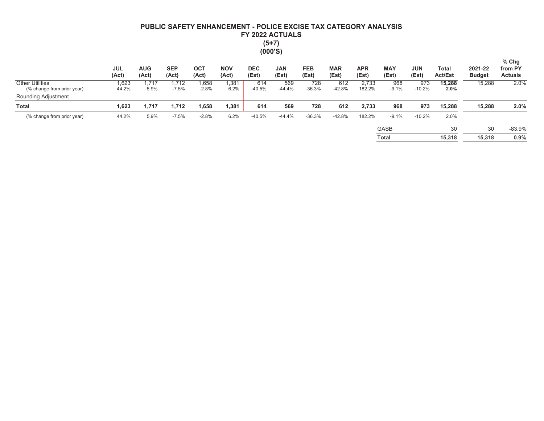# PUBLIC SAFETY ENHANCEMENT - POLICE EXCISE TAX CATEGORY ANALYSIS FY 2022 ACTUALS  $(5+7)$  $(000'S)$

|                                                      | <b>JUL</b><br>(Act) | <b>AUG</b><br>(Act) | <b>SEP</b><br>(Act) | <b>OCT</b><br>(Act) | <b>NOV</b><br>(Act) | <b>DEC</b><br>(Est) | <b>JAN</b><br>(Est) | <b>FEB</b><br>(Est) | <b>MAR</b><br>(Est) | <b>APR</b><br>(Est) | <b>MAY</b><br>(Est) | <b>JUN</b><br>(Est) | Total<br><b>Act/Est</b> | 2021-22<br><b>Budget</b> | $%$ Chg<br>from PY<br><b>Actuals</b> |
|------------------------------------------------------|---------------------|---------------------|---------------------|---------------------|---------------------|---------------------|---------------------|---------------------|---------------------|---------------------|---------------------|---------------------|-------------------------|--------------------------|--------------------------------------|
| <b>Other Utilities</b><br>(% change from prior year) | 1,623<br>44.2%      | 717،<br>5.9%        | 1,712<br>$-7.5%$    | 1,658<br>$-2.8%$    | 1,381<br>6.2%       | 614<br>$-40.5%$     | 569<br>$-44.4%$     | 728<br>$-36.3%$     | 612<br>$-42.8%$     | 2.733<br>182.2%     | 968<br>$-9.1%$      | 973<br>$-10.2%$     | 15.288<br>2.0%          | 15,288                   | 2.0%                                 |
| Rounding Adjustment                                  |                     |                     |                     |                     |                     |                     |                     |                     |                     |                     |                     |                     |                         |                          |                                      |
| <b>Total</b>                                         | 1,623               | 1,717               | 1,712               | 1,658               | 1,381               | 614                 | 569                 | 728                 | 612                 | 2,733               | 968                 | 973                 | 15.288                  | 15.288                   | 2.0%                                 |
| (% change from prior year)                           | 44.2%               | 5.9%                | $-7.5%$             | $-2.8%$             | 6.2%                | $-40.5%$            | $-44.4%$            | $-36.3%$            | $-42.8%$            | 182.2%              | $-9.1%$             | $-10.2%$            | 2.0%                    |                          |                                      |
|                                                      |                     |                     |                     |                     |                     |                     |                     |                     |                     |                     | <b>GASB</b>         |                     | 30                      | 30                       | $-83.9%$                             |
|                                                      |                     |                     |                     |                     |                     |                     |                     |                     |                     |                     | <b>Total</b>        |                     | 15.318                  | 15.318                   | 0.9%                                 |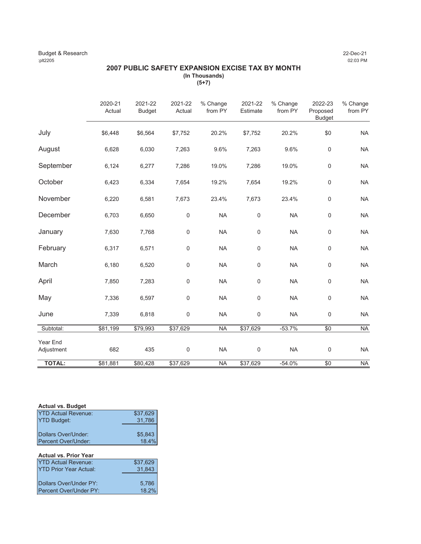#### Budget & Research 22-Dec-21<br>
22-Dec-21<br>
22:03 PM :plt2205 02:03 PM

#### **2007 PUBLIC SAFETY EXPANSION EXCISE TAX BY MONTH (In Thousands) (5+7)**

|                        | 2020-21<br>Actual | 2021-22<br><b>Budget</b> | 2021-22<br>Actual | % Change<br>from PY | 2021-22<br>Estimate | % Change<br>from PY | 2022-23<br>Proposed<br><b>Budget</b> | % Change<br>from PY |
|------------------------|-------------------|--------------------------|-------------------|---------------------|---------------------|---------------------|--------------------------------------|---------------------|
| July                   | \$6,448           | \$6,564                  | \$7,752           | 20.2%               | \$7,752             | 20.2%               | \$0                                  | <b>NA</b>           |
| August                 | 6,628             | 6,030                    | 7,263             | 9.6%                | 7,263               | 9.6%                | $\mathsf 0$                          | <b>NA</b>           |
| September              | 6,124             | 6,277                    | 7,286             | 19.0%               | 7,286               | 19.0%               | $\mathbf 0$                          | <b>NA</b>           |
| October                | 6,423             | 6,334                    | 7,654             | 19.2%               | 7,654               | 19.2%               | $\mathsf{O}\xspace$                  | <b>NA</b>           |
| November               | 6,220             | 6,581                    | 7,673             | 23.4%               | 7,673               | 23.4%               | $\mathbf 0$                          | <b>NA</b>           |
| December               | 6,703             | 6,650                    | $\mathbf 0$       | <b>NA</b>           | $\mathsf{O}\xspace$ | <b>NA</b>           | $\mathsf 0$                          | <b>NA</b>           |
| January                | 7,630             | 7,768                    | $\mathbf 0$       | <b>NA</b>           | $\mathbf 0$         | <b>NA</b>           | $\mathsf 0$                          | <b>NA</b>           |
| February               | 6,317             | 6,571                    | $\mathsf{0}$      | <b>NA</b>           | $\mathsf{O}\xspace$ | <b>NA</b>           | $\mathsf 0$                          | <b>NA</b>           |
| March                  | 6,180             | 6,520                    | 0                 | <b>NA</b>           | $\mathbf 0$         | <b>NA</b>           | $\mathsf 0$                          | <b>NA</b>           |
| April                  | 7,850             | 7,283                    | $\mathbf 0$       | <b>NA</b>           | 0                   | <b>NA</b>           | $\mathsf{O}\xspace$                  | <b>NA</b>           |
| May                    | 7,336             | 6,597                    | $\mathbf 0$       | <b>NA</b>           | $\mathbf 0$         | <b>NA</b>           | $\mathsf 0$                          | <b>NA</b>           |
| June                   | 7,339             | 6,818                    | $\pmb{0}$         | <b>NA</b>           | 0                   | <b>NA</b>           | $\mathbf 0$                          | <b>NA</b>           |
| Subtotal:              | \$81,199          | \$79,993                 | \$37,629          | <b>NA</b>           | \$37,629            | $-53.7%$            | $\overline{60}$                      | <b>NA</b>           |
| Year End<br>Adjustment | 682               | 435                      | $\mathbf 0$       | <b>NA</b>           | $\mathsf 0$         | <b>NA</b>           | $\boldsymbol{0}$                     | <b>NA</b>           |
| <b>TOTAL:</b>          | \$81,881          | \$80,428                 | \$37,629          | <b>NA</b>           | \$37,629            | $-54.0%$            | \$0                                  | <b>NA</b>           |

#### **Actual vs. Budget**

| <b>YTD Actual Revenue:</b>                           | \$37,629 |
|------------------------------------------------------|----------|
| <b>YTD Budget:</b>                                   | 31,786   |
|                                                      |          |
| <b>IDollars Over/Under:</b>                          | \$5,843  |
| Percent Over/Under:                                  | 18.4%    |
|                                                      |          |
|                                                      |          |
| <b>Actual vs. Prior Year</b>                         |          |
|                                                      | \$37,629 |
| <b>YTD Prior Year Actual:</b>                        | 31,843   |
|                                                      |          |
| <b>YTD Actual Revenue:</b><br>Dollars Over/Under PY: | 5,786    |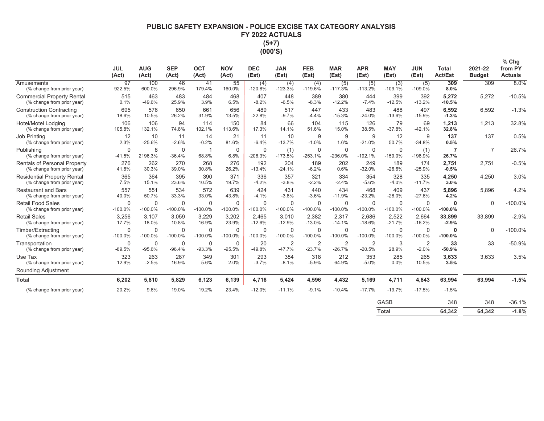## PUBLIC SAFETY EXPANSION - POLICE EXCISE TAX CATEGORY ANALYSIS FY 2022 ACTUALS  $(5+7)$ (000'S)

|                                                                   | <b>JUL</b><br>(Act)      | <b>AUG</b><br>(Act)   | <b>SEP</b><br>(Act)      | <b>OCT</b><br>(Act)      | <b>NOV</b><br>(Act)      | <b>DEC</b><br>(Est)      | <b>JAN</b><br>(Est)        | <b>FEB</b><br>(Est)      | <b>MAR</b><br>(Est)      | <b>APR</b><br>(Est)        | <b>MAY</b><br>(Est)      | <b>JUN</b><br>(Est)      | <b>Total</b><br><b>Act/Est</b> | 2021-22<br><b>Budget</b> | $%$ Chg<br>from PY<br><b>Actuals</b> |
|-------------------------------------------------------------------|--------------------------|-----------------------|--------------------------|--------------------------|--------------------------|--------------------------|----------------------------|--------------------------|--------------------------|----------------------------|--------------------------|--------------------------|--------------------------------|--------------------------|--------------------------------------|
| Amusements<br>(% change from prior year)                          | 97<br>922.5%             | 100<br>600.0%         | 46<br>296.9%             | 41<br>179.4%             | 55<br>160.0%             | (4)<br>$-120.8%$         | (4)<br>$-123.3%$           | (4)<br>$-119.6%$         | (5)<br>$-117.3%$         | (5)<br>$-113.2%$           | (3)<br>$-109.1%$         | (5)<br>$-109.0%$         | 309<br>8.0%                    | 309                      | 8.0%                                 |
| <b>Commercial Property Rental</b><br>(% change from prior year)   | 515<br>0.1%              | 463<br>$-49.6%$       | 483<br>25.9%             | 484<br>3.9%              | 468<br>6.5%              | 407<br>$-8.2%$           | 448<br>$-6.5%$             | 389<br>$-8.3%$           | 380<br>$-12.2%$          | 444<br>$-7.4%$             | 399<br>$-12.5%$          | 392<br>$-13.2%$          | 5,272<br>$-10.5%$              | 5,272                    | $-10.5%$                             |
| <b>Construction Contracting</b><br>(% change from prior year)     | 695<br>18.6%             | 576<br>10.5%          | 650<br>26.2%             | 661<br>31.9%             | 656<br>13.5%             | 489<br>$-22.8%$          | 517<br>$-9.7%$             | 447<br>$-4.4%$           | 433<br>$-15.3%$          | 483<br>$-24.0%$            | 488<br>$-13.6%$          | 497<br>$-15.9%$          | 6,592<br>$-1.3%$               | 6,592                    | $-1.3%$                              |
| Hotel/Motel Lodging<br>(% change from prior year)                 | 106<br>105.8%            | 106<br>132.1%         | 94<br>74.8%              | 114<br>102.1%            | 150<br>113.6%            | 84<br>17.3%              | 66<br>14.1%                | 104<br>51.6%             | 115<br>15.0%             | 126<br>38.5%               | 79<br>$-37.8%$           | 69<br>$-42.1%$           | 1.213<br>32.8%                 | 1,213                    | 32.8%                                |
| Job Printing<br>(% change from prior year)                        | 12<br>2.3%               | 10<br>$-25.6%$        | 11<br>$-2.6%$            | 14<br>$-0.2%$            | 21<br>81.6%              | 11<br>$-6.4%$            | 10<br>$-13.7%$             | 9<br>$-1.0%$             | 9<br>1.6%                | 9<br>$-21.0%$              | 12<br>50.7%              | 9<br>$-34.8%$            | 137<br>0.5%                    | 137                      | 0.5%                                 |
| Publishing<br>(% change from prior year)                          | $\mathbf 0$<br>$-41.5%$  | 8<br>2196.3%          | 0<br>$-36.4%$            | 68.8%                    | $\mathbf 0$<br>6.8%      | $\mathbf 0$<br>$-206.3%$ | (1)<br>$-173.5%$           | $\mathbf 0$<br>$-253.1%$ | $\mathbf 0$<br>$-236.0%$ | 0<br>$-192.1%$             | 0<br>$-159.0%$           | (1)<br>$-198.9%$         | 7<br>26.7%                     | 7                        | 26.7%                                |
| <b>Rentals of Personal Property</b><br>(% change from prior year) | 276<br>41.8%             | 262<br>30.3%          | 270<br>39.0%             | 268<br>30.8%             | 276<br>26.2%             | 192<br>$-13.4%$          | 204<br>$-24.1%$            | 189<br>$-6.2%$           | 202<br>0.6%              | 249<br>$-32.0%$            | 189<br>$-26.6%$          | 174<br>$-25.9%$          | 2,751<br>$-0.5%$               | 2,751                    | $-0.5%$                              |
| <b>Residential Property Rental</b><br>(% change from prior year)  | 365<br>7.5%              | 364<br>15.1%          | 395<br>23.6%             | 390<br>10.5%             | 371<br>19.7%             | 336<br>$-4.2%$           | 357<br>$-3.8%$             | 321<br>$-2.2%$           | 334<br>$-2.4%$           | 354<br>$-5.6%$             | 328<br>$-4.0%$           | 335<br>$-11.7%$          | 4,250<br>3.0%                  | 4,250                    | 3.0%                                 |
| <b>Restaurant and Bars</b><br>(% change from prior year)          | 557<br>40.0%             | 551<br>50.7%          | 534<br>33.3%             | 572<br>33.0%             | 639<br>43.8%             | 424<br>$-4.1%$           | 431<br>$-3.8%$             | 440<br>$-3.6%$           | 434<br>$-11.9%$          | 468<br>$-23.2%$            | 409<br>$-28.0%$          | 437<br>$-27.6%$          | 5,896<br>4.2%                  | 5,896                    | 4.2%                                 |
| <b>Retail Food Sales</b><br>(% change from prior year)            | $\mathbf 0$<br>$-100.0%$ | $\Omega$<br>$-100.0%$ | $\mathbf 0$<br>$-100.0%$ | $\mathbf 0$<br>$-100.0%$ | $\Omega$<br>$-100.0%$    | $\mathbf 0$<br>$-100.0%$ | $\Omega$<br>$-100.0%$      | $\Omega$<br>$-100.0%$    | 0<br>$-100.0%$           | $\mathbf 0$<br>$-100.0%$   | $\mathbf 0$<br>$-100.0%$ | $\Omega$<br>$-100.0%$    | 0<br>$-100.0%$                 | $\Omega$                 | $-100.0%$                            |
| <b>Retail Sales</b><br>(% change from prior year)                 | 3,256<br>17.7%           | 3,107<br>18.0%        | 3,059<br>10.8%           | 3,229<br>16.9%           | 3,202<br>23.9%           | 2,465<br>$-12.6%$        | 3,010<br>$-12.9%$          | 2,382<br>$-13.0%$        | 2,317<br>$-14.1%$        | 2,686<br>$-18.6%$          | 2,522<br>$-21.7%$        | 2,664<br>$-16.2%$        | 33,899<br>$-2.9%$              | 33,899                   | $-2.9%$                              |
| Timber/Extracting<br>(% change from prior year)                   | $\mathbf 0$<br>$-100.0%$ | 0<br>$-100.0%$        | 0<br>$-100.0%$           | $\mathbf 0$<br>$-100.0%$ | $\mathbf 0$<br>$-100.0%$ | $\mathbf 0$<br>$-100.0%$ | 0<br>$-100.0%$             | $\mathbf 0$<br>$-100.0%$ | 0<br>$-100.0%$           | 0<br>$-100.0%$             | 0<br>$-100.0%$           | $\mathbf 0$<br>$-100.0%$ | 0<br>$-100.0%$                 | $\Omega$                 | $-100.0%$                            |
| Transportation<br>(% change from prior year)                      | $\mathbf 0$<br>$-89.5%$  | 0<br>$-95.6%$         | 0<br>$-96.4%$            | 0<br>$-93.3%$            | $\mathbf 0$<br>$-95.5%$  | 20<br>$-49.8%$           | $\overline{2}$<br>$-47.7%$ | 2<br>$-23.7%$            | 2<br>$-26.7%$            | $\overline{2}$<br>$-20.5%$ | 3<br>28.9%               | 2<br>$-2.0%$             | 33<br>$-50.9%$                 | 33                       | $-50.9%$                             |
| Use Tax<br>(% change from prior year)                             | 323<br>12.9%             | 263<br>$-2.5%$        | 287<br>16.9%             | 349<br>5.6%              | 301<br>2.0%              | 293<br>$-3.7%$           | 384<br>$-8.1%$             | 318<br>$-5.9%$           | 212<br>64.9%             | 353<br>$-5.0%$             | 285<br>0.0%              | 265<br>10.5%             | 3,633<br>3.5%                  | 3,633                    | 3.5%                                 |
| <b>Rounding Adjustment</b>                                        |                          |                       |                          |                          |                          |                          |                            |                          |                          |                            |                          |                          |                                |                          |                                      |
| <b>Total</b>                                                      | 6,202                    | 5,810                 | 5,829                    | 6,123                    | 6,139                    | 4,716                    | 5,424                      | 4,596                    | 4,432                    | 5,169                      | 4,711                    | 4,843                    | 63,994                         | 63,994                   | $-1.5%$                              |
| (% change from prior year)                                        | 20.2%                    | 9.6%                  | 19.0%                    | 19.2%                    | 23.4%                    | $-12.0%$                 | $-11.1%$                   | $-9.1%$                  | $-10.4%$                 | $-17.7%$                   | $-19.7%$                 | $-17.5%$                 | $-1.5%$                        |                          |                                      |
|                                                                   |                          |                       |                          |                          |                          |                          |                            |                          |                          |                            | GASB                     |                          | 348                            | 348                      | $-36.1%$                             |

| ------- | - - -  | - - -  | -----   |
|---------|--------|--------|---------|
| Total   | 64,342 | 64,342 | $-1.8%$ |
|         |        |        |         |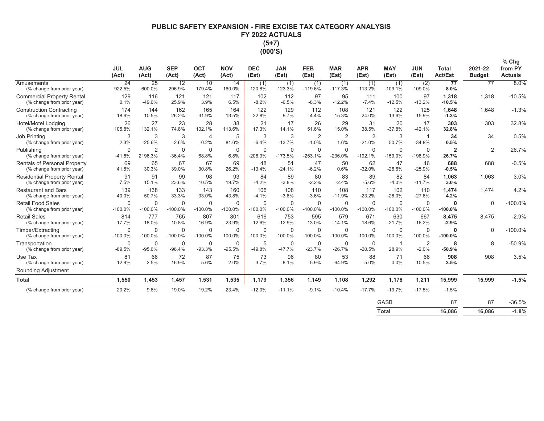## PUBLIC SAFETY EXPANSION - FIRE EXCISE TAX CATEGORY ANALYSIS FY 2022 ACTUALS  $(5+7)$ (000'S)

|                                                                   | <b>JUL</b><br>(Act)       | <b>AUG</b><br>(Act)       | <b>SEP</b><br>(Act)      | OCT<br>(Act)              | <b>NOV</b><br>(Act)       | <b>DEC</b><br>(Est)      | <b>JAN</b><br>(Est)      | <b>FEB</b><br>(Est)       | <b>MAR</b><br>(Est)      | <b>APR</b><br>(Est)        | <b>MAY</b><br>(Est)      | <b>JUN</b><br>(Est)      | <b>Total</b><br><b>Act/Est</b> | 2021-22<br><b>Budget</b> | $%$ Chg<br>from PY<br><b>Actuals</b> |
|-------------------------------------------------------------------|---------------------------|---------------------------|--------------------------|---------------------------|---------------------------|--------------------------|--------------------------|---------------------------|--------------------------|----------------------------|--------------------------|--------------------------|--------------------------------|--------------------------|--------------------------------------|
| Amusements<br>(% change from prior year)                          | $\overline{24}$<br>922.5% | 25<br>600.0%              | 12<br>296.9%             | 10<br>179.4%              | 14<br>160.0%              | (1)<br>$-120.8%$         | (1)<br>$-123.3%$         | (1)<br>$-119.6%$          | (1)<br>$-117.3%$         | (1)<br>$-113.2%$           | (1)<br>$-109.1%$         | (2)<br>$-109.0%$         | 77<br>8.0%                     | 77                       | 8.0%                                 |
| <b>Commercial Property Rental</b><br>(% change from prior year)   | 129<br>0.1%               | 116<br>$-49.6%$           | 121<br>25.9%             | 121<br>3.9%               | 117<br>6.5%               | 102<br>$-8.2%$           | 112<br>$-6.5%$           | 97<br>$-8.3%$             | 95<br>$-12.2%$           | 111<br>$-7.4%$             | 100<br>$-12.5%$          | 97<br>$-13.2%$           | 1,318<br>$-10.5%$              | 1,318                    | $-10.5%$                             |
| <b>Construction Contracting</b><br>(% change from prior year)     | 174<br>18.6%              | 144<br>10.5%              | 162<br>26.2%             | 165<br>31.9%              | 164<br>13.5%              | 122<br>$-22.8%$          | 129<br>$-9.7%$           | 112<br>$-4.4%$            | 108<br>$-15.3%$          | 121<br>$-24.0%$            | 122<br>$-13.6%$          | 125<br>$-15.9%$          | 1.648<br>$-1.3%$               | 1.648                    | $-1.3%$                              |
| Hotel/Motel Lodging<br>(% change from prior year)                 | 26<br>105.8%              | 27<br>132.1%              | 23<br>74.8%              | 28<br>102.1%              | 38<br>113.6%              | 21<br>17.3%              | 17<br>14.1%              | 26<br>51.6%               | 29<br>15.0%              | 31<br>38.5%                | 20<br>$-37.8%$           | 17<br>$-42.1%$           | 303<br>32.8%                   | 303                      | 32.8%                                |
| Job Printing<br>(% change from prior year)                        | 3<br>2.3%                 | 3<br>$-25.6%$             | 3<br>$-2.6%$             | $\overline{4}$<br>$-0.2%$ | 5<br>81.6%                | 3<br>$-6.4%$             | 3<br>$-13.7%$            | $\overline{2}$<br>$-1.0%$ | $\overline{2}$<br>1.6%   | $\overline{2}$<br>$-21.0%$ | 3<br>50.7%               | -1<br>$-34.8%$           | 34<br>0.5%                     | 34                       | 0.5%                                 |
| Publishing<br>(% change from prior year)                          | $\Omega$<br>$-41.5%$      | $\overline{2}$<br>2196.3% | $\mathbf 0$<br>$-36.4%$  | 0<br>68.8%                | $\mathbf 0$<br>6.8%       | $\mathbf 0$<br>$-206.3%$ | $\mathbf 0$<br>$-173.5%$ | $\Omega$<br>$-253.1%$     | $\mathbf 0$<br>$-236.0%$ | $\mathbf 0$<br>$-192.1%$   | $\mathbf 0$<br>$-159.0%$ | $\mathbf 0$<br>$-198.9%$ | $\overline{2}$<br>26.7%        | $\overline{2}$           | 26.7%                                |
| <b>Rentals of Personal Property</b><br>(% change from prior year) | 69<br>41.8%               | 65<br>30.3%               | 67<br>39.0%              | 67<br>30.8%               | 69<br>26.2%               | 48<br>$-13.4%$           | 51<br>$-24.1%$           | 47<br>$-6.2%$             | 50<br>0.6%               | 62<br>$-32.0%$             | 47<br>$-26.6%$           | 46<br>$-25.9%$           | 688<br>$-0.5%$                 | 688                      | $-0.5%$                              |
| <b>Residential Property Rental</b><br>(% change from prior year)  | 91<br>7.5%                | 91<br>15.1%               | 99<br>23.6%              | 98<br>10.5%               | 93<br>19.7%               | 84<br>$-4.2%$            | 89<br>$-3.8%$            | 80<br>$-2.2%$             | 83<br>$-2.4%$            | 89<br>$-5.6%$              | 82<br>$-4.0%$            | 84<br>$-11.7%$           | 1,063<br>3.0%                  | 1,063                    | 3.0%                                 |
| <b>Restaurant and Bars</b><br>(% change from prior year)          | 139<br>40.0%              | 138<br>50.7%              | 133<br>33.3%             | 143<br>33.0%              | 160<br>43.8%              | 106<br>$-4.1%$           | 108<br>$-3.8%$           | 110<br>$-3.6%$            | 108<br>$-11.9%$          | 117<br>$-23.2%$            | 102<br>$-28.0%$          | 110<br>$-27.6%$          | 1,474<br>4.2%                  | 1.474                    | 4.2%                                 |
| <b>Retail Food Sales</b><br>(% change from prior year)            | $\Omega$<br>$-100.0%$     | $\Omega$<br>$-100.0%$     | $\Omega$<br>$-100.0%$    | $\Omega$<br>$-100.0%$     | $\mathbf{0}$<br>$-100.0%$ | $\Omega$<br>$-100.0%$    | $\Omega$<br>$-100.0%$    | $\Omega$<br>$-100.0%$     | $\Omega$<br>$-100.0%$    | 0<br>$-100.0%$             | $\Omega$<br>$-100.0%$    | 0<br>$-100.0%$           | $\bf{0}$<br>$-100.0%$          | $\Omega$                 | $-100.0%$                            |
| <b>Retail Sales</b><br>(% change from prior year)                 | 814<br>17.7%              | 777<br>18.0%              | 765<br>10.8%             | 807<br>16.9%              | 801<br>23.9%              | 616<br>$-12.6%$          | 753<br>$-12.9%$          | 595<br>$-13.0%$           | 579<br>$-14.1%$          | 671<br>$-18.6%$            | 630<br>$-21.7%$          | 667<br>$-16.2%$          | 8.475<br>$-2.9%$               | 8.475                    | $-2.9%$                              |
| Timber/Extracting<br>(% change from prior year)                   | $\Omega$<br>$-100.0%$     | $\mathbf 0$<br>$-100.0%$  | $\mathbf 0$<br>$-100.0%$ | $\Omega$<br>$-100.0%$     | $\mathbf 0$<br>$-100.0%$  | $\mathbf 0$<br>$-100.0%$ | $\mathbf 0$<br>$-100.0%$ | $\Omega$<br>$-100.0%$     | $\Omega$<br>$-100.0%$    | $\Omega$<br>$-100.0%$      | $\mathbf 0$<br>$-100.0%$ | $\Omega$<br>$-100.0%$    | $\Omega$<br>$-100.0%$          | $\Omega$                 | $-100.0%$                            |
| Transportation<br>(% change from prior year)                      | $\Omega$<br>$-89.5%$      | 0<br>$-95.6%$             | $\mathbf 0$<br>$-96.4%$  | 0<br>$-93.3%$             | 0<br>$-95.5%$             | 5<br>$-49.8%$            | $\mathbf 0$<br>$-47.7%$  | $\Omega$<br>$-23.7%$      | $\Omega$<br>$-26.7%$     | $\Omega$<br>$-20.5%$       | 1<br>28.9%               | 2<br>$-2.0%$             | 8<br>$-50.9%$                  | 8                        | $-50.9%$                             |
| Use Tax<br>(% change from prior year)<br>Rounding Adjustment      | 81<br>12.9%               | 66<br>$-2.5%$             | 72<br>16.9%              | 87<br>5.6%                | 75<br>2.0%                | 73<br>$-3.7%$            | 96<br>$-8.1%$            | 80<br>$-5.9%$             | 53<br>64.9%              | 88<br>$-5.0%$              | 71<br>0.0%               | 66<br>10.5%              | 908<br>3.5%                    | 908                      | 3.5%                                 |
| <b>Total</b>                                                      | 1,550                     | 1,453                     | 1,457                    | 1,531                     | 1,535                     | 1,179                    | 1,356                    | 1,149                     | 1,108                    | 1,292                      | 1,178                    | 1,211                    | 15,999                         | 15,999                   | $-1.5%$                              |
| (% change from prior year)                                        | 20.2%                     | 9.6%                      | 19.0%                    | 19.2%                     | 23.4%                     | $-12.0%$                 | $-11.1%$                 | $-9.1%$                   | $-10.4%$                 | $-17.7%$                   | $-19.7%$                 | $-17.5%$                 | $-1.5%$                        |                          |                                      |
|                                                                   |                           |                           |                          |                           |                           |                          |                          |                           |                          |                            | <b>GASB</b>              |                          | 87                             | 87                       | $-36.5%$                             |
|                                                                   |                           |                           |                          |                           |                           |                          |                          |                           |                          |                            | <b>Total</b>             |                          | 16.086                         | 16.086                   | $-1.8%$                              |

| ິ     | $\cdot$ | $\cdot$ | vv.v   |
|-------|---------|---------|--------|
| Total | 16,086  | 16,086  | $-1.8$ |
|       |         |         |        |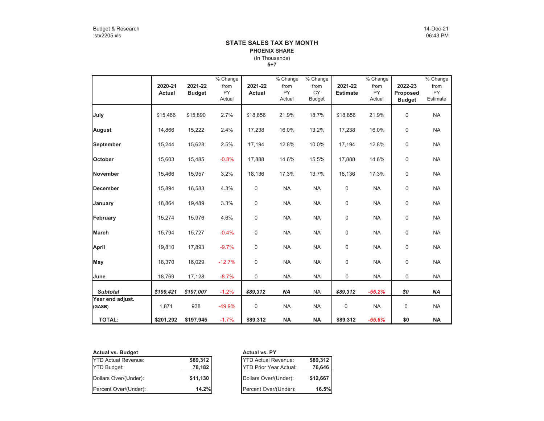#### **5+7** (In Thousands) **STATE SALES TAX BY MONTHPHOENIX SHARE**

|                            | 2020-21<br><b>Actual</b> | 2021-22<br><b>Budget</b> | % Change<br>from<br><b>PY</b><br>Actual | 2021-22<br>Actual | % Change<br>from<br><b>PY</b><br>Actual | % Change<br>from<br><b>CY</b><br><b>Budget</b> | 2021-22<br><b>Estimate</b> | % Change<br>from<br><b>PY</b><br>Actual | 2022-23<br>Proposed<br><b>Budget</b> | % Change<br>from<br><b>PY</b><br>Estimate |
|----------------------------|--------------------------|--------------------------|-----------------------------------------|-------------------|-----------------------------------------|------------------------------------------------|----------------------------|-----------------------------------------|--------------------------------------|-------------------------------------------|
| July                       | \$15,466                 | \$15,890                 | 2.7%                                    | \$18,856          | 21.9%                                   | 18.7%                                          | \$18,856                   | 21.9%                                   | 0                                    | <b>NA</b>                                 |
| August                     | 14,866                   | 15,222                   | 2.4%                                    | 17,238            | 16.0%                                   | 13.2%                                          | 17,238                     | 16.0%                                   | $\mathbf 0$                          | <b>NA</b>                                 |
| September                  | 15,244                   | 15,628                   | 2.5%                                    | 17,194            | 12.8%                                   | 10.0%                                          | 17,194                     | 12.8%                                   | $\mathsf 0$                          | <b>NA</b>                                 |
| October                    | 15,603                   | 15,485                   | $-0.8%$                                 | 17,888            | 14.6%                                   | 15.5%                                          | 17,888                     | 14.6%                                   | 0                                    | <b>NA</b>                                 |
| <b>November</b>            | 15,466                   | 15,957                   | 3.2%                                    | 18,136            | 17.3%                                   | 13.7%                                          | 18,136                     | 17.3%                                   | 0                                    | <b>NA</b>                                 |
| <b>IDecember</b>           | 15,894                   | 16,583                   | 4.3%                                    | 0                 | <b>NA</b>                               | <b>NA</b>                                      | 0                          | <b>NA</b>                               | $\mathbf 0$                          | <b>NA</b>                                 |
| January                    | 18,864                   | 19,489                   | 3.3%                                    | 0                 | <b>NA</b>                               | <b>NA</b>                                      | 0                          | <b>NA</b>                               | $\pmb{0}$                            | <b>NA</b>                                 |
| February                   | 15,274                   | 15,976                   | 4.6%                                    | 0                 | <b>NA</b>                               | <b>NA</b>                                      | $\Omega$                   | <b>NA</b>                               | $\mathbf 0$                          | <b>NA</b>                                 |
| March                      | 15,794                   | 15,727                   | $-0.4%$                                 | 0                 | <b>NA</b>                               | <b>NA</b>                                      | 0                          | <b>NA</b>                               | $\mathbf 0$                          | <b>NA</b>                                 |
| <b>April</b>               | 19,810                   | 17,893                   | $-9.7%$                                 | 0                 | <b>NA</b>                               | <b>NA</b>                                      | 0                          | <b>NA</b>                               | $\mathbf 0$                          | <b>NA</b>                                 |
| May                        | 18,370                   | 16,029                   | $-12.7%$                                | 0                 | <b>NA</b>                               | <b>NA</b>                                      | 0                          | <b>NA</b>                               | $\mathbf 0$                          | <b>NA</b>                                 |
| June                       | 18,769                   | 17,128                   | $-8.7%$                                 | 0                 | <b>NA</b>                               | <b>NA</b>                                      | 0                          | <b>NA</b>                               | 0                                    | <b>NA</b>                                 |
| <b>Subtotal</b>            | \$199,421                | \$197,007                | $-1.2%$                                 | \$89,312          | <b>NA</b>                               | <b>NA</b>                                      | \$89,312                   | $-55.2%$                                | \$0                                  | <b>NA</b>                                 |
| Year end adjust.<br>(GASB) | 1,871                    | 938                      | $-49.9%$                                | 0                 | <b>NA</b>                               | <b>NA</b>                                      | $\pmb{0}$                  | <b>NA</b>                               | 0                                    | <b>NA</b>                                 |
| <b>TOTAL:</b>              | \$201,292                | \$197,945                | $-1.7%$                                 | \$89,312          | <b>NA</b>                               | <b>NA</b>                                      | \$89,312                   | $-55.6%$                                | \$0                                  | <b>NA</b>                                 |

| <b>Actual vs. Budget</b>   |          | <b>Actual vs. PY</b>          |          |  |  |  |  |
|----------------------------|----------|-------------------------------|----------|--|--|--|--|
| <b>YTD Actual Revenue:</b> | \$89,312 | <b>YTD Actual Revenue:</b>    | \$89,312 |  |  |  |  |
| <b>YTD Budget:</b>         | 78,182   | <b>YTD Prior Year Actual:</b> | 76,646   |  |  |  |  |
| Dollars Over/(Under):      | \$11,130 | Dollars Over/(Under):         | \$12,667 |  |  |  |  |
| Percent Over/(Under):      | 14.2%    | Percent Over/(Under):         | 16.5%    |  |  |  |  |

|          | <b>Actual vs. PY</b>          |          |
|----------|-------------------------------|----------|
| \$89,312 | <b>YTD Actual Revenue:</b>    | \$89,312 |
| 78,182   | <b>YTD Prior Year Actual:</b> | 76,646   |
| \$11,130 | Dollars Over/(Under):         | \$12,667 |
| 14.2%    | Percent Over/(Under):         | 16.5%    |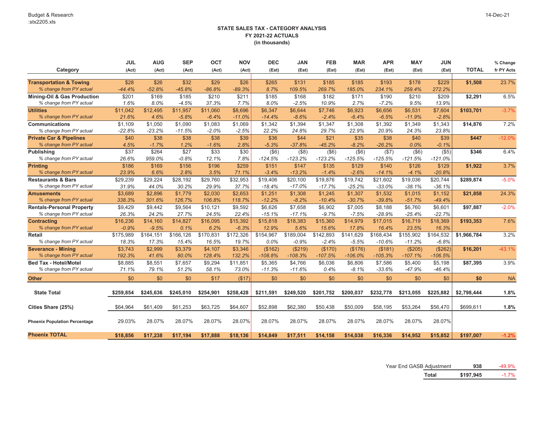|                                        | <b>JUL</b> | <b>AUG</b> | <b>SEP</b> | <b>OCT</b> | <b>NOV</b> | <b>DEC</b> | <b>JAN</b> | <b>FEB</b> | <b>MAR</b> | <b>APR</b> | <b>MAY</b> | <b>JUN</b> |              | % Change   |
|----------------------------------------|------------|------------|------------|------------|------------|------------|------------|------------|------------|------------|------------|------------|--------------|------------|
| Category                               | (Act)      | (Act)      | (Act)      | (Act)      | (Act)      | (Est)      | (Est)      | (Est)      | (Est)      | (Est)      | (Est)      | (Est)      | <b>TOTAL</b> | fr PY Acts |
|                                        |            |            |            |            |            |            |            |            |            |            |            |            |              |            |
| <b>Transportation &amp; Towing</b>     | \$28       | \$26       | \$32       | \$29       | \$26       | \$265      | \$131      | \$185      | \$185      | \$193      | \$178      | \$229      | \$1,508      | 23.7%      |
| % change from PY actual                | $-44.4%$   | $-52.8%$   | $-45.8%$   | $-86.8%$   | $-89.3%$   | 8.7%       | 109.5%     | 269.7%     | 185.0%     | 234.1%     | 259.4%     | 272.2%     |              |            |
| <b>Mining-Oil &amp; Gas Production</b> | \$201      | \$169      | \$185      | \$210      | \$211      | \$185      | \$168      | \$182      | \$171      | \$190      | \$210      | \$209      | \$2,291      | 6.5%       |
| % change from PY actual                | 1.6%       | 8.0%       | $-4.5%$    | 37.3%      | 7.7%       | 8.0%       | $-2.5%$    | 10.9%      | 2.7%       | $-7.2%$    | 9.5%       | 13.9%      |              |            |
| <b>Utilities</b>                       | \$11,042   | \$12,495   | \$11,957   | \$11,060   | \$8,696    | \$6,347    | \$6,644    | \$7,746    | \$6,923    | \$6,656    | \$6,531    | \$7,604    | \$103,701    | $-3.7%$    |
| % change from PY actual                | 21.6%      | 4.6%       | $-5.8%$    | $-6.4%$    | $-11.0%$   | $-14.4%$   | $-8.6%$    | $-2.4%$    | $-6.4%$    | $-6.5%$    | $-11.9%$   | $-2.8%$    |              |            |
| <b>Communications</b>                  | \$1,109    | \$1,050    | \$1,090    | \$1,083    | \$1,069    | \$1,342    | \$1,394    | \$1,347    | \$1,308    | \$1,392    | \$1,349    | \$1,343    | \$14,876     | 7.2%       |
| % change from PY actual                | $-22.8%$   | $-23.2%$   | $-11.5%$   | $-2.0%$    | $-2.5%$    | 22.2%      | 24.8%      | 29.7%      | 22.9%      | 20.9%      | 24.3%      | 23.8%      |              |            |
| <b>Private Car &amp; Pipelines</b>     | \$40       | \$38       | \$38       | \$38       | \$39       | \$36       | \$44       | \$21       | \$35       | \$38       | \$40       | \$39       | \$447        | $-12.0%$   |
| % change from PY actual                | 4.5%       | $-1.7%$    | 1.2%       | $-1.6%$    | 2.8%       | $-5.3%$    | $-37.8%$   | $-45.2%$   | $-8.2%$    | $-26.2%$   | 0.0%       | $-0.1%$    |              |            |
| <b>Publishing</b>                      | \$37       | \$264      | \$27       | \$33       | \$30       | $($ \$6)   | (\$8)      | (\$6)      | $($ \$6)   | (\$7)      | (\$6)      | (\$5)      | \$346        | 6.4%       |
| % change from PY actual                | 26.6%      | 959.0%     | $-0.8%$    | 12.1%      | 7.8%       | $-124.5%$  | $-123.2%$  | $-123.2%$  | $-125.5%$  | $-125.5%$  | $-121.5%$  | $-121.0%$  |              |            |
| <b>Printing</b>                        | \$186      | \$169      | \$156      | \$196      | \$259      | \$151      | \$147      | \$135      | \$129      | \$140      | \$126      | \$129      | \$1,922      | 3.7%       |
| % change from PY actual                | 23.9%      | 6.6%       | 2.8%       | 3.5%       | 71.1%      | $-3.4%$    | $-13.2%$   | $-1.4%$    | $-2.6%$    | $-14.1%$   | $-4.1%$    | $-20.8%$   |              |            |
| <b>Restaurants &amp; Bars</b>          | \$29,239   | \$29,224   | \$28,192   | \$29,760   | \$32,953   | \$19,406   | \$20,100   | \$19,876   | \$19,742   | \$21,602   | \$19,036   | \$20,744   | \$289,874    | $-5.0%$    |
| % change from PY actual                | 31.9%      | 44.0%      | 30.2%      | 29.9%      | 37.7%      | $-18.4%$   | $-17.0%$   | $-17.7%$   | $-25.2%$   | $-33.0%$   | $-38.1%$   | $-36.1%$   |              |            |
| <b>Amusements</b>                      | \$3,689    | \$2,896    | \$1,779    | \$2,030    | \$2,653    | \$1,251    | \$1,308    | \$1,245    | \$1,307    | \$1,532    | \$1,015    | \$1,152    | \$21,858     | 24.3%      |
| % change from PY actual                | 338.3%     | 301.6%     | 126.7%     | 106.8%     | 118.7%     | $-12.2%$   | $-8.2%$    | $-10.4%$   | $-30.7%$   | $-39.8%$   | $-51.7%$   | $-49.4%$   |              |            |
| <b>Rentals-Personal Property</b>       | \$9,429    | \$9,442    | \$9,564    | \$10,121   | \$9,592    | \$6,626    | \$7,658    | \$6,902    | \$7,005    | \$8,188    | \$6,760    | \$6,601    | \$97,887     | $-2.0%$    |
| % change from PY actual                | 26.3%      | 24.2%      | 27.7%      | 24.5%      | 22.4%      | $-15.1%$   | $-17.1%$   | $-9.7%$    | $-7.5%$    | -28.9%     | $-25.4%$   | $-22.7%$   |              |            |
| <b>Contracting</b>                     | \$16,236   | \$14,160   | \$14,827   | \$16,095   | \$15,392   | \$15,818   | \$18,383   | \$15,360   | \$14,979   | \$17,015   | \$16,719   | \$18,369   | \$193,353    | 7.6%       |
| % change from PY actual                | $-0.9%$    | $-9.5%$    | 0.1%       | 6.2%       | $-6.3%$    | 12.9%      | 5.6%       | 15.6%      | 17.8%      | 16.4%      | 23.5%      | 16.3%      |              |            |
| <b>Retail</b>                          | \$175,989  | \$164,151  | \$166,126  | \$170,831  | \$172,326  | \$154,967  | \$189,004  | \$142,893  | \$141,629  | \$168,434  | \$155,902  | \$164,532  | \$1,966,784  | 3.2%       |
| % change from PY actual                | 18.3%      | 17.3%      | 15.4%      | 16.5%      | 19.7%      | 0.0%       | $-0.9%$    | $-2.4%$    | $-5.5%$    | $-10.6%$   | $-11.2%$   | $-6.8%$    |              |            |
| <b>Severance - Mining</b>              | \$3,743    | \$2,999    | \$3,379    | \$4,107    | \$3,346    | (\$162)    | (\$219)    | (\$170)    | (\$176)    | (\$181)    | (\$205)    | (\$262)    | \$16,201     | $-43.1%$   |
| % change from PY actual                | 192.3%     | 41.6%      | 80.0%      | 128.4%     | 132.2%     | $-108.8%$  | $-108.3%$  | $-107.5%$  | $-106.0%$  | $-105.3%$  | $-107.1%$  | $-106.5%$  |              |            |
| Bed Tax - Hotel/Motel                  | \$8,885    | \$8,551    | \$7,657    | \$9,294    | \$11,851   | \$5,365    | \$4,766    | \$6,036    | \$6,806    | \$7,586    | \$5,400    | \$5,198    | \$87,395     | 3.9%       |
| % change from PY actual                | 71.1%      | 79.1%      | 51.2%      | 58.1%      | 73.0%      | $-11.3%$   | $-11.6%$   | 0.4%       | $-8.1%$    | $-33.6%$   | $-47.9%$   | $-46.4%$   |              |            |
| <b>Other</b>                           | \$0        | \$0        | \$0        | \$17       | (\$17)     | \$0        | \$0        | \$0        | \$0        | \$0        | \$0        | \$0        | \$0          | <b>NA</b>  |
|                                        |            |            |            |            |            |            |            |            |            |            |            |            |              |            |
| <b>State Total</b>                     | \$259,854  | \$245,636  | \$245,010  | \$254,901  | \$258,428  | \$211,591  | \$249,520  | \$201,752  | \$200,037  | \$232,778  | \$213,055  | \$225,882  | \$2,798,444  | 1.8%       |
| Cities Share (25%)                     | \$64,964   | \$61,409   | \$61,253   | \$63,725   | \$64,607   | \$52,898   | \$62,380   | \$50,438   | \$50,009   | \$58,195   | \$53,264   | \$56,470   | \$699,611    | 1.8%       |
|                                        |            |            |            |            |            |            |            |            |            |            |            |            |              |            |
| <b>Phoenix Population Percentage</b>   | 29.03%     | 28.07%     | 28.07%     | 28.07%     | 28.07%     | 28.07%     | 28.07%     | 28.07%     | 28.07%     | 28.07%     | 28.07%     | 28.07%     |              |            |
|                                        |            |            |            |            |            |            |            |            |            |            |            |            |              |            |
| <b>Phoenix TOTAL</b>                   | \$18,856   | \$17,238   | \$17,194   | \$17,888   | \$18,136   | \$14,849   | \$17,511   | \$14,158   | \$14,038   | \$16,336   | \$14,952   | \$15,852   | \$197,007    | $-1.2%$    |

Year End GASB Adjustment **938** -49.9%

**Total \$197,945** -1.7%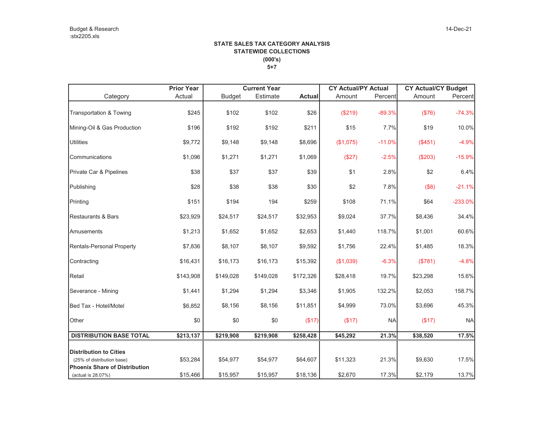|                                                                    | <b>Prior Year</b><br><b>Current Year</b> |               |           |               | <b>CY Actual/PY Actual</b> |           | <b>CY Actual/CY Budget</b> |           |  |
|--------------------------------------------------------------------|------------------------------------------|---------------|-----------|---------------|----------------------------|-----------|----------------------------|-----------|--|
| Category                                                           | Actual                                   | <b>Budget</b> | Estimate  | <b>Actual</b> | Amount                     | Percent   | Amount                     | Percent   |  |
| Transportation & Towing                                            | \$245                                    | \$102         | \$102     | \$26          | (\$219)                    | $-89.3%$  | (\$76)                     | $-74.3%$  |  |
| Mining-Oil & Gas Production                                        | \$196                                    | \$192         | \$192     | \$211         | \$15                       | 7.7%      | \$19                       | 10.0%     |  |
| <b>Utilities</b>                                                   | \$9,772                                  | \$9,148       | \$9,148   | \$8,696       | (\$1,075)                  | $-11.0%$  | (\$451)                    | $-4.9%$   |  |
| Communications                                                     | \$1,096                                  | \$1,271       | \$1,271   | \$1,069       | (\$27)                     | $-2.5%$   | (\$203)                    | $-15.9%$  |  |
| Private Car & Pipelines                                            | \$38                                     | \$37          | \$37      | \$39          | \$1                        | 2.8%      | \$2                        | 6.4%      |  |
| Publishing                                                         | \$28                                     | \$38          | \$38      | \$30          | \$2                        | 7.8%      | (\$8)                      | $-21.1%$  |  |
| Printing                                                           | \$151                                    | \$194         | 194       | \$259         | \$108                      | 71.1%     | \$64                       | $-233.0%$ |  |
| <b>Restaurants &amp; Bars</b>                                      | \$23,929                                 | \$24,517      | \$24,517  | \$32,953      | \$9,024                    | 37.7%     | \$8,436                    | 34.4%     |  |
| Amusements                                                         | \$1,213                                  | \$1,652       | \$1,652   | \$2,653       | \$1,440                    | 118.7%    | \$1,001                    | 60.6%     |  |
| <b>Rentals-Personal Property</b>                                   | \$7,836                                  | \$8,107       | \$8,107   | \$9,592       | \$1,756                    | 22.4%     | \$1,485                    | 18.3%     |  |
| Contracting                                                        | \$16,431                                 | \$16,173      | \$16,173  | \$15,392      | (\$1,039)                  | $-6.3%$   | (\$781)                    | $-4.8%$   |  |
| Retail                                                             | \$143,908                                | \$149,028     | \$149,028 | \$172,326     | \$28,418                   | 19.7%     | \$23,298                   | 15.6%     |  |
| Severance - Mining                                                 | \$1,441                                  | \$1,294       | \$1,294   | \$3,346       | \$1,905                    | 132.2%    | \$2,053                    | 158.7%    |  |
| Bed Tax - Hotel/Motel                                              | \$6,852                                  | \$8,156       | \$8,156   | \$11,851      | \$4,999                    | 73.0%     | \$3,696                    | 45.3%     |  |
| Other                                                              | \$0                                      | \$0           | \$0       | (\$17)        | (\$17)                     | <b>NA</b> | (\$17)                     | <b>NA</b> |  |
| <b>DISTRIBUTION BASE TOTAL</b>                                     | \$213,137                                | \$219,908     | \$219,908 | \$258,428     | \$45,292                   | 21.3%     | \$38,520                   | 17.5%     |  |
| <b>Distribution to Cities</b>                                      |                                          |               |           |               |                            |           |                            |           |  |
| (25% of distribution base)<br><b>Phoenix Share of Distribution</b> | \$53,284                                 | \$54,977      | \$54,977  | \$64,607      | \$11,323                   | 21.3%     | \$9,630                    | 17.5%     |  |
| (actual is 28.07%)                                                 | \$15,466                                 | \$15,957      | \$15,957  | \$18,136      | \$2,670                    | 17.3%     | \$2,179                    | 13.7%     |  |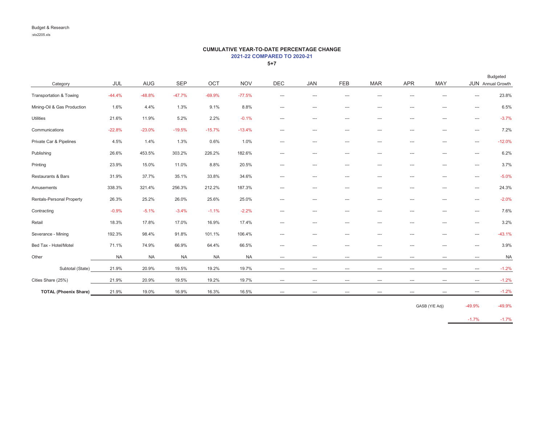#### **CUMULATIVE YEAR-TO-DATE PERCENTAGE CHANGE 2021-22 COMPARED TO 2020-21**

**5+7**

|                                    |           |            |            |           |            |            |                               |            |                          |                          |                          |                          | Budgeted          |
|------------------------------------|-----------|------------|------------|-----------|------------|------------|-------------------------------|------------|--------------------------|--------------------------|--------------------------|--------------------------|-------------------|
| Category                           | JUL       | <b>AUG</b> | <b>SEP</b> | OCT       | <b>NOV</b> | <b>DEC</b> | <b>JAN</b>                    | <b>FEB</b> | <b>MAR</b>               | <b>APR</b>               | MAY                      |                          | JUN Annual Growth |
| <b>Transportation &amp; Towing</b> | $-44.4%$  | $-48.8%$   | $-47.7%$   | $-69.9%$  | $-77.5%$   | $\cdots$   | ---                           | ---        | ---                      | ---                      | $---$                    | $--$                     | 23.8%             |
| Mining-Oil & Gas Production        | 1.6%      | 4.4%       | 1.3%       | 9.1%      | 8.8%       | ---        | ---                           | $\cdots$   | $\hspace{0.05cm} \ldots$ | $\hspace{0.05cm} \ldots$ | $\cdots$                 | $\cdots$                 | 6.5%              |
| <b>Utilities</b>                   | 21.6%     | 11.9%      | 5.2%       | 2.2%      | $-0.1%$    | $\cdots$   | $\cdots$                      | $\cdots$   | $\cdots$                 | ---                      | $\cdots$                 | $\cdots$                 | $-3.7%$           |
| Communications                     | $-22.8%$  | $-23.0%$   | $-19.5%$   | $-15.7%$  | $-13.4%$   | $\cdots$   | ---                           | $\cdots$   | ---                      | ---                      | $\cdots$                 | $\cdots$                 | 7.2%              |
| Private Car & Pipelines            | 4.5%      | 1.4%       | 1.3%       | 0.6%      | 1.0%       | ---        | ---                           | ---        | $\cdots$                 | ---                      | $\hspace{0.05cm} \ldots$ | $\cdots$                 | $-12.0%$          |
| Publishing                         | 26.6%     | 453.5%     | 303.2%     | 226.2%    | 182.6%     | ---        | ---                           | $\cdots$   | $\hspace{0.05cm} \ldots$ | ---                      | $\hspace{0.05cm} \ldots$ | $\cdots$                 | 6.2%              |
| Printing                           | 23.9%     | 15.0%      | 11.0%      | 8.8%      | 20.5%      | ---        | ---                           | ---        | ---                      | ---                      | $\cdots$                 | $\cdots$                 | 3.7%              |
| Restaurants & Bars                 | 31.9%     | 37.7%      | 35.1%      | 33.8%     | 34.6%      | $\cdots$   | $\cdots$                      | ---        | ---                      | ---                      | $\cdots$                 | $\cdots$                 | $-5.0%$           |
| Amusements                         | 338.3%    | 321.4%     | 256.3%     | 212.2%    | 187.3%     | $---$      | $\cdots$                      | ---        | $\cdots$                 | ---                      | $---$                    | $\cdots$                 | 24.3%             |
| Rentals-Personal Property          | 26.3%     | 25.2%      | 26.0%      | 25.6%     | 25.0%      | ---        | $---$                         | $\cdots$   | $---$                    | ---                      | $---$                    | $\cdots$                 | $-2.0%$           |
| Contracting                        | $-0.9%$   | $-5.1%$    | $-3.4%$    | $-1.1%$   | $-2.2%$    | ---        | ---                           | ---        | ---                      | ---                      | ---                      | $\cdots$                 | 7.6%              |
| Retail                             | 18.3%     | 17.8%      | 17.0%      | 16.9%     | 17.4%      | ---        | ---                           | ---        | ---                      | ---                      | $--$                     | $\cdots$                 | 3.2%              |
| Severance - Mining                 | 192.3%    | 98.4%      | 91.8%      | 101.1%    | 106.4%     | $---$      | ---                           | ---        | ---                      | ---                      | $---$                    | $\cdots$                 | $-43.1%$          |
| Bed Tax - Hotel/Motel              | 71.1%     | 74.9%      | 66.9%      | 64.4%     | 66.5%      | $---$      | ---                           | ---        | ---                      | ---                      | $- - -$                  | $---$                    | 3.9%              |
| Other                              | <b>NA</b> | <b>NA</b>  | <b>NA</b>  | <b>NA</b> | <b>NA</b>  | $\cdots$   | ---                           | ---        | ---                      | ---                      | $\overline{\phantom{a}}$ | $\cdots$                 | <b>NA</b>         |
| Subtotal (State)                   | 21.9%     | 20.9%      | 19.5%      | 19.2%     | 19.7%      | ---        | ---                           | ---        | ---                      | $\hspace{0.05cm} \ldots$ | $\hspace{0.05cm} \ldots$ | ---                      | $-1.2%$           |
| Cities Share (25%)                 | 21.9%     | 20.9%      | 19.5%      | 19.2%     | 19.7%      | ---        | $\hspace{1.5cm} \textbf{---}$ | ---        | ---                      | $-\cdots$                | $-\cdots$                | $\hspace{0.05cm} \cdots$ | $-1.2%$           |
| <b>TOTAL (Phoenix Share)</b>       | 21.9%     | 19.0%      | 16.9%      | 16.3%     | 16.5%      | $\cdots$   | ---                           | ---        | $---$                    | ---                      | $---$                    | $\cdots$                 | $-1.2%$           |

GASB (Y/E Adj) -49.9% -49.9%

-1.7% -1.7%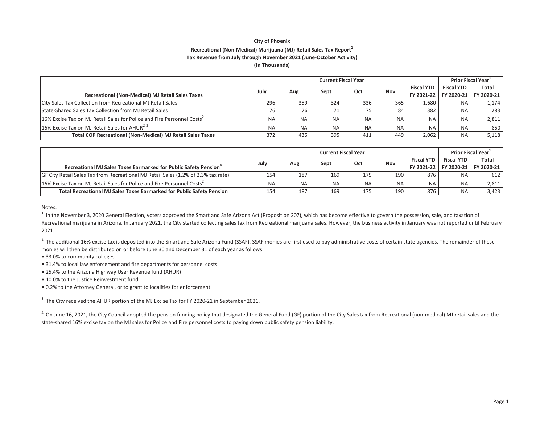# **City of Phoenix Recreational (NonͲMedical) Marijuana (MJ) Retail Sales Tax Report<sup>1</sup> Tax Revenue from July through November 2021 (JuneͲOctober Activity)**

**(In Thousands)**

|                                                                                    |           | <b>Prior Fiscal Year</b> |           |           |           |                   |                   |            |
|------------------------------------------------------------------------------------|-----------|--------------------------|-----------|-----------|-----------|-------------------|-------------------|------------|
|                                                                                    | July      |                          |           | Oct       | Nov       | <b>Fiscal YTD</b> | <b>Fiscal YTD</b> | Total      |
| Recreational (Non-Medical) MJ Retail Sales Taxes                                   |           | Aug                      | Sept      |           |           | FY 2021-22        | FY 2020-21        | FY 2020-21 |
| City Sales Tax Collection from Recreational MJ Retail Sales                        | 296       | 359                      | 324       | 336       | 365       | 1,680             | <b>NA</b>         | 1,174      |
| State-Shared Sales Tax Collection from MJ Retail Sales                             | 76        | 76                       |           | 75        | 84        | 382               | <b>NA</b>         | 283        |
| 16% Excise Tax on MJ Retail Sales for Police and Fire Personnel Costs <sup>2</sup> | <b>NA</b> | <b>NA</b>                | <b>NA</b> | <b>NA</b> | <b>NA</b> | <b>NA</b>         | <b>NA</b>         | 2,811      |
| 16% Excise Tax on MJ Retail Sales for AHUR <sup>23</sup>                           | <b>NA</b> | <b>NA</b>                | <b>NA</b> | <b>NA</b> | <b>NA</b> | <b>NA</b>         | <b>NA</b>         | 850        |
| <b>Total COP Recreational (Non-Medical) MJ Retail Sales Taxes</b>                  | 372       | 435                      | 395       | 411       | 449       | 2,062             | <b>NA</b>         | 5,118      |

|                                                                                    |           | <b>Prior Fiscal Year</b> |           |           |           |                   |                   |              |
|------------------------------------------------------------------------------------|-----------|--------------------------|-----------|-----------|-----------|-------------------|-------------------|--------------|
| Recreational MJ Sales Taxes Earmarked for Public Safety Pension <sup>4</sup>       |           | Aug                      | Sept      | Oct       | Nov       | <b>Fiscal YTD</b> | <b>Fiscal YTD</b> | <b>Total</b> |
|                                                                                    |           |                          |           |           |           | FY 2021-22        | FY 2020-21        | FY 2020-21 1 |
| GF City Retail Sales Tax from Recreational MJ Retail Sales (1.2% of 2.3% tax rate) | 154       | 187                      | 169       | 175       | 190       | 876               | <b>NA</b>         | 612          |
| 16% Excise Tax on MJ Retail Sales for Police and Fire Personnel Costs <sup>2</sup> | <b>NA</b> | <b>NA</b>                | <b>NA</b> | <b>NA</b> | <b>NA</b> | <b>NA</b>         | <b>NA</b>         | 2,811        |
| <b>Total Recreational MJ Sales Taxes Earmarked for Public Safety Pension</b>       | 154       | 187                      | 169       | 175       | 190       | 876               | <b>NA</b>         | 3,423        |

Notes:

 $^{1}$  In the November 3, 2020 General Election, voters approved the Smart and Safe Arizona Act (Proposition 207), which has become effective to govern the possession, sale, and taxation of Recreational marijuana in Arizona. In January 2021, the City started collecting sales tax from Recreational marijuana sales. However, the business activity in January was not reported until February 2021.

 $^{2}$  The additional 16% excise tax is deposited into the Smart and Safe Arizona Fund (SSAF). SSAF monies are first used to pay administrative costs of certain state agencies. The remainder of these monies will then be distributed on or before June 30 and December 31 of each year as follows:

- 33.0% to community colleges
- 31.4% to local law enforcement and fire departments for personnel costs
- 25.4% to the Arizona Highway User Revenue fund (AHUR)
- 10.0% to the Justice Reinvestment fund
- 0.2% to the Attorney General, or to grant to localities for enforcement

 $3.$  The City received the AHUR portion of the MJ Excise Tax for FY 2020-21 in September 2021.

<sup>4.</sup> On June 16, 2021, the City Council adopted the pension funding policy that designated the General Fund (GF) portion of the City Sales tax from Recreational (non-medical) MJ retail sales and the state-shared 16% excise tax on the MJ sales for Police and Fire personnel costs to paying down public safety pension liability.